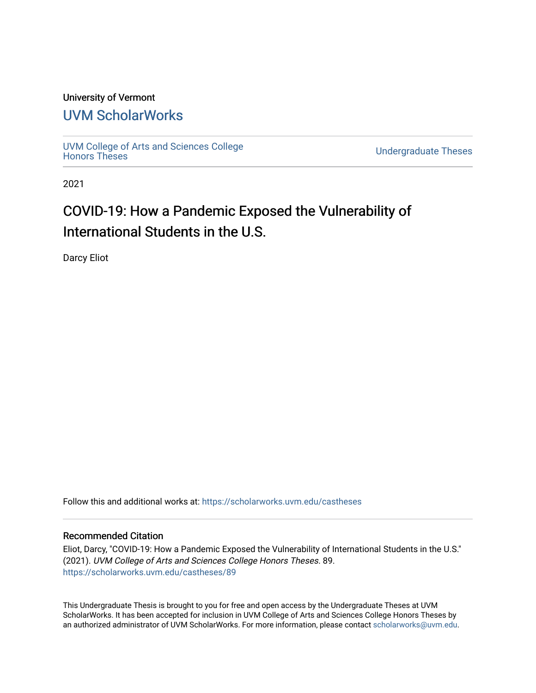#### University of Vermont

## [UVM ScholarWorks](https://scholarworks.uvm.edu/)

[UVM College of Arts and Sciences College](https://scholarworks.uvm.edu/castheses)

**Undergraduate Theses** 

2021

# COVID-19: How a Pandemic Exposed the Vulnerability of International Students in the U.S.

Darcy Eliot

Follow this and additional works at: [https://scholarworks.uvm.edu/castheses](https://scholarworks.uvm.edu/castheses?utm_source=scholarworks.uvm.edu%2Fcastheses%2F89&utm_medium=PDF&utm_campaign=PDFCoverPages)

#### Recommended Citation

Eliot, Darcy, "COVID-19: How a Pandemic Exposed the Vulnerability of International Students in the U.S." (2021). UVM College of Arts and Sciences College Honors Theses. 89. [https://scholarworks.uvm.edu/castheses/89](https://scholarworks.uvm.edu/castheses/89?utm_source=scholarworks.uvm.edu%2Fcastheses%2F89&utm_medium=PDF&utm_campaign=PDFCoverPages) 

This Undergraduate Thesis is brought to you for free and open access by the Undergraduate Theses at UVM ScholarWorks. It has been accepted for inclusion in UVM College of Arts and Sciences College Honors Theses by an authorized administrator of UVM ScholarWorks. For more information, please contact [scholarworks@uvm.edu.](mailto:scholarworks@uvm.edu)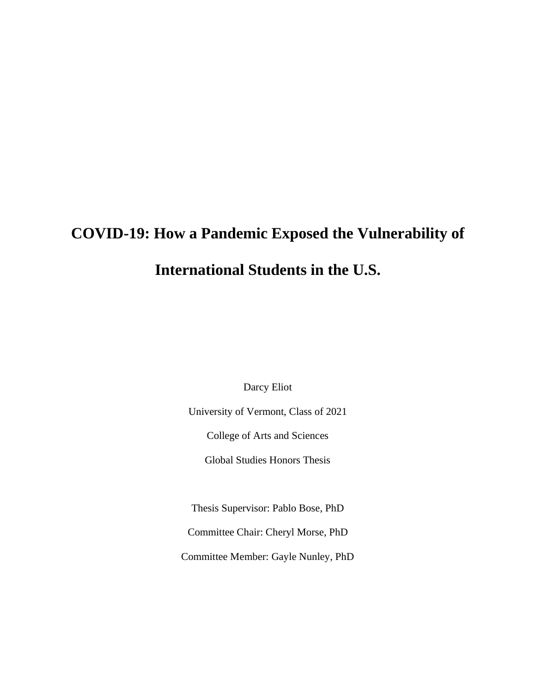# **COVID-19: How a Pandemic Exposed the Vulnerability of International Students in the U.S.**

Darcy Eliot

University of Vermont, Class of 2021

College of Arts and Sciences

Global Studies Honors Thesis

Thesis Supervisor: Pablo Bose, PhD

Committee Chair: Cheryl Morse, PhD

Committee Member: Gayle Nunley, PhD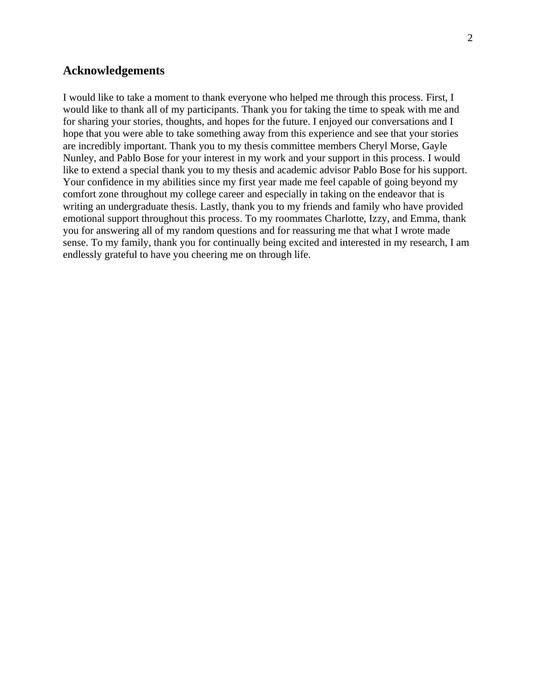#### **Acknowledgements**

I would like to take a moment to thank everyone who helped me through this process. First, I would like to thank all of my participants. Thank you for taking the time to speak with me and for sharing your stories, thoughts, and hopes for the future. I enjoyed our conversations and I hope that you were able to take something away from this experience and see that your stories are incredibly important. Thank you to my thesis committee members Cheryl Morse, Gayle Nunley, and Pablo Bose for your interest in my work and your support in this process. I would like to extend a special thank you to my thesis and academic advisor Pablo Bose for his support. Your confidence in my abilities since my first year made me feel capable of going beyond my comfort zone throughout my college career and especially in taking on the endeavor that is writing an undergraduate thesis. Lastly, thank you to my friends and family who have provided emotional support throughout this process. To my roommates Charlotte, Izzy, and Emma, thank you for answering all of my random questions and for reassuring me that what I wrote made sense. To my family, thank you for continually being excited and interested in my research, I am endlessly grateful to have you cheering me on through life.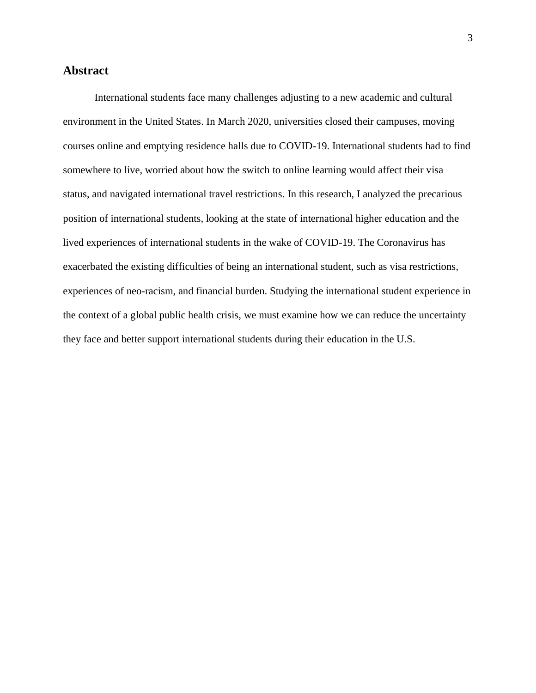#### **Abstract**

International students face many challenges adjusting to a new academic and cultural environment in the United States. In March 2020, universities closed their campuses, moving courses online and emptying residence halls due to COVID-19. International students had to find somewhere to live, worried about how the switch to online learning would affect their visa status, and navigated international travel restrictions. In this research, I analyzed the precarious position of international students, looking at the state of international higher education and the lived experiences of international students in the wake of COVID-19. The Coronavirus has exacerbated the existing difficulties of being an international student, such as visa restrictions, experiences of neo-racism, and financial burden. Studying the international student experience in the context of a global public health crisis, we must examine how we can reduce the uncertainty they face and better support international students during their education in the U.S.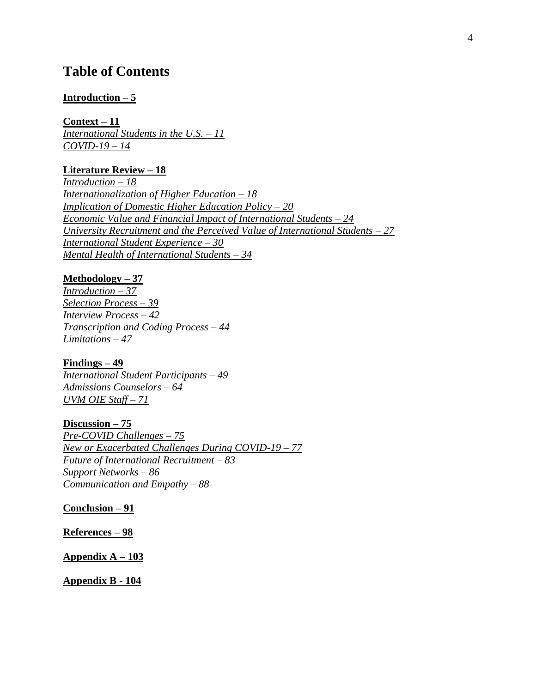### **Table of Contents**

#### **[Introduction –](#page-5-0) 5**

**[Context –](#page-11-0) 11** *[International Students in the U.S.](#page-11-1) – 11 [COVID-19 –](#page-14-0) 14*

#### **[Literature Review –](#page-18-0) 18**

*[Introduction –](#page-18-1) 18 [Internationalization of Higher Education –](#page-18-2) 18 [Implication of Domestic Higher Education Policy –](#page-20-0) 20 [Economic Value and Financial Impact of International Students –](#page-25-0) 24 [University Recruitment and the Perceived Value of International Students –](#page-27-0) 27 [International Student Experience –](#page-30-0) 30 [Mental Health of International Students –](#page-34-0) 34*

#### **[Methodology –](#page-37-0) 37**

*[Introduction –](#page-37-1) 37 [Selection Process –](#page-39-0) 39 [Interview Process –](#page-42-0) 42 [Transcription and Coding Process –](#page-44-0) 44 [Limitations –](#page-47-0) 47*

**[Findings –](#page-49-0) 49** *[International Student Participants –](#page-49-1) 49 [Admissions Counselors –](#page-64-0) 64 [UVM OIE Staff](#page-71-0) – 71*

**[Discussion](#page-75-0) – 75** *[Pre-COVID Challenges –](#page-75-1) 75 New [or Exacerbated Challenges During COVID-19 –](#page-77-0) 77 [Future of International Recruitment –](#page-83-0) 83 [Support Networks –](#page-86-0) 86 [Communication and Empathy –](#page-88-0) 88*

**[Conclusion –](#page-91-0) 91**

**[References –](#page-98-0) 98**

**[Appendix A –](#page-103-0) 103**

**[Appendix B -](#page-104-0) 104**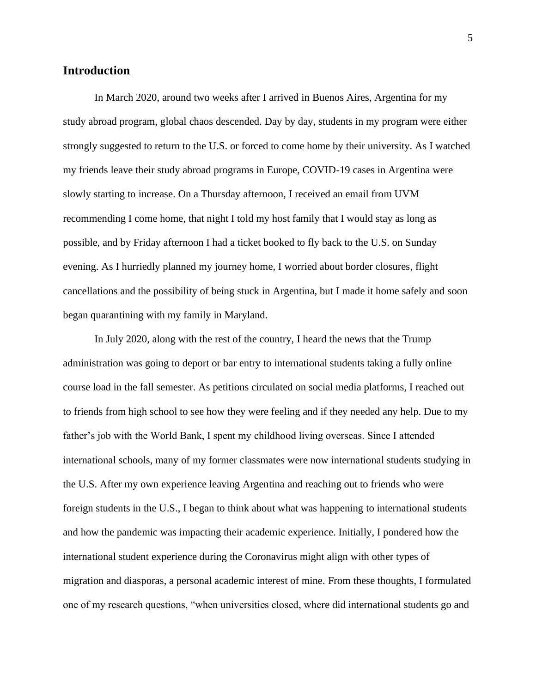#### <span id="page-5-0"></span>**Introduction**

In March 2020, around two weeks after I arrived in Buenos Aires, Argentina for my study abroad program, global chaos descended. Day by day, students in my program were either strongly suggested to return to the U.S. or forced to come home by their university. As I watched my friends leave their study abroad programs in Europe, COVID-19 cases in Argentina were slowly starting to increase. On a Thursday afternoon, I received an email from UVM recommending I come home, that night I told my host family that I would stay as long as possible, and by Friday afternoon I had a ticket booked to fly back to the U.S. on Sunday evening. As I hurriedly planned my journey home, I worried about border closures, flight cancellations and the possibility of being stuck in Argentina, but I made it home safely and soon began quarantining with my family in Maryland.

In July 2020, along with the rest of the country, I heard the news that the Trump administration was going to deport or bar entry to international students taking a fully online course load in the fall semester. As petitions circulated on social media platforms, I reached out to friends from high school to see how they were feeling and if they needed any help. Due to my father's job with the World Bank, I spent my childhood living overseas. Since I attended international schools, many of my former classmates were now international students studying in the U.S. After my own experience leaving Argentina and reaching out to friends who were foreign students in the U.S., I began to think about what was happening to international students and how the pandemic was impacting their academic experience. Initially, I pondered how the international student experience during the Coronavirus might align with other types of migration and diasporas, a personal academic interest of mine. From these thoughts, I formulated one of my research questions, "when universities closed, where did international students go and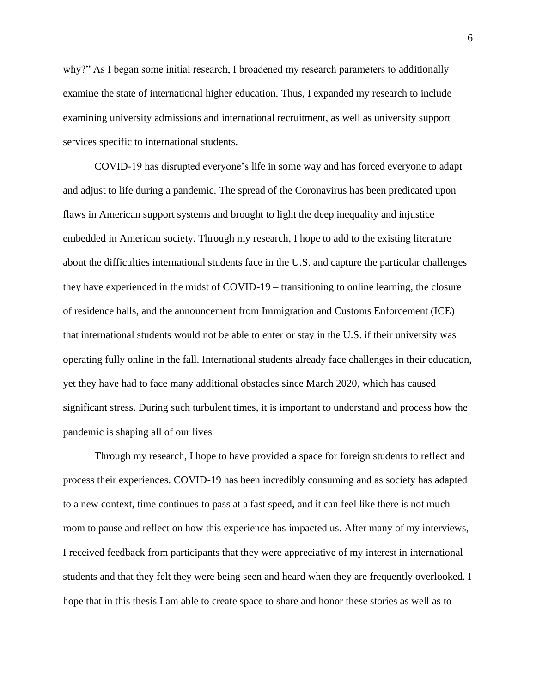why?" As I began some initial research, I broadened my research parameters to additionally examine the state of international higher education. Thus, I expanded my research to include examining university admissions and international recruitment, as well as university support services specific to international students.

COVID-19 has disrupted everyone's life in some way and has forced everyone to adapt and adjust to life during a pandemic. The spread of the Coronavirus has been predicated upon flaws in American support systems and brought to light the deep inequality and injustice embedded in American society. Through my research, I hope to add to the existing literature about the difficulties international students face in the U.S. and capture the particular challenges they have experienced in the midst of COVID-19 – transitioning to online learning, the closure of residence halls, and the announcement from Immigration and Customs Enforcement (ICE) that international students would not be able to enter or stay in the U.S. if their university was operating fully online in the fall. International students already face challenges in their education, yet they have had to face many additional obstacles since March 2020, which has caused significant stress. During such turbulent times, it is important to understand and process how the pandemic is shaping all of our lives

Through my research, I hope to have provided a space for foreign students to reflect and process their experiences. COVID-19 has been incredibly consuming and as society has adapted to a new context, time continues to pass at a fast speed, and it can feel like there is not much room to pause and reflect on how this experience has impacted us. After many of my interviews, I received feedback from participants that they were appreciative of my interest in international students and that they felt they were being seen and heard when they are frequently overlooked. I hope that in this thesis I am able to create space to share and honor these stories as well as to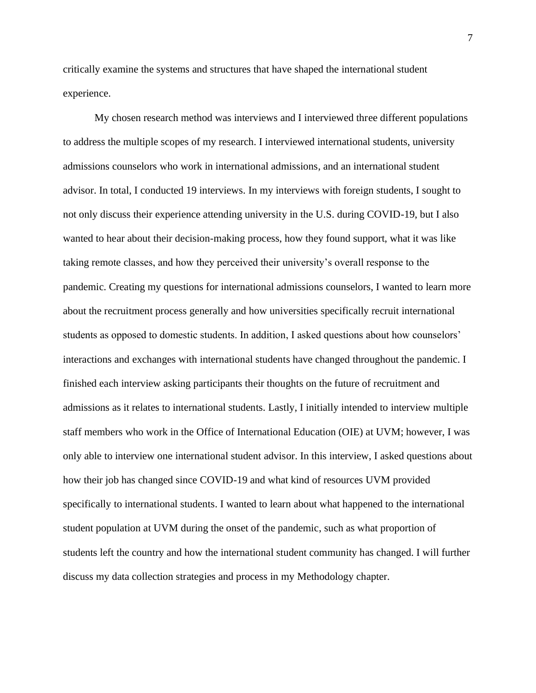critically examine the systems and structures that have shaped the international student experience.

My chosen research method was interviews and I interviewed three different populations to address the multiple scopes of my research. I interviewed international students, university admissions counselors who work in international admissions, and an international student advisor. In total, I conducted 19 interviews. In my interviews with foreign students, I sought to not only discuss their experience attending university in the U.S. during COVID-19, but I also wanted to hear about their decision-making process, how they found support, what it was like taking remote classes, and how they perceived their university's overall response to the pandemic. Creating my questions for international admissions counselors, I wanted to learn more about the recruitment process generally and how universities specifically recruit international students as opposed to domestic students. In addition, I asked questions about how counselors' interactions and exchanges with international students have changed throughout the pandemic. I finished each interview asking participants their thoughts on the future of recruitment and admissions as it relates to international students. Lastly, I initially intended to interview multiple staff members who work in the Office of International Education (OIE) at UVM; however, I was only able to interview one international student advisor. In this interview, I asked questions about how their job has changed since COVID-19 and what kind of resources UVM provided specifically to international students. I wanted to learn about what happened to the international student population at UVM during the onset of the pandemic, such as what proportion of students left the country and how the international student community has changed. I will further discuss my data collection strategies and process in my Methodology chapter.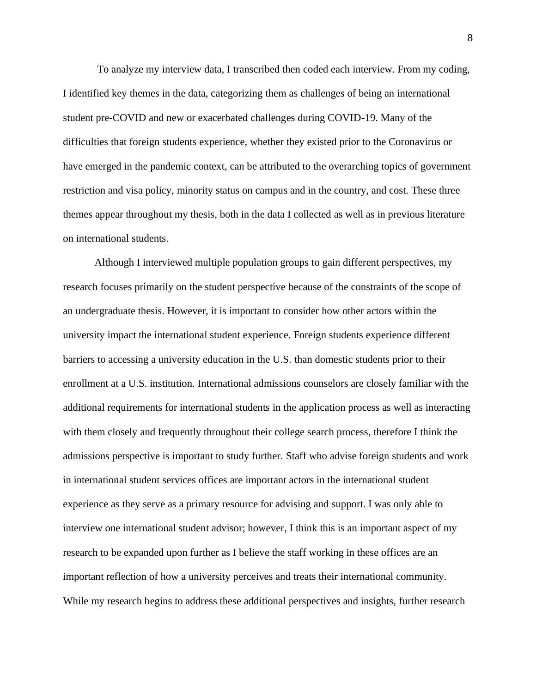To analyze my interview data, I transcribed then coded each interview. From my coding, I identified key themes in the data, categorizing them as challenges of being an international student pre-COVID and new or exacerbated challenges during COVID-19. Many of the difficulties that foreign students experience, whether they existed prior to the Coronavirus or have emerged in the pandemic context, can be attributed to the overarching topics of government restriction and visa policy, minority status on campus and in the country, and cost. These three themes appear throughout my thesis, both in the data I collected as well as in previous literature on international students.

Although I interviewed multiple population groups to gain different perspectives, my research focuses primarily on the student perspective because of the constraints of the scope of an undergraduate thesis. However, it is important to consider how other actors within the university impact the international student experience. Foreign students experience different barriers to accessing a university education in the U.S. than domestic students prior to their enrollment at a U.S. institution. International admissions counselors are closely familiar with the additional requirements for international students in the application process as well as interacting with them closely and frequently throughout their college search process, therefore I think the admissions perspective is important to study further. Staff who advise foreign students and work in international student services offices are important actors in the international student experience as they serve as a primary resource for advising and support. I was only able to interview one international student advisor; however, I think this is an important aspect of my research to be expanded upon further as I believe the staff working in these offices are an important reflection of how a university perceives and treats their international community. While my research begins to address these additional perspectives and insights, further research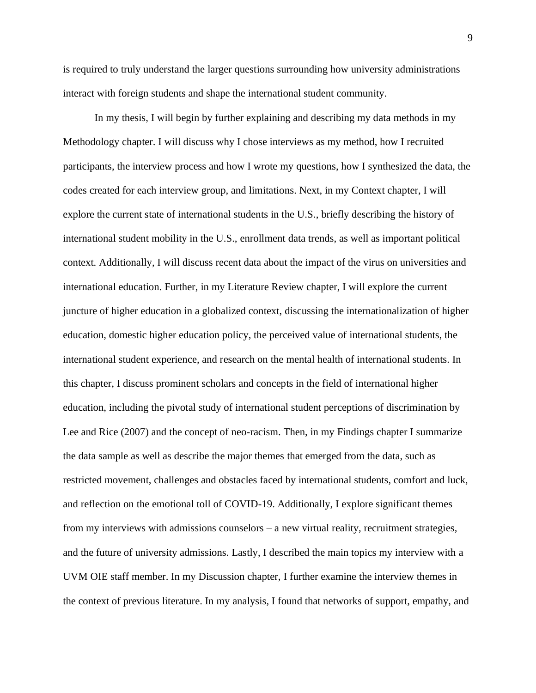is required to truly understand the larger questions surrounding how university administrations interact with foreign students and shape the international student community.

In my thesis, I will begin by further explaining and describing my data methods in my Methodology chapter. I will discuss why I chose interviews as my method, how I recruited participants, the interview process and how I wrote my questions, how I synthesized the data, the codes created for each interview group, and limitations. Next, in my Context chapter, I will explore the current state of international students in the U.S., briefly describing the history of international student mobility in the U.S., enrollment data trends, as well as important political context. Additionally, I will discuss recent data about the impact of the virus on universities and international education. Further, in my Literature Review chapter, I will explore the current juncture of higher education in a globalized context, discussing the internationalization of higher education, domestic higher education policy, the perceived value of international students, the international student experience, and research on the mental health of international students. In this chapter, I discuss prominent scholars and concepts in the field of international higher education, including the pivotal study of international student perceptions of discrimination by Lee and Rice (2007) and the concept of neo-racism. Then, in my Findings chapter I summarize the data sample as well as describe the major themes that emerged from the data, such as restricted movement, challenges and obstacles faced by international students, comfort and luck, and reflection on the emotional toll of COVID-19. Additionally, I explore significant themes from my interviews with admissions counselors – a new virtual reality, recruitment strategies, and the future of university admissions. Lastly, I described the main topics my interview with a UVM OIE staff member. In my Discussion chapter, I further examine the interview themes in the context of previous literature. In my analysis, I found that networks of support, empathy, and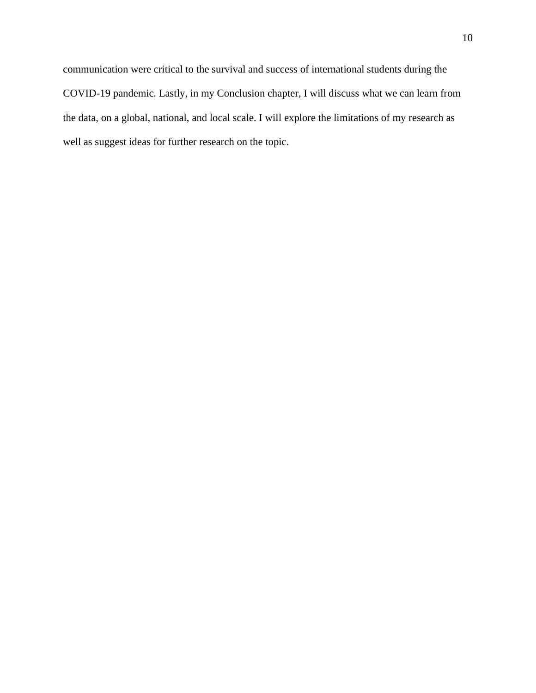communication were critical to the survival and success of international students during the COVID-19 pandemic. Lastly, in my Conclusion chapter, I will discuss what we can learn from the data, on a global, national, and local scale. I will explore the limitations of my research as well as suggest ideas for further research on the topic.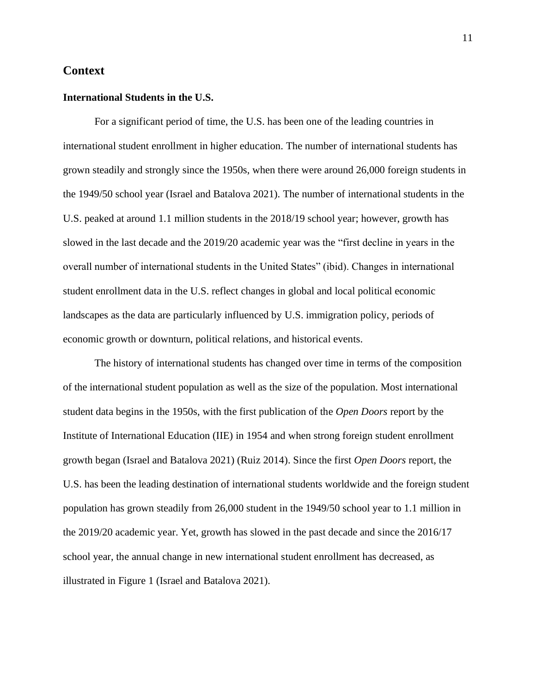#### <span id="page-11-0"></span>**Context**

#### <span id="page-11-1"></span>**International Students in the U.S.**

For a significant period of time, the U.S. has been one of the leading countries in international student enrollment in higher education. The number of international students has grown steadily and strongly since the 1950s, when there were around 26,000 foreign students in the 1949/50 school year (Israel and Batalova 2021). The number of international students in the U.S. peaked at around 1.1 million students in the 2018/19 school year; however, growth has slowed in the last decade and the 2019/20 academic year was the "first decline in years in the overall number of international students in the United States" (ibid). Changes in international student enrollment data in the U.S. reflect changes in global and local political economic landscapes as the data are particularly influenced by U.S. immigration policy, periods of economic growth or downturn, political relations, and historical events.

The history of international students has changed over time in terms of the composition of the international student population as well as the size of the population. Most international student data begins in the 1950s, with the first publication of the *Open Doors* report by the Institute of International Education (IIE) in 1954 and when strong foreign student enrollment growth began (Israel and Batalova 2021) (Ruiz 2014). Since the first *Open Doors* report, the U.S. has been the leading destination of international students worldwide and the foreign student population has grown steadily from 26,000 student in the 1949/50 school year to 1.1 million in the 2019/20 academic year. Yet, growth has slowed in the past decade and since the 2016/17 school year, the annual change in new international student enrollment has decreased, as illustrated in Figure 1 (Israel and Batalova 2021).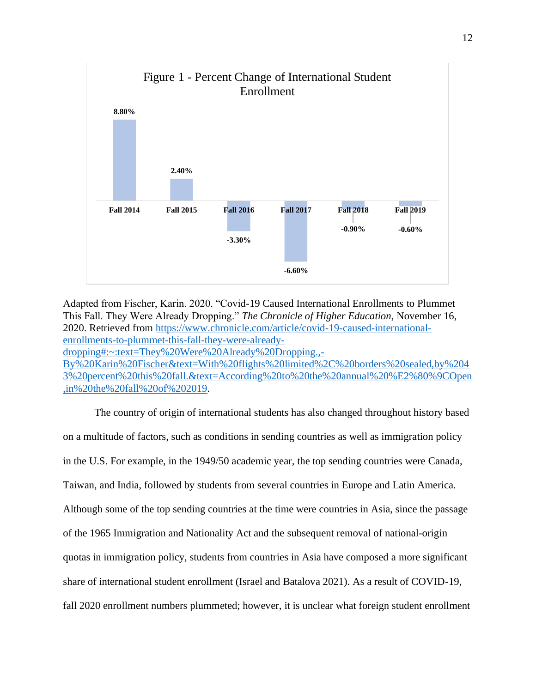

Adapted from Fischer, Karin. 2020. "Covid-19 Caused International Enrollments to Plummet This Fall. They Were Already Dropping." *The Chronicle of Higher Education*, November 16, 2020. Retrieved from [https://www.chronicle.com/article/covid-19-caused-international](https://www.chronicle.com/article/covid-19-caused-international-enrollments-to-plummet-this-fall-they-were-already-dropping#:~:text=They%20Were%20Already%20Dropping.,-By%20Karin%20Fischer&text=With%20flights%20limited%2C%20borders%20sealed,by%2043%20percent%20this%20fall.&text=According%20to%20the%20annual%20%E2%80%9COpen,in%20the%20fall%20of%202019)[enrollments-to-plummet-this-fall-they-were-already](https://www.chronicle.com/article/covid-19-caused-international-enrollments-to-plummet-this-fall-they-were-already-dropping#:~:text=They%20Were%20Already%20Dropping.,-By%20Karin%20Fischer&text=With%20flights%20limited%2C%20borders%20sealed,by%2043%20percent%20this%20fall.&text=According%20to%20the%20annual%20%E2%80%9COpen,in%20the%20fall%20of%202019)[dropping#:~:text=They%20Were%20Already%20Dropping.,-](https://www.chronicle.com/article/covid-19-caused-international-enrollments-to-plummet-this-fall-they-were-already-dropping#:~:text=They%20Were%20Already%20Dropping.,-By%20Karin%20Fischer&text=With%20flights%20limited%2C%20borders%20sealed,by%2043%20percent%20this%20fall.&text=According%20to%20the%20annual%20%E2%80%9COpen,in%20the%20fall%20of%202019) [By%20Karin%20Fischer&text=With%20flights%20limited%2C%20borders%20sealed,by%204](https://www.chronicle.com/article/covid-19-caused-international-enrollments-to-plummet-this-fall-they-were-already-dropping#:~:text=They%20Were%20Already%20Dropping.,-By%20Karin%20Fischer&text=With%20flights%20limited%2C%20borders%20sealed,by%2043%20percent%20this%20fall.&text=According%20to%20the%20annual%20%E2%80%9COpen,in%20the%20fall%20of%202019)

[3%20percent%20this%20fall.&text=According%20to%20the%20annual%20%E2%80%9COpen](https://www.chronicle.com/article/covid-19-caused-international-enrollments-to-plummet-this-fall-they-were-already-dropping#:~:text=They%20Were%20Already%20Dropping.,-By%20Karin%20Fischer&text=With%20flights%20limited%2C%20borders%20sealed,by%2043%20percent%20this%20fall.&text=According%20to%20the%20annual%20%E2%80%9COpen,in%20the%20fall%20of%202019) [,in%20the%20fall%20of%202019.](https://www.chronicle.com/article/covid-19-caused-international-enrollments-to-plummet-this-fall-they-were-already-dropping#:~:text=They%20Were%20Already%20Dropping.,-By%20Karin%20Fischer&text=With%20flights%20limited%2C%20borders%20sealed,by%2043%20percent%20this%20fall.&text=According%20to%20the%20annual%20%E2%80%9COpen,in%20the%20fall%20of%202019)

The country of origin of international students has also changed throughout history based on a multitude of factors, such as conditions in sending countries as well as immigration policy in the U.S. For example, in the 1949/50 academic year, the top sending countries were Canada, Taiwan, and India, followed by students from several countries in Europe and Latin America. Although some of the top sending countries at the time were countries in Asia, since the passage of the 1965 Immigration and Nationality Act and the subsequent removal of national-origin quotas in immigration policy, students from countries in Asia have composed a more significant share of international student enrollment (Israel and Batalova 2021). As a result of COVID-19, fall 2020 enrollment numbers plummeted; however, it is unclear what foreign student enrollment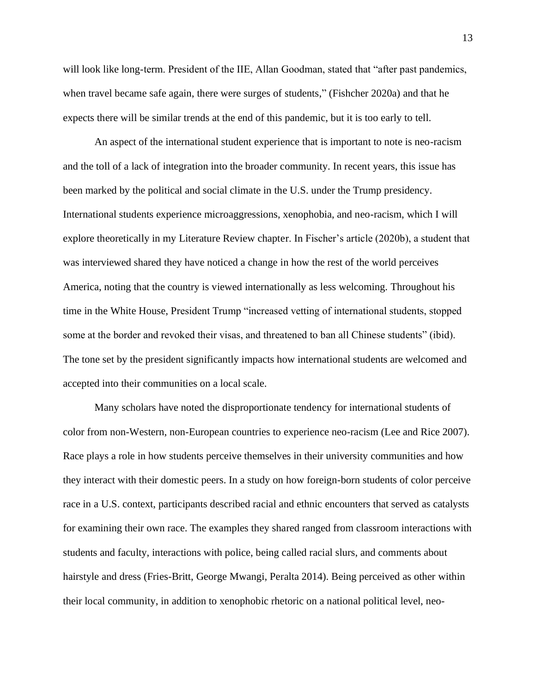will look like long-term. President of the IIE, Allan Goodman, stated that "after past pandemics, when travel became safe again, there were surges of students," (Fishcher 2020a) and that he expects there will be similar trends at the end of this pandemic, but it is too early to tell.

An aspect of the international student experience that is important to note is neo-racism and the toll of a lack of integration into the broader community. In recent years, this issue has been marked by the political and social climate in the U.S. under the Trump presidency. International students experience microaggressions, xenophobia, and neo-racism, which I will explore theoretically in my Literature Review chapter. In Fischer's article (2020b), a student that was interviewed shared they have noticed a change in how the rest of the world perceives America, noting that the country is viewed internationally as less welcoming. Throughout his time in the White House, President Trump "increased vetting of international students, stopped some at the border and revoked their visas, and threatened to ban all Chinese students" (ibid). The tone set by the president significantly impacts how international students are welcomed and accepted into their communities on a local scale.

Many scholars have noted the disproportionate tendency for international students of color from non-Western, non-European countries to experience neo-racism (Lee and Rice 2007). Race plays a role in how students perceive themselves in their university communities and how they interact with their domestic peers. In a study on how foreign-born students of color perceive race in a U.S. context, participants described racial and ethnic encounters that served as catalysts for examining their own race. The examples they shared ranged from classroom interactions with students and faculty, interactions with police, being called racial slurs, and comments about hairstyle and dress (Fries-Britt, George Mwangi, Peralta 2014). Being perceived as other within their local community, in addition to xenophobic rhetoric on a national political level, neo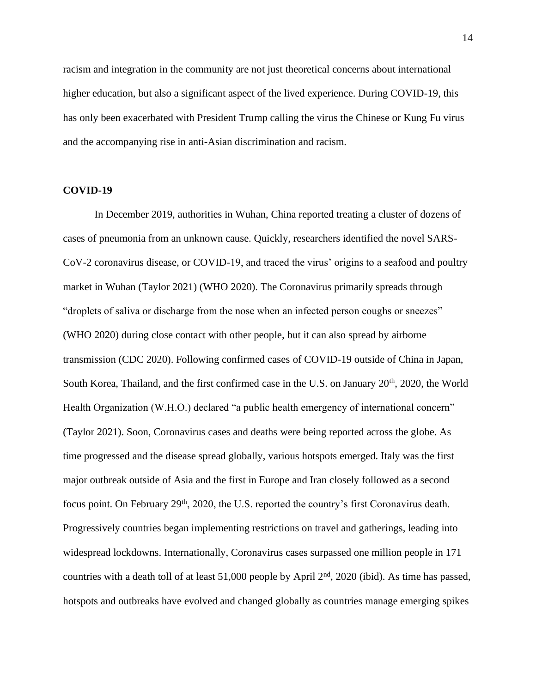racism and integration in the community are not just theoretical concerns about international higher education, but also a significant aspect of the lived experience. During COVID-19, this has only been exacerbated with President Trump calling the virus the Chinese or Kung Fu virus and the accompanying rise in anti-Asian discrimination and racism.

#### <span id="page-14-0"></span>**COVID-19**

In December 2019, authorities in Wuhan, China reported treating a cluster of dozens of cases of pneumonia from an unknown cause. Quickly, researchers identified the novel SARS-CoV-2 coronavirus disease, or COVID-19, and traced the virus' origins to a seafood and poultry market in Wuhan (Taylor 2021) (WHO 2020). The Coronavirus primarily spreads through "droplets of saliva or discharge from the nose when an infected person coughs or sneezes" (WHO 2020) during close contact with other people, but it can also spread by airborne transmission (CDC 2020). Following confirmed cases of COVID-19 outside of China in Japan, South Korea, Thailand, and the first confirmed case in the U.S. on January 20<sup>th</sup>, 2020, the World Health Organization (W.H.O.) declared "a public health emergency of international concern" (Taylor 2021). Soon, Coronavirus cases and deaths were being reported across the globe. As time progressed and the disease spread globally, various hotspots emerged. Italy was the first major outbreak outside of Asia and the first in Europe and Iran closely followed as a second focus point. On February 29<sup>th</sup>, 2020, the U.S. reported the country's first Coronavirus death. Progressively countries began implementing restrictions on travel and gatherings, leading into widespread lockdowns. Internationally, Coronavirus cases surpassed one million people in 171 countries with a death toll of at least 51,000 people by April 2<sup>nd</sup>, 2020 (ibid). As time has passed, hotspots and outbreaks have evolved and changed globally as countries manage emerging spikes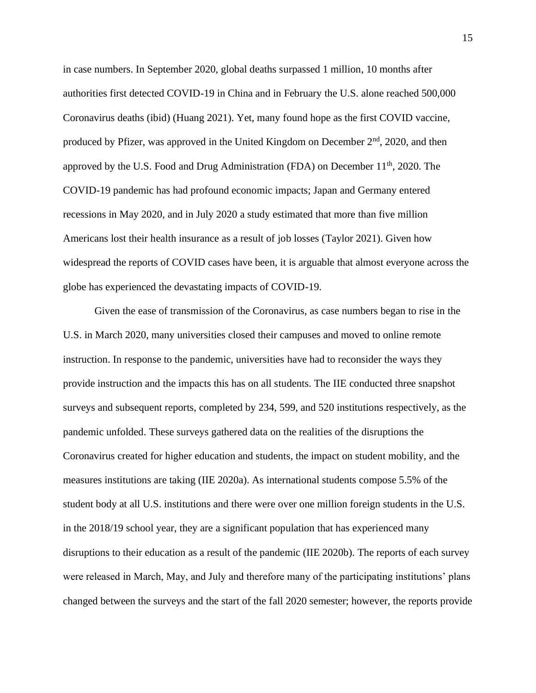in case numbers. In September 2020, global deaths surpassed 1 million, 10 months after authorities first detected COVID-19 in China and in February the U.S. alone reached 500,000 Coronavirus deaths (ibid) (Huang 2021). Yet, many found hope as the first COVID vaccine, produced by Pfizer, was approved in the United Kingdom on December  $2<sup>nd</sup>$ , 2020, and then approved by the U.S. Food and Drug Administration (FDA) on December 11th, 2020. The COVID-19 pandemic has had profound economic impacts; Japan and Germany entered recessions in May 2020, and in July 2020 a study estimated that more than five million Americans lost their health insurance as a result of job losses (Taylor 2021). Given how widespread the reports of COVID cases have been, it is arguable that almost everyone across the globe has experienced the devastating impacts of COVID-19.

Given the ease of transmission of the Coronavirus, as case numbers began to rise in the U.S. in March 2020, many universities closed their campuses and moved to online remote instruction. In response to the pandemic, universities have had to reconsider the ways they provide instruction and the impacts this has on all students. The IIE conducted three snapshot surveys and subsequent reports, completed by 234, 599, and 520 institutions respectively, as the pandemic unfolded. These surveys gathered data on the realities of the disruptions the Coronavirus created for higher education and students, the impact on student mobility, and the measures institutions are taking (IIE 2020a). As international students compose 5.5% of the student body at all U.S. institutions and there were over one million foreign students in the U.S. in the 2018/19 school year, they are a significant population that has experienced many disruptions to their education as a result of the pandemic (IIE 2020b). The reports of each survey were released in March, May, and July and therefore many of the participating institutions' plans changed between the surveys and the start of the fall 2020 semester; however, the reports provide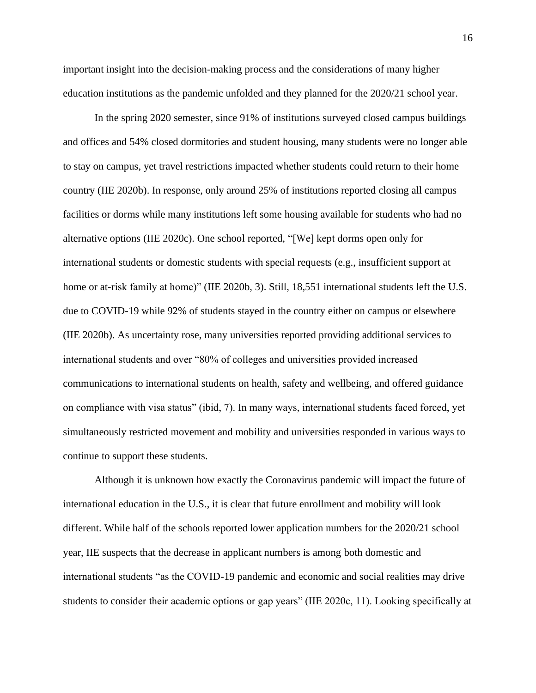important insight into the decision-making process and the considerations of many higher education institutions as the pandemic unfolded and they planned for the 2020/21 school year.

In the spring 2020 semester, since 91% of institutions surveyed closed campus buildings and offices and 54% closed dormitories and student housing, many students were no longer able to stay on campus, yet travel restrictions impacted whether students could return to their home country (IIE 2020b). In response, only around 25% of institutions reported closing all campus facilities or dorms while many institutions left some housing available for students who had no alternative options (IIE 2020c). One school reported, "[We] kept dorms open only for international students or domestic students with special requests (e.g., insufficient support at home or at-risk family at home)" (IIE 2020b, 3). Still, 18,551 international students left the U.S. due to COVID-19 while 92% of students stayed in the country either on campus or elsewhere (IIE 2020b). As uncertainty rose, many universities reported providing additional services to international students and over "80% of colleges and universities provided increased communications to international students on health, safety and wellbeing, and offered guidance on compliance with visa status" (ibid, 7). In many ways, international students faced forced, yet simultaneously restricted movement and mobility and universities responded in various ways to continue to support these students.

Although it is unknown how exactly the Coronavirus pandemic will impact the future of international education in the U.S., it is clear that future enrollment and mobility will look different. While half of the schools reported lower application numbers for the 2020/21 school year, IIE suspects that the decrease in applicant numbers is among both domestic and international students "as the COVID-19 pandemic and economic and social realities may drive students to consider their academic options or gap years" (IIE 2020c, 11). Looking specifically at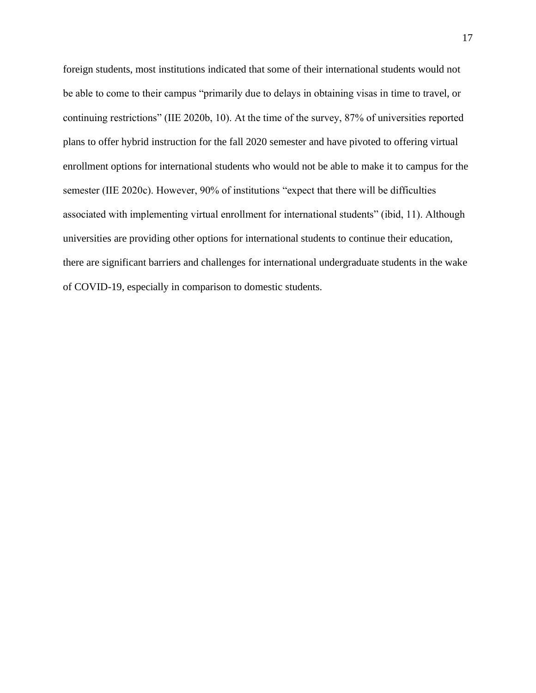foreign students, most institutions indicated that some of their international students would not be able to come to their campus "primarily due to delays in obtaining visas in time to travel, or continuing restrictions" (IIE 2020b, 10). At the time of the survey, 87% of universities reported plans to offer hybrid instruction for the fall 2020 semester and have pivoted to offering virtual enrollment options for international students who would not be able to make it to campus for the semester (IIE 2020c). However, 90% of institutions "expect that there will be difficulties associated with implementing virtual enrollment for international students" (ibid, 11). Although universities are providing other options for international students to continue their education, there are significant barriers and challenges for international undergraduate students in the wake of COVID-19, especially in comparison to domestic students.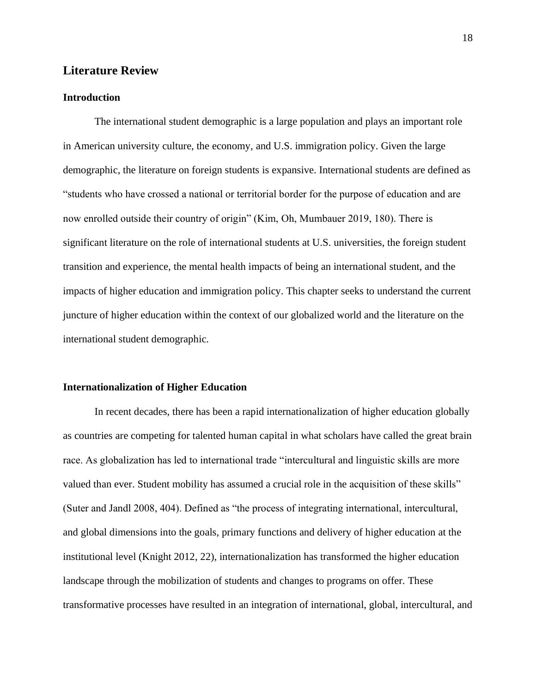#### <span id="page-18-0"></span>**Literature Review**

#### <span id="page-18-1"></span>**Introduction**

The international student demographic is a large population and plays an important role in American university culture, the economy, and U.S. immigration policy. Given the large demographic, the literature on foreign students is expansive. International students are defined as "students who have crossed a national or territorial border for the purpose of education and are now enrolled outside their country of origin" (Kim, Oh, Mumbauer 2019, 180). There is significant literature on the role of international students at U.S. universities, the foreign student transition and experience, the mental health impacts of being an international student, and the impacts of higher education and immigration policy. This chapter seeks to understand the current juncture of higher education within the context of our globalized world and the literature on the international student demographic.

#### <span id="page-18-2"></span>**Internationalization of Higher Education**

In recent decades, there has been a rapid internationalization of higher education globally as countries are competing for talented human capital in what scholars have called the great brain race. As globalization has led to international trade "intercultural and linguistic skills are more valued than ever. Student mobility has assumed a crucial role in the acquisition of these skills" (Suter and Jandl 2008, 404). Defined as "the process of integrating international, intercultural, and global dimensions into the goals, primary functions and delivery of higher education at the institutional level (Knight 2012, 22), internationalization has transformed the higher education landscape through the mobilization of students and changes to programs on offer. These transformative processes have resulted in an integration of international, global, intercultural, and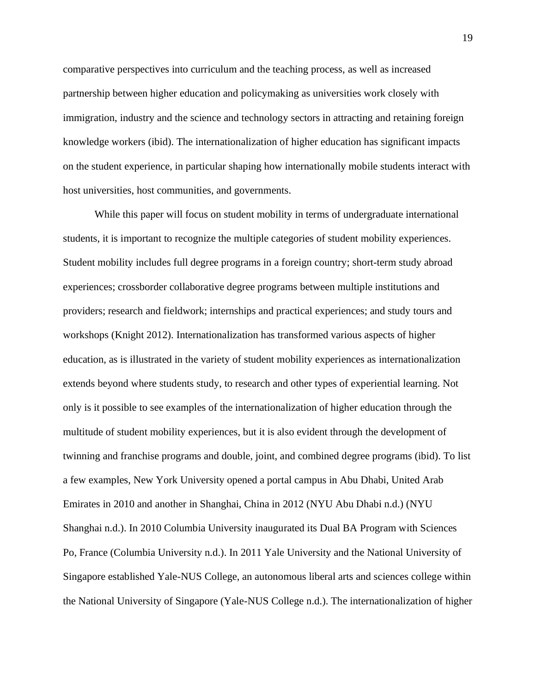comparative perspectives into curriculum and the teaching process, as well as increased partnership between higher education and policymaking as universities work closely with immigration, industry and the science and technology sectors in attracting and retaining foreign knowledge workers (ibid). The internationalization of higher education has significant impacts on the student experience, in particular shaping how internationally mobile students interact with host universities, host communities, and governments.

While this paper will focus on student mobility in terms of undergraduate international students, it is important to recognize the multiple categories of student mobility experiences. Student mobility includes full degree programs in a foreign country; short-term study abroad experiences; crossborder collaborative degree programs between multiple institutions and providers; research and fieldwork; internships and practical experiences; and study tours and workshops (Knight 2012). Internationalization has transformed various aspects of higher education, as is illustrated in the variety of student mobility experiences as internationalization extends beyond where students study, to research and other types of experiential learning. Not only is it possible to see examples of the internationalization of higher education through the multitude of student mobility experiences, but it is also evident through the development of twinning and franchise programs and double, joint, and combined degree programs (ibid). To list a few examples, New York University opened a portal campus in Abu Dhabi, United Arab Emirates in 2010 and another in Shanghai, China in 2012 (NYU Abu Dhabi n.d.) (NYU Shanghai n.d.). In 2010 Columbia University inaugurated its Dual BA Program with Sciences Po, France (Columbia University n.d.). In 2011 Yale University and the National University of Singapore established Yale-NUS College, an autonomous liberal arts and sciences college within the National University of Singapore (Yale-NUS College n.d.). The internationalization of higher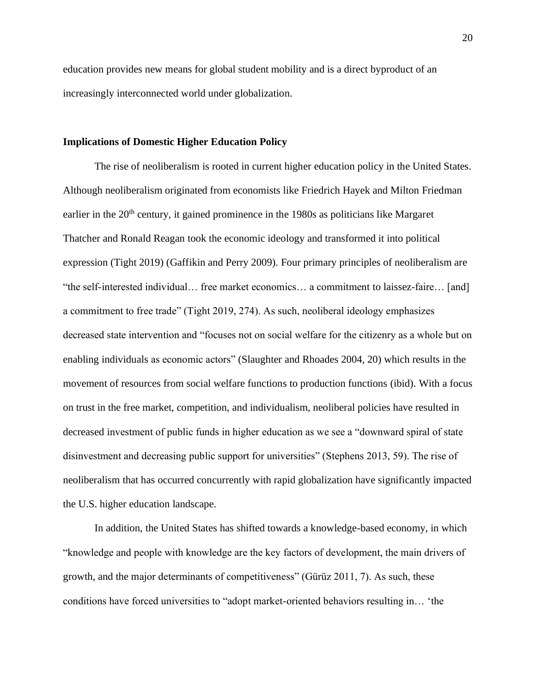education provides new means for global student mobility and is a direct byproduct of an increasingly interconnected world under globalization.

#### <span id="page-20-0"></span>**Implications of Domestic Higher Education Policy**

The rise of neoliberalism is rooted in current higher education policy in the United States. Although neoliberalism originated from economists like Friedrich Hayek and Milton Friedman earlier in the 20<sup>th</sup> century, it gained prominence in the 1980s as politicians like Margaret Thatcher and Ronald Reagan took the economic ideology and transformed it into political expression (Tight 2019) (Gaffikin and Perry 2009). Four primary principles of neoliberalism are "the self-interested individual… free market economics… a commitment to laissez-faire… [and] a commitment to free trade" (Tight 2019, 274). As such, neoliberal ideology emphasizes decreased state intervention and "focuses not on social welfare for the citizenry as a whole but on enabling individuals as economic actors" (Slaughter and Rhoades 2004, 20) which results in the movement of resources from social welfare functions to production functions (ibid). With a focus on trust in the free market, competition, and individualism, neoliberal policies have resulted in decreased investment of public funds in higher education as we see a "downward spiral of state disinvestment and decreasing public support for universities" (Stephens 2013, 59). The rise of neoliberalism that has occurred concurrently with rapid globalization have significantly impacted the U.S. higher education landscape.

In addition, the United States has shifted towards a knowledge-based economy, in which "knowledge and people with knowledge are the key factors of development, the main drivers of growth, and the major determinants of competitiveness" (Gürüz 2011, 7). As such, these conditions have forced universities to "adopt market-oriented behaviors resulting in… 'the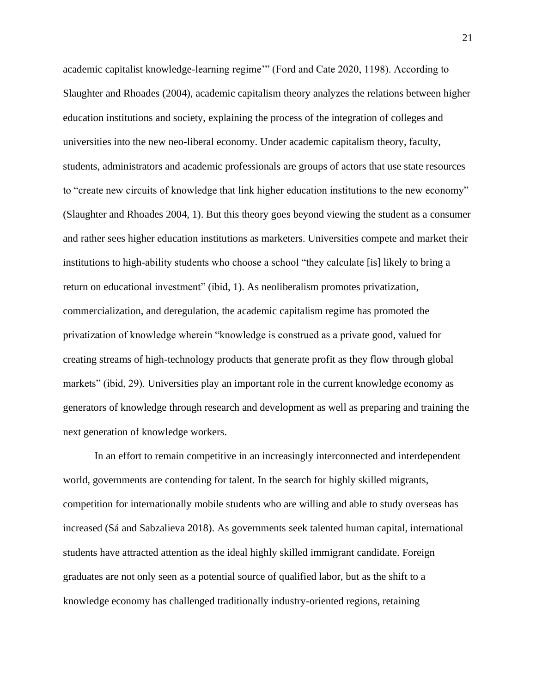academic capitalist knowledge-learning regime'" (Ford and Cate 2020, 1198). According to Slaughter and Rhoades (2004), academic capitalism theory analyzes the relations between higher education institutions and society, explaining the process of the integration of colleges and universities into the new neo-liberal economy. Under academic capitalism theory, faculty, students, administrators and academic professionals are groups of actors that use state resources to "create new circuits of knowledge that link higher education institutions to the new economy" (Slaughter and Rhoades 2004, 1). But this theory goes beyond viewing the student as a consumer and rather sees higher education institutions as marketers. Universities compete and market their institutions to high-ability students who choose a school "they calculate [is] likely to bring a return on educational investment" (ibid, 1). As neoliberalism promotes privatization, commercialization, and deregulation, the academic capitalism regime has promoted the privatization of knowledge wherein "knowledge is construed as a private good, valued for creating streams of high-technology products that generate profit as they flow through global markets" (ibid, 29). Universities play an important role in the current knowledge economy as generators of knowledge through research and development as well as preparing and training the next generation of knowledge workers.

In an effort to remain competitive in an increasingly interconnected and interdependent world, governments are contending for talent. In the search for highly skilled migrants, competition for internationally mobile students who are willing and able to study overseas has increased (Sá and Sabzalieva 2018). As governments seek talented human capital, international students have attracted attention as the ideal highly skilled immigrant candidate. Foreign graduates are not only seen as a potential source of qualified labor, but as the shift to a knowledge economy has challenged traditionally industry-oriented regions, retaining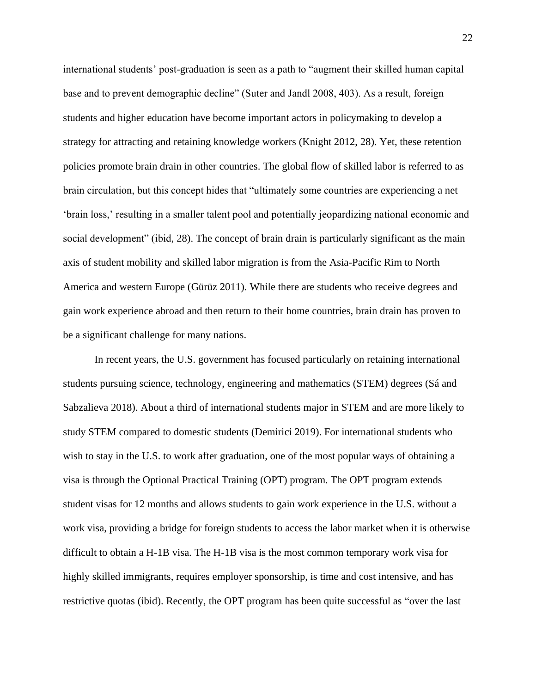international students' post-graduation is seen as a path to "augment their skilled human capital base and to prevent demographic decline" (Suter and Jandl 2008, 403). As a result, foreign students and higher education have become important actors in policymaking to develop a strategy for attracting and retaining knowledge workers (Knight 2012, 28). Yet, these retention policies promote brain drain in other countries. The global flow of skilled labor is referred to as brain circulation, but this concept hides that "ultimately some countries are experiencing a net 'brain loss,' resulting in a smaller talent pool and potentially jeopardizing national economic and social development" (ibid, 28). The concept of brain drain is particularly significant as the main axis of student mobility and skilled labor migration is from the Asia-Pacific Rim to North America and western Europe (Gürüz 2011). While there are students who receive degrees and gain work experience abroad and then return to their home countries, brain drain has proven to be a significant challenge for many nations.

In recent years, the U.S. government has focused particularly on retaining international students pursuing science, technology, engineering and mathematics (STEM) degrees (Sá and Sabzalieva 2018). About a third of international students major in STEM and are more likely to study STEM compared to domestic students (Demirici 2019). For international students who wish to stay in the U.S. to work after graduation, one of the most popular ways of obtaining a visa is through the Optional Practical Training (OPT) program. The OPT program extends student visas for 12 months and allows students to gain work experience in the U.S. without a work visa, providing a bridge for foreign students to access the labor market when it is otherwise difficult to obtain a H-1B visa. The H-1B visa is the most common temporary work visa for highly skilled immigrants, requires employer sponsorship, is time and cost intensive, and has restrictive quotas (ibid). Recently, the OPT program has been quite successful as "over the last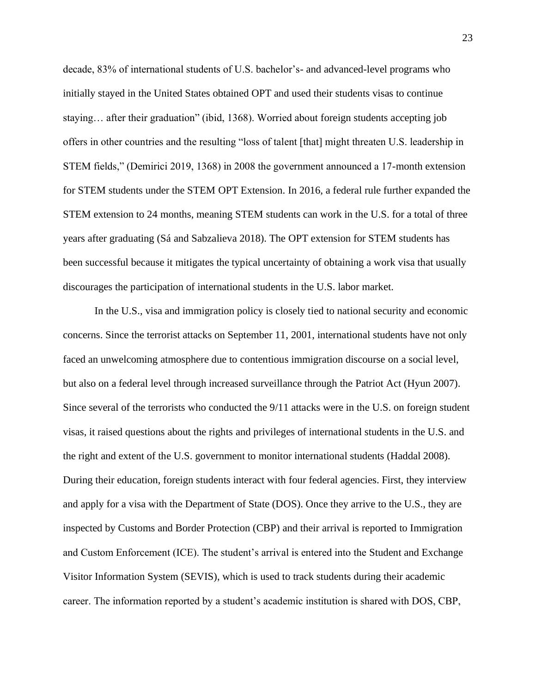decade, 83% of international students of U.S. bachelor's- and advanced-level programs who initially stayed in the United States obtained OPT and used their students visas to continue staying… after their graduation" (ibid, 1368). Worried about foreign students accepting job offers in other countries and the resulting "loss of talent [that] might threaten U.S. leadership in STEM fields," (Demirici 2019, 1368) in 2008 the government announced a 17-month extension for STEM students under the STEM OPT Extension. In 2016, a federal rule further expanded the STEM extension to 24 months, meaning STEM students can work in the U.S. for a total of three years after graduating (Sá and Sabzalieva 2018). The OPT extension for STEM students has been successful because it mitigates the typical uncertainty of obtaining a work visa that usually discourages the participation of international students in the U.S. labor market.

In the U.S., visa and immigration policy is closely tied to national security and economic concerns. Since the terrorist attacks on September 11, 2001, international students have not only faced an unwelcoming atmosphere due to contentious immigration discourse on a social level, but also on a federal level through increased surveillance through the Patriot Act (Hyun 2007). Since several of the terrorists who conducted the 9/11 attacks were in the U.S. on foreign student visas, it raised questions about the rights and privileges of international students in the U.S. and the right and extent of the U.S. government to monitor international students (Haddal 2008). During their education, foreign students interact with four federal agencies. First, they interview and apply for a visa with the Department of State (DOS). Once they arrive to the U.S., they are inspected by Customs and Border Protection (CBP) and their arrival is reported to Immigration and Custom Enforcement (ICE). The student's arrival is entered into the Student and Exchange Visitor Information System (SEVIS), which is used to track students during their academic career. The information reported by a student's academic institution is shared with DOS, CBP,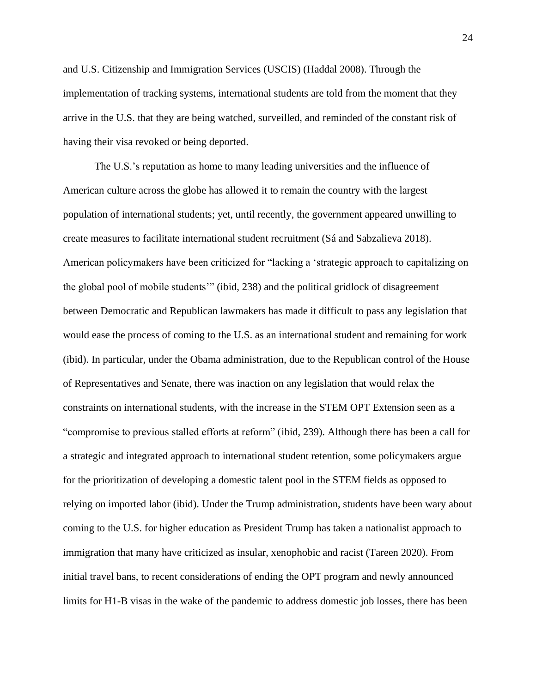and U.S. Citizenship and Immigration Services (USCIS) (Haddal 2008). Through the implementation of tracking systems, international students are told from the moment that they arrive in the U.S. that they are being watched, surveilled, and reminded of the constant risk of having their visa revoked or being deported.

The U.S.'s reputation as home to many leading universities and the influence of American culture across the globe has allowed it to remain the country with the largest population of international students; yet, until recently, the government appeared unwilling to create measures to facilitate international student recruitment (Sá and Sabzalieva 2018). American policymakers have been criticized for "lacking a 'strategic approach to capitalizing on the global pool of mobile students'" (ibid, 238) and the political gridlock of disagreement between Democratic and Republican lawmakers has made it difficult to pass any legislation that would ease the process of coming to the U.S. as an international student and remaining for work (ibid). In particular, under the Obama administration, due to the Republican control of the House of Representatives and Senate, there was inaction on any legislation that would relax the constraints on international students, with the increase in the STEM OPT Extension seen as a "compromise to previous stalled efforts at reform" (ibid, 239). Although there has been a call for a strategic and integrated approach to international student retention, some policymakers argue for the prioritization of developing a domestic talent pool in the STEM fields as opposed to relying on imported labor (ibid). Under the Trump administration, students have been wary about coming to the U.S. for higher education as President Trump has taken a nationalist approach to immigration that many have criticized as insular, xenophobic and racist (Tareen 2020). From initial travel bans, to recent considerations of ending the OPT program and newly announced limits for H1-B visas in the wake of the pandemic to address domestic job losses, there has been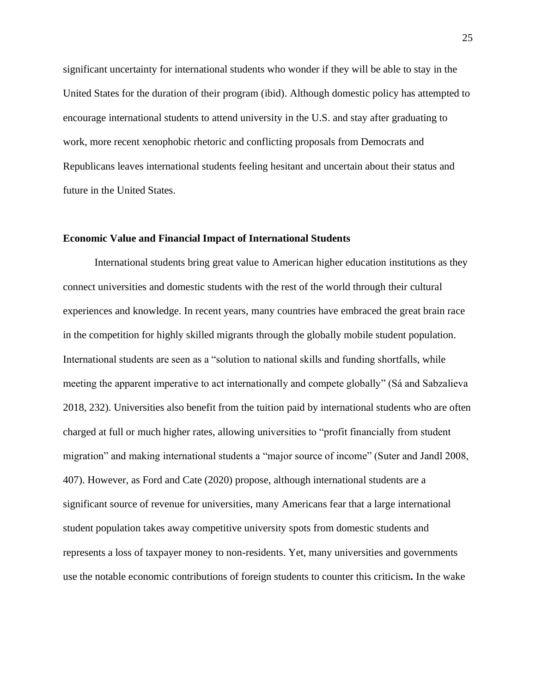significant uncertainty for international students who wonder if they will be able to stay in the United States for the duration of their program (ibid). Although domestic policy has attempted to encourage international students to attend university in the U.S. and stay after graduating to work, more recent xenophobic rhetoric and conflicting proposals from Democrats and Republicans leaves international students feeling hesitant and uncertain about their status and future in the United States.

#### <span id="page-25-0"></span>**Economic Value and Financial Impact of International Students**

International students bring great value to American higher education institutions as they connect universities and domestic students with the rest of the world through their cultural experiences and knowledge. In recent years, many countries have embraced the great brain race in the competition for highly skilled migrants through the globally mobile student population. International students are seen as a "solution to national skills and funding shortfalls, while meeting the apparent imperative to act internationally and compete globally" (Sá and Sabzalieva 2018, 232). Universities also benefit from the tuition paid by international students who are often charged at full or much higher rates, allowing universities to "profit financially from student migration" and making international students a "major source of income" (Suter and Jandl 2008, 407). However, as Ford and Cate (2020) propose, although international students are a significant source of revenue for universities, many Americans fear that a large international student population takes away competitive university spots from domestic students and represents a loss of taxpayer money to non-residents. Yet, many universities and governments use the notable economic contributions of foreign students to counter this criticism*.* In the wake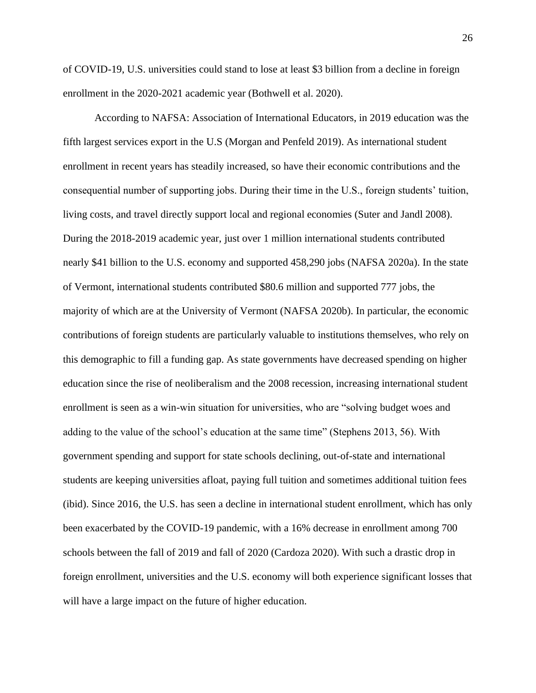of COVID-19, U.S. universities could stand to lose at least \$3 billion from a decline in foreign enrollment in the 2020-2021 academic year (Bothwell et al. 2020).

According to NAFSA: Association of International Educators, in 2019 education was the fifth largest services export in the U.S (Morgan and Penfeld 2019). As international student enrollment in recent years has steadily increased, so have their economic contributions and the consequential number of supporting jobs. During their time in the U.S., foreign students' tuition, living costs, and travel directly support local and regional economies (Suter and Jandl 2008). During the 2018-2019 academic year, just over 1 million international students contributed nearly \$41 billion to the U.S. economy and supported 458,290 jobs (NAFSA 2020a). In the state of Vermont, international students contributed \$80.6 million and supported 777 jobs, the majority of which are at the University of Vermont (NAFSA 2020b). In particular, the economic contributions of foreign students are particularly valuable to institutions themselves, who rely on this demographic to fill a funding gap. As state governments have decreased spending on higher education since the rise of neoliberalism and the 2008 recession, increasing international student enrollment is seen as a win-win situation for universities, who are "solving budget woes and adding to the value of the school's education at the same time" (Stephens 2013, 56). With government spending and support for state schools declining, out-of-state and international students are keeping universities afloat, paying full tuition and sometimes additional tuition fees (ibid). Since 2016, the U.S. has seen a decline in international student enrollment, which has only been exacerbated by the COVID-19 pandemic, with a 16% decrease in enrollment among 700 schools between the fall of 2019 and fall of 2020 (Cardoza 2020). With such a drastic drop in foreign enrollment, universities and the U.S. economy will both experience significant losses that will have a large impact on the future of higher education.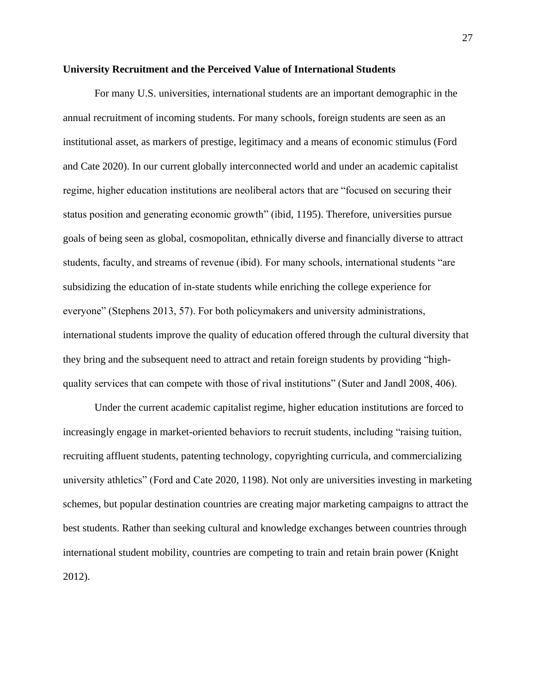#### <span id="page-27-0"></span>**University Recruitment and the Perceived Value of International Students**

For many U.S. universities, international students are an important demographic in the annual recruitment of incoming students. For many schools, foreign students are seen as an institutional asset, as markers of prestige, legitimacy and a means of economic stimulus (Ford and Cate 2020). In our current globally interconnected world and under an academic capitalist regime, higher education institutions are neoliberal actors that are "focused on securing their status position and generating economic growth" (ibid, 1195). Therefore, universities pursue goals of being seen as global, cosmopolitan, ethnically diverse and financially diverse to attract students, faculty, and streams of revenue (ibid). For many schools, international students "are subsidizing the education of in-state students while enriching the college experience for everyone" (Stephens 2013, 57). For both policymakers and university administrations, international students improve the quality of education offered through the cultural diversity that they bring and the subsequent need to attract and retain foreign students by providing "highquality services that can compete with those of rival institutions" (Suter and Jandl 2008, 406).

Under the current academic capitalist regime, higher education institutions are forced to increasingly engage in market-oriented behaviors to recruit students, including "raising tuition, recruiting affluent students, patenting technology, copyrighting curricula, and commercializing university athletics" (Ford and Cate 2020, 1198). Not only are universities investing in marketing schemes, but popular destination countries are creating major marketing campaigns to attract the best students. Rather than seeking cultural and knowledge exchanges between countries through international student mobility, countries are competing to train and retain brain power (Knight 2012).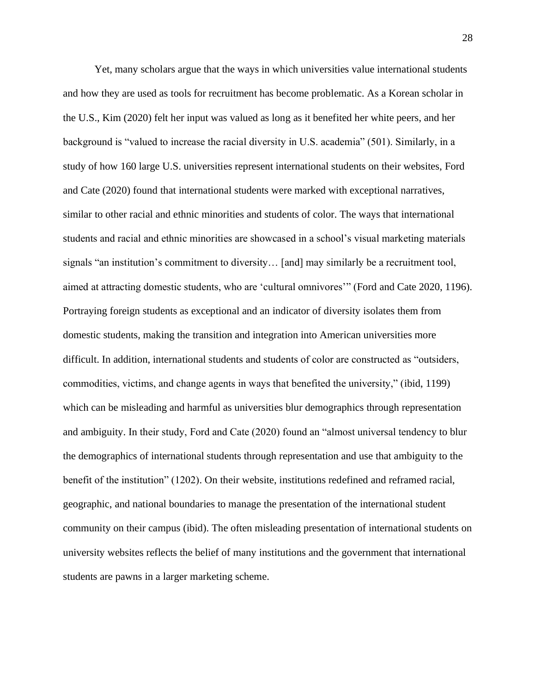Yet, many scholars argue that the ways in which universities value international students and how they are used as tools for recruitment has become problematic. As a Korean scholar in the U.S., Kim (2020) felt her input was valued as long as it benefited her white peers, and her background is "valued to increase the racial diversity in U.S. academia" (501). Similarly, in a study of how 160 large U.S. universities represent international students on their websites, Ford and Cate (2020) found that international students were marked with exceptional narratives, similar to other racial and ethnic minorities and students of color. The ways that international students and racial and ethnic minorities are showcased in a school's visual marketing materials signals "an institution's commitment to diversity… [and] may similarly be a recruitment tool, aimed at attracting domestic students, who are 'cultural omnivores'" (Ford and Cate 2020, 1196). Portraying foreign students as exceptional and an indicator of diversity isolates them from domestic students, making the transition and integration into American universities more difficult. In addition, international students and students of color are constructed as "outsiders, commodities, victims, and change agents in ways that benefited the university," (ibid, 1199) which can be misleading and harmful as universities blur demographics through representation and ambiguity. In their study, Ford and Cate (2020) found an "almost universal tendency to blur the demographics of international students through representation and use that ambiguity to the benefit of the institution" (1202). On their website, institutions redefined and reframed racial, geographic, and national boundaries to manage the presentation of the international student community on their campus (ibid). The often misleading presentation of international students on university websites reflects the belief of many institutions and the government that international students are pawns in a larger marketing scheme.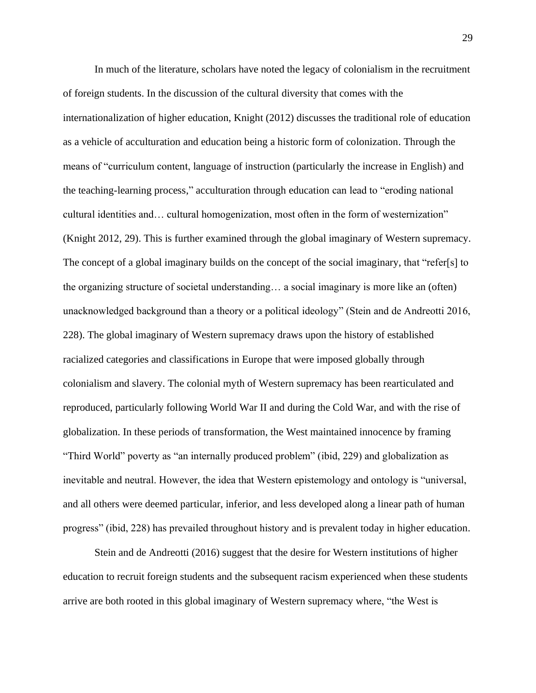In much of the literature, scholars have noted the legacy of colonialism in the recruitment of foreign students. In the discussion of the cultural diversity that comes with the internationalization of higher education, Knight (2012) discusses the traditional role of education as a vehicle of acculturation and education being a historic form of colonization. Through the means of "curriculum content, language of instruction (particularly the increase in English) and the teaching-learning process," acculturation through education can lead to "eroding national cultural identities and… cultural homogenization, most often in the form of westernization" (Knight 2012, 29). This is further examined through the global imaginary of Western supremacy. The concept of a global imaginary builds on the concept of the social imaginary, that "refer[s] to the organizing structure of societal understanding… a social imaginary is more like an (often) unacknowledged background than a theory or a political ideology" (Stein and de Andreotti 2016, 228). The global imaginary of Western supremacy draws upon the history of established racialized categories and classifications in Europe that were imposed globally through colonialism and slavery. The colonial myth of Western supremacy has been rearticulated and reproduced, particularly following World War II and during the Cold War, and with the rise of globalization. In these periods of transformation, the West maintained innocence by framing "Third World" poverty as "an internally produced problem" (ibid, 229) and globalization as inevitable and neutral. However, the idea that Western epistemology and ontology is "universal, and all others were deemed particular, inferior, and less developed along a linear path of human progress" (ibid, 228) has prevailed throughout history and is prevalent today in higher education.

Stein and de Andreotti (2016) suggest that the desire for Western institutions of higher education to recruit foreign students and the subsequent racism experienced when these students arrive are both rooted in this global imaginary of Western supremacy where, "the West is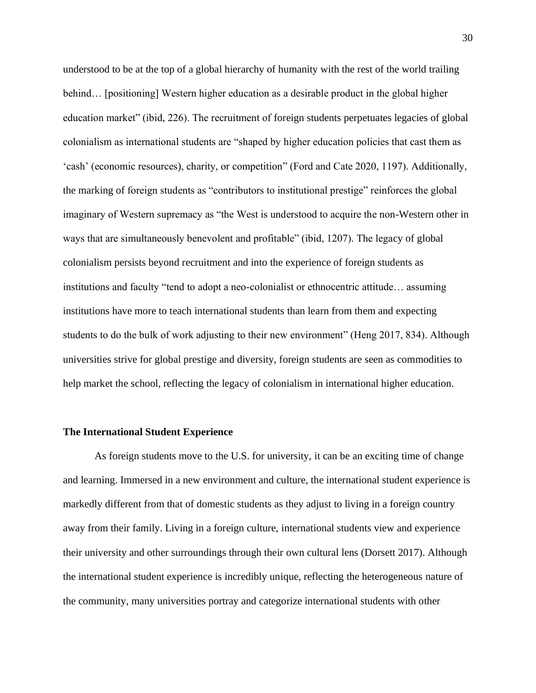understood to be at the top of a global hierarchy of humanity with the rest of the world trailing behind… [positioning] Western higher education as a desirable product in the global higher education market" (ibid, 226). The recruitment of foreign students perpetuates legacies of global colonialism as international students are "shaped by higher education policies that cast them as 'cash' (economic resources), charity, or competition" (Ford and Cate 2020, 1197). Additionally, the marking of foreign students as "contributors to institutional prestige" reinforces the global imaginary of Western supremacy as "the West is understood to acquire the non-Western other in ways that are simultaneously benevolent and profitable" (ibid, 1207). The legacy of global colonialism persists beyond recruitment and into the experience of foreign students as institutions and faculty "tend to adopt a neo-colonialist or ethnocentric attitude… assuming institutions have more to teach international students than learn from them and expecting students to do the bulk of work adjusting to their new environment" (Heng 2017, 834). Although universities strive for global prestige and diversity, foreign students are seen as commodities to help market the school, reflecting the legacy of colonialism in international higher education.

#### <span id="page-30-0"></span>**The International Student Experience**

As foreign students move to the U.S. for university, it can be an exciting time of change and learning. Immersed in a new environment and culture, the international student experience is markedly different from that of domestic students as they adjust to living in a foreign country away from their family. Living in a foreign culture, international students view and experience their university and other surroundings through their own cultural lens (Dorsett 2017). Although the international student experience is incredibly unique, reflecting the heterogeneous nature of the community, many universities portray and categorize international students with other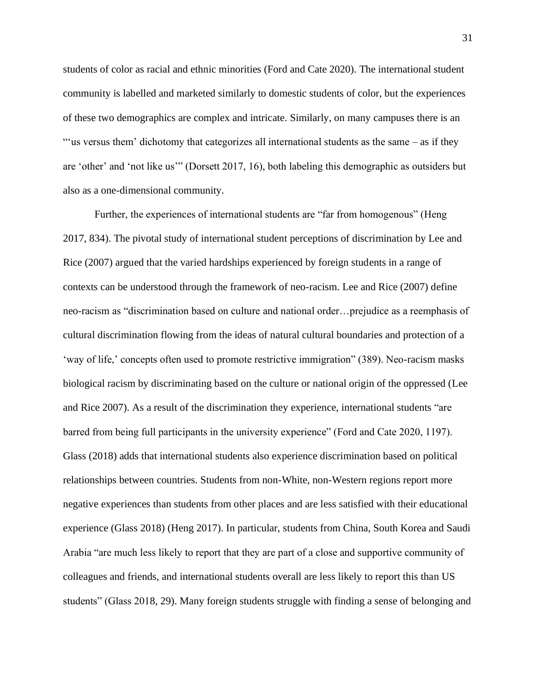students of color as racial and ethnic minorities (Ford and Cate 2020). The international student community is labelled and marketed similarly to domestic students of color, but the experiences of these two demographics are complex and intricate. Similarly, on many campuses there is an "'us versus them' dichotomy that categorizes all international students as the same – as if they are 'other' and 'not like us'" (Dorsett 2017, 16), both labeling this demographic as outsiders but also as a one-dimensional community.

Further, the experiences of international students are "far from homogenous" (Heng 2017, 834). The pivotal study of international student perceptions of discrimination by Lee and Rice (2007) argued that the varied hardships experienced by foreign students in a range of contexts can be understood through the framework of neo-racism. Lee and Rice (2007) define neo-racism as "discrimination based on culture and national order…prejudice as a reemphasis of cultural discrimination flowing from the ideas of natural cultural boundaries and protection of a 'way of life,' concepts often used to promote restrictive immigration" (389). Neo-racism masks biological racism by discriminating based on the culture or national origin of the oppressed (Lee and Rice 2007). As a result of the discrimination they experience, international students "are barred from being full participants in the university experience" (Ford and Cate 2020, 1197). Glass (2018) adds that international students also experience discrimination based on political relationships between countries. Students from non-White, non-Western regions report more negative experiences than students from other places and are less satisfied with their educational experience (Glass 2018) (Heng 2017). In particular, students from China, South Korea and Saudi Arabia "are much less likely to report that they are part of a close and supportive community of colleagues and friends, and international students overall are less likely to report this than US students" (Glass 2018, 29). Many foreign students struggle with finding a sense of belonging and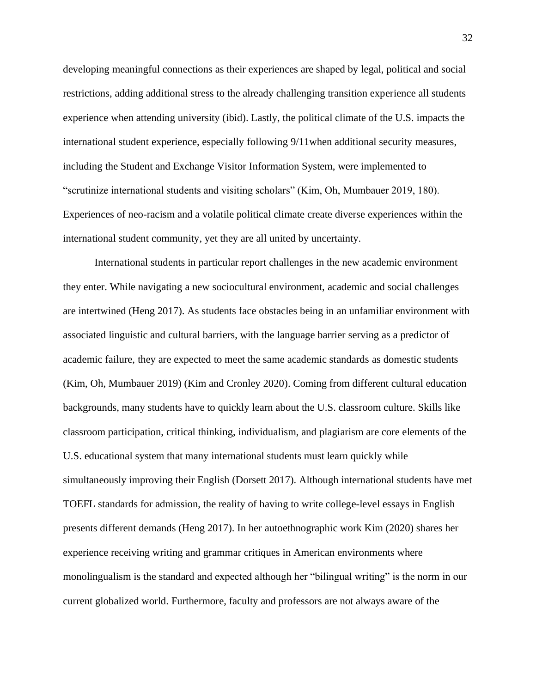developing meaningful connections as their experiences are shaped by legal, political and social restrictions, adding additional stress to the already challenging transition experience all students experience when attending university (ibid). Lastly, the political climate of the U.S. impacts the international student experience, especially following 9/11when additional security measures, including the Student and Exchange Visitor Information System, were implemented to "scrutinize international students and visiting scholars" (Kim, Oh, Mumbauer 2019, 180). Experiences of neo-racism and a volatile political climate create diverse experiences within the international student community, yet they are all united by uncertainty.

International students in particular report challenges in the new academic environment they enter. While navigating a new sociocultural environment, academic and social challenges are intertwined (Heng 2017). As students face obstacles being in an unfamiliar environment with associated linguistic and cultural barriers, with the language barrier serving as a predictor of academic failure, they are expected to meet the same academic standards as domestic students (Kim, Oh, Mumbauer 2019) (Kim and Cronley 2020). Coming from different cultural education backgrounds, many students have to quickly learn about the U.S. classroom culture. Skills like classroom participation, critical thinking, individualism, and plagiarism are core elements of the U.S. educational system that many international students must learn quickly while simultaneously improving their English (Dorsett 2017). Although international students have met TOEFL standards for admission, the reality of having to write college-level essays in English presents different demands (Heng 2017). In her autoethnographic work Kim (2020) shares her experience receiving writing and grammar critiques in American environments where monolingualism is the standard and expected although her "bilingual writing" is the norm in our current globalized world. Furthermore, faculty and professors are not always aware of the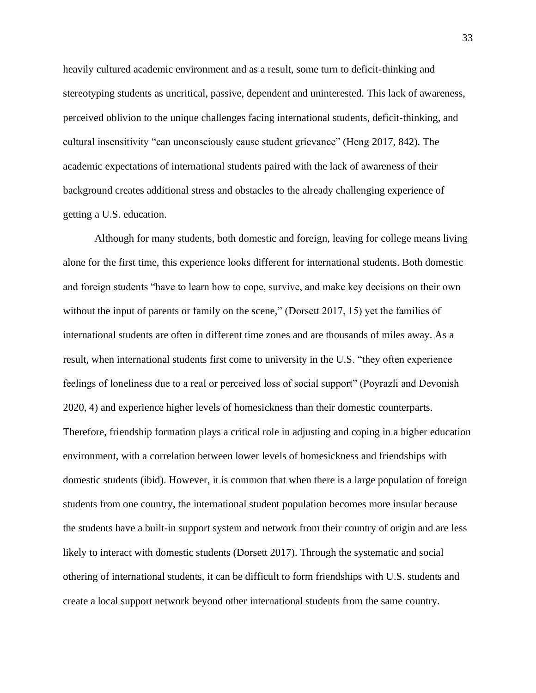heavily cultured academic environment and as a result, some turn to deficit-thinking and stereotyping students as uncritical, passive, dependent and uninterested. This lack of awareness, perceived oblivion to the unique challenges facing international students, deficit-thinking, and cultural insensitivity "can unconsciously cause student grievance" (Heng 2017, 842). The academic expectations of international students paired with the lack of awareness of their background creates additional stress and obstacles to the already challenging experience of getting a U.S. education.

Although for many students, both domestic and foreign, leaving for college means living alone for the first time, this experience looks different for international students. Both domestic and foreign students "have to learn how to cope, survive, and make key decisions on their own without the input of parents or family on the scene," (Dorsett 2017, 15) yet the families of international students are often in different time zones and are thousands of miles away. As a result, when international students first come to university in the U.S. "they often experience feelings of loneliness due to a real or perceived loss of social support" (Poyrazli and Devonish 2020, 4) and experience higher levels of homesickness than their domestic counterparts. Therefore, friendship formation plays a critical role in adjusting and coping in a higher education environment, with a correlation between lower levels of homesickness and friendships with domestic students (ibid). However, it is common that when there is a large population of foreign students from one country, the international student population becomes more insular because the students have a built-in support system and network from their country of origin and are less likely to interact with domestic students (Dorsett 2017). Through the systematic and social othering of international students, it can be difficult to form friendships with U.S. students and create a local support network beyond other international students from the same country.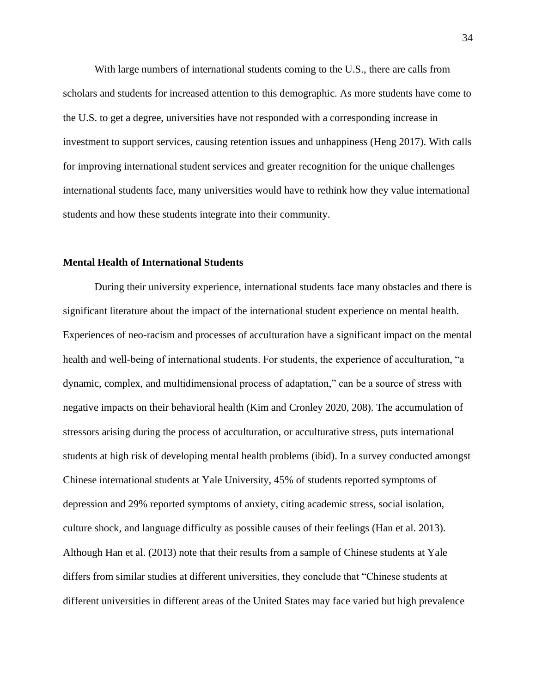With large numbers of international students coming to the U.S., there are calls from scholars and students for increased attention to this demographic. As more students have come to the U.S. to get a degree, universities have not responded with a corresponding increase in investment to support services, causing retention issues and unhappiness (Heng 2017). With calls for improving international student services and greater recognition for the unique challenges international students face, many universities would have to rethink how they value international students and how these students integrate into their community.

#### <span id="page-34-0"></span>**Mental Health of International Students**

During their university experience, international students face many obstacles and there is significant literature about the impact of the international student experience on mental health. Experiences of neo-racism and processes of acculturation have a significant impact on the mental health and well-being of international students. For students, the experience of acculturation, "a dynamic, complex, and multidimensional process of adaptation," can be a source of stress with negative impacts on their behavioral health (Kim and Cronley 2020, 208). The accumulation of stressors arising during the process of acculturation, or acculturative stress, puts international students at high risk of developing mental health problems (ibid). In a survey conducted amongst Chinese international students at Yale University, 45% of students reported symptoms of depression and 29% reported symptoms of anxiety, citing academic stress, social isolation, culture shock, and language difficulty as possible causes of their feelings (Han et al. 2013). Although Han et al. (2013) note that their results from a sample of Chinese students at Yale differs from similar studies at different universities, they conclude that "Chinese students at different universities in different areas of the United States may face varied but high prevalence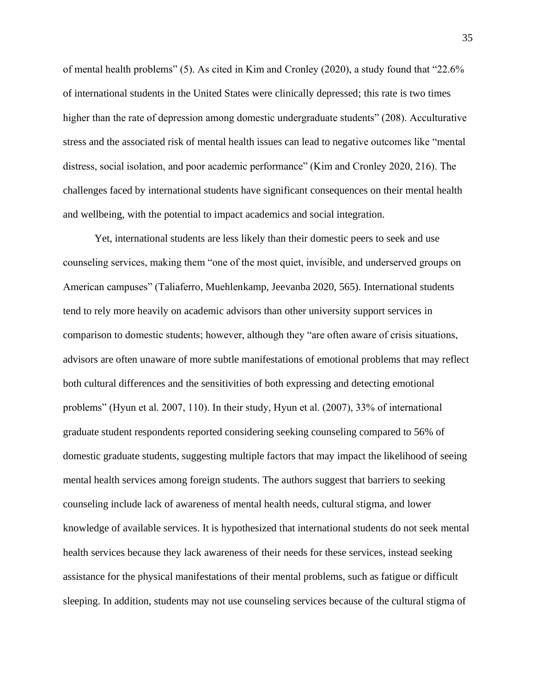of mental health problems" (5). As cited in Kim and Cronley (2020), a study found that "22.6% of international students in the United States were clinically depressed; this rate is two times higher than the rate of depression among domestic undergraduate students" (208). Acculturative stress and the associated risk of mental health issues can lead to negative outcomes like "mental distress, social isolation, and poor academic performance" (Kim and Cronley 2020, 216). The challenges faced by international students have significant consequences on their mental health and wellbeing, with the potential to impact academics and social integration.

Yet, international students are less likely than their domestic peers to seek and use counseling services, making them "one of the most quiet, invisible, and underserved groups on American campuses" (Taliaferro, Muehlenkamp, Jeevanba 2020, 565). International students tend to rely more heavily on academic advisors than other university support services in comparison to domestic students; however, although they "are often aware of crisis situations, advisors are often unaware of more subtle manifestations of emotional problems that may reflect both cultural differences and the sensitivities of both expressing and detecting emotional problems" (Hyun et al. 2007, 110). In their study, Hyun et al. (2007), 33% of international graduate student respondents reported considering seeking counseling compared to 56% of domestic graduate students, suggesting multiple factors that may impact the likelihood of seeing mental health services among foreign students. The authors suggest that barriers to seeking counseling include lack of awareness of mental health needs, cultural stigma, and lower knowledge of available services. It is hypothesized that international students do not seek mental health services because they lack awareness of their needs for these services, instead seeking assistance for the physical manifestations of their mental problems, such as fatigue or difficult sleeping. In addition, students may not use counseling services because of the cultural stigma of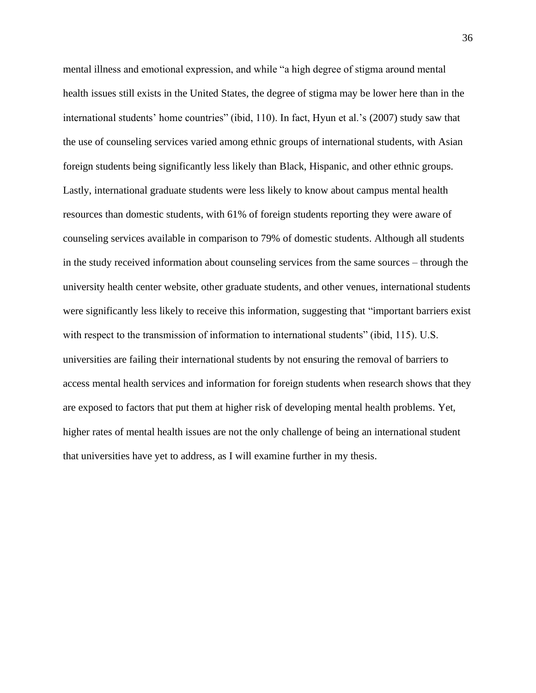mental illness and emotional expression, and while "a high degree of stigma around mental health issues still exists in the United States, the degree of stigma may be lower here than in the international students' home countries" (ibid, 110). In fact, Hyun et al.'s (2007) study saw that the use of counseling services varied among ethnic groups of international students, with Asian foreign students being significantly less likely than Black, Hispanic, and other ethnic groups. Lastly, international graduate students were less likely to know about campus mental health resources than domestic students, with 61% of foreign students reporting they were aware of counseling services available in comparison to 79% of domestic students. Although all students in the study received information about counseling services from the same sources – through the university health center website, other graduate students, and other venues, international students were significantly less likely to receive this information, suggesting that "important barriers exist with respect to the transmission of information to international students" (ibid, 115). U.S. universities are failing their international students by not ensuring the removal of barriers to access mental health services and information for foreign students when research shows that they are exposed to factors that put them at higher risk of developing mental health problems. Yet, higher rates of mental health issues are not the only challenge of being an international student that universities have yet to address, as I will examine further in my thesis.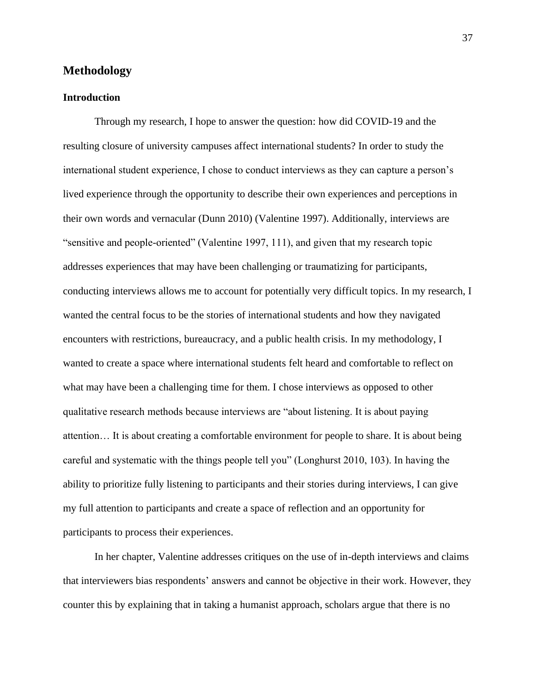# **Methodology**

## **Introduction**

Through my research, I hope to answer the question: how did COVID-19 and the resulting closure of university campuses affect international students? In order to study the international student experience, I chose to conduct interviews as they can capture a person's lived experience through the opportunity to describe their own experiences and perceptions in their own words and vernacular (Dunn 2010) (Valentine 1997). Additionally, interviews are "sensitive and people-oriented" (Valentine 1997, 111), and given that my research topic addresses experiences that may have been challenging or traumatizing for participants, conducting interviews allows me to account for potentially very difficult topics. In my research, I wanted the central focus to be the stories of international students and how they navigated encounters with restrictions, bureaucracy, and a public health crisis. In my methodology, I wanted to create a space where international students felt heard and comfortable to reflect on what may have been a challenging time for them. I chose interviews as opposed to other qualitative research methods because interviews are "about listening. It is about paying attention… It is about creating a comfortable environment for people to share. It is about being careful and systematic with the things people tell you" (Longhurst 2010, 103). In having the ability to prioritize fully listening to participants and their stories during interviews, I can give my full attention to participants and create a space of reflection and an opportunity for participants to process their experiences.

In her chapter, Valentine addresses critiques on the use of in-depth interviews and claims that interviewers bias respondents' answers and cannot be objective in their work. However, they counter this by explaining that in taking a humanist approach, scholars argue that there is no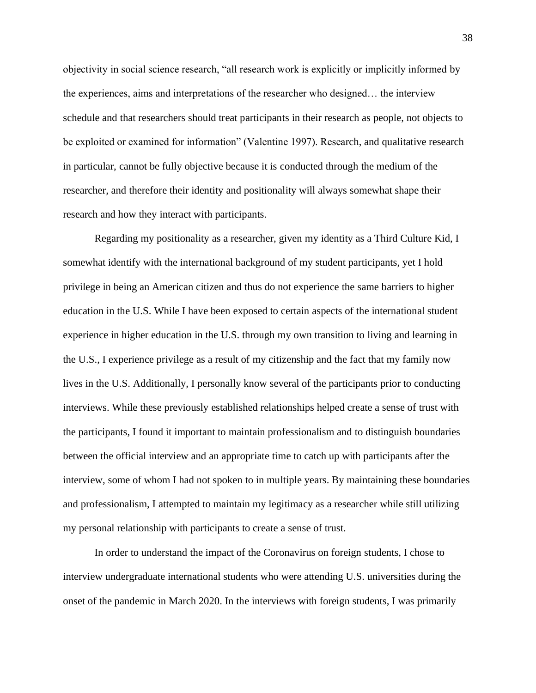objectivity in social science research, "all research work is explicitly or implicitly informed by the experiences, aims and interpretations of the researcher who designed… the interview schedule and that researchers should treat participants in their research as people, not objects to be exploited or examined for information" (Valentine 1997). Research, and qualitative research in particular, cannot be fully objective because it is conducted through the medium of the researcher, and therefore their identity and positionality will always somewhat shape their research and how they interact with participants.

Regarding my positionality as a researcher, given my identity as a Third Culture Kid, I somewhat identify with the international background of my student participants, yet I hold privilege in being an American citizen and thus do not experience the same barriers to higher education in the U.S. While I have been exposed to certain aspects of the international student experience in higher education in the U.S. through my own transition to living and learning in the U.S., I experience privilege as a result of my citizenship and the fact that my family now lives in the U.S. Additionally, I personally know several of the participants prior to conducting interviews. While these previously established relationships helped create a sense of trust with the participants, I found it important to maintain professionalism and to distinguish boundaries between the official interview and an appropriate time to catch up with participants after the interview, some of whom I had not spoken to in multiple years. By maintaining these boundaries and professionalism, I attempted to maintain my legitimacy as a researcher while still utilizing my personal relationship with participants to create a sense of trust.

In order to understand the impact of the Coronavirus on foreign students, I chose to interview undergraduate international students who were attending U.S. universities during the onset of the pandemic in March 2020. In the interviews with foreign students, I was primarily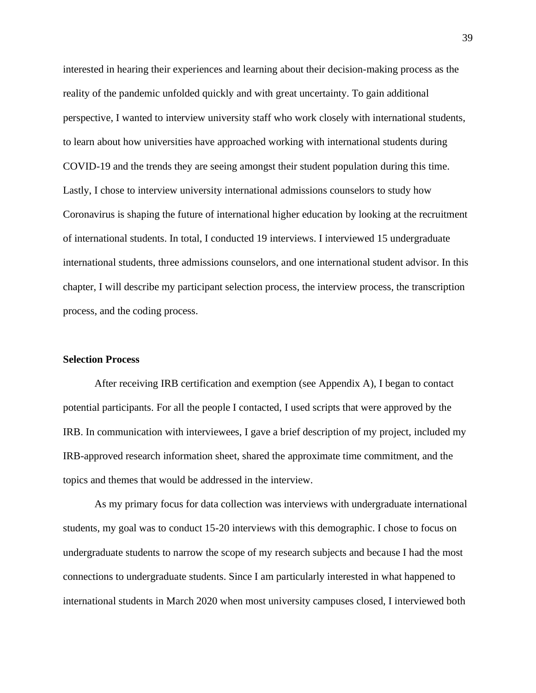interested in hearing their experiences and learning about their decision-making process as the reality of the pandemic unfolded quickly and with great uncertainty. To gain additional perspective, I wanted to interview university staff who work closely with international students, to learn about how universities have approached working with international students during COVID-19 and the trends they are seeing amongst their student population during this time. Lastly, I chose to interview university international admissions counselors to study how Coronavirus is shaping the future of international higher education by looking at the recruitment of international students. In total, I conducted 19 interviews. I interviewed 15 undergraduate international students, three admissions counselors, and one international student advisor. In this chapter, I will describe my participant selection process, the interview process, the transcription process, and the coding process.

### **Selection Process**

After receiving IRB certification and exemption (see Appendix A), I began to contact potential participants. For all the people I contacted, I used scripts that were approved by the IRB. In communication with interviewees, I gave a brief description of my project, included my IRB-approved research information sheet, shared the approximate time commitment, and the topics and themes that would be addressed in the interview.

As my primary focus for data collection was interviews with undergraduate international students, my goal was to conduct 15-20 interviews with this demographic. I chose to focus on undergraduate students to narrow the scope of my research subjects and because I had the most connections to undergraduate students. Since I am particularly interested in what happened to international students in March 2020 when most university campuses closed, I interviewed both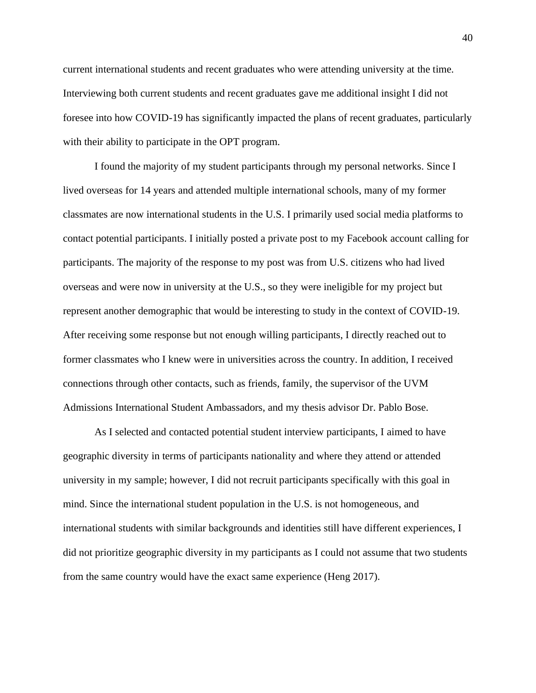current international students and recent graduates who were attending university at the time. Interviewing both current students and recent graduates gave me additional insight I did not foresee into how COVID-19 has significantly impacted the plans of recent graduates, particularly with their ability to participate in the OPT program.

I found the majority of my student participants through my personal networks. Since I lived overseas for 14 years and attended multiple international schools, many of my former classmates are now international students in the U.S. I primarily used social media platforms to contact potential participants. I initially posted a private post to my Facebook account calling for participants. The majority of the response to my post was from U.S. citizens who had lived overseas and were now in university at the U.S., so they were ineligible for my project but represent another demographic that would be interesting to study in the context of COVID-19. After receiving some response but not enough willing participants, I directly reached out to former classmates who I knew were in universities across the country. In addition, I received connections through other contacts, such as friends, family, the supervisor of the UVM Admissions International Student Ambassadors, and my thesis advisor Dr. Pablo Bose.

As I selected and contacted potential student interview participants, I aimed to have geographic diversity in terms of participants nationality and where they attend or attended university in my sample; however, I did not recruit participants specifically with this goal in mind. Since the international student population in the U.S. is not homogeneous, and international students with similar backgrounds and identities still have different experiences, I did not prioritize geographic diversity in my participants as I could not assume that two students from the same country would have the exact same experience (Heng 2017).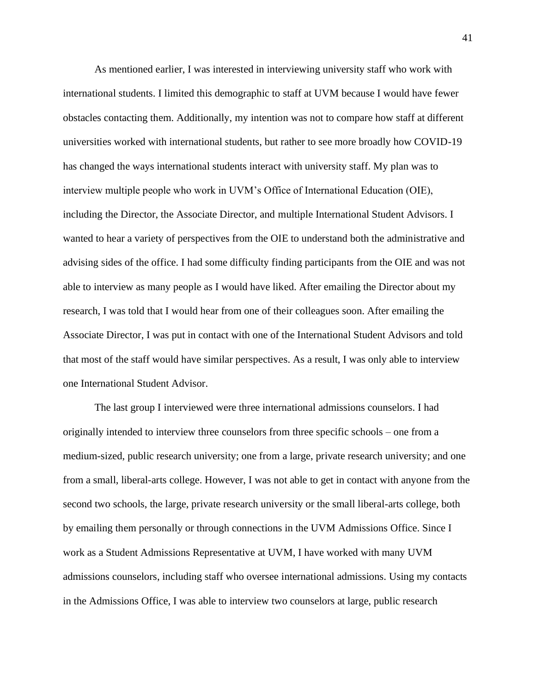As mentioned earlier, I was interested in interviewing university staff who work with international students. I limited this demographic to staff at UVM because I would have fewer obstacles contacting them. Additionally, my intention was not to compare how staff at different universities worked with international students, but rather to see more broadly how COVID-19 has changed the ways international students interact with university staff. My plan was to interview multiple people who work in UVM's Office of International Education (OIE), including the Director, the Associate Director, and multiple International Student Advisors. I wanted to hear a variety of perspectives from the OIE to understand both the administrative and advising sides of the office. I had some difficulty finding participants from the OIE and was not able to interview as many people as I would have liked. After emailing the Director about my research, I was told that I would hear from one of their colleagues soon. After emailing the Associate Director, I was put in contact with one of the International Student Advisors and told that most of the staff would have similar perspectives. As a result, I was only able to interview one International Student Advisor.

The last group I interviewed were three international admissions counselors. I had originally intended to interview three counselors from three specific schools – one from a medium-sized, public research university; one from a large, private research university; and one from a small, liberal-arts college. However, I was not able to get in contact with anyone from the second two schools, the large, private research university or the small liberal-arts college, both by emailing them personally or through connections in the UVM Admissions Office. Since I work as a Student Admissions Representative at UVM, I have worked with many UVM admissions counselors, including staff who oversee international admissions. Using my contacts in the Admissions Office, I was able to interview two counselors at large, public research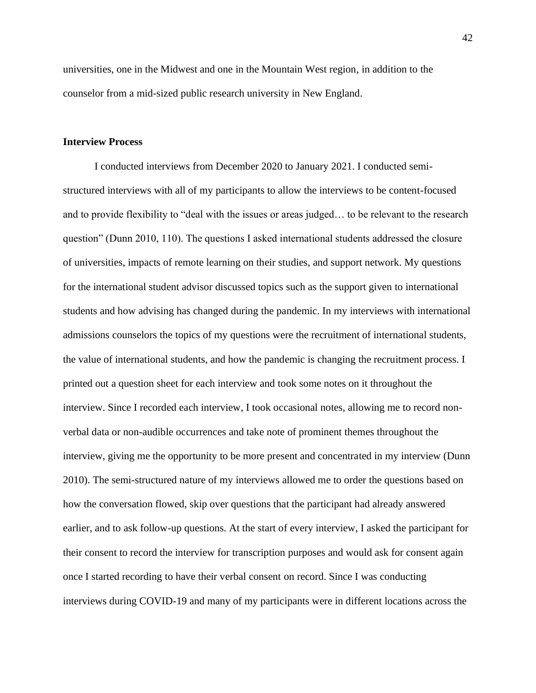universities, one in the Midwest and one in the Mountain West region, in addition to the counselor from a mid-sized public research university in New England.

### **Interview Process**

I conducted interviews from December 2020 to January 2021. I conducted semistructured interviews with all of my participants to allow the interviews to be content-focused and to provide flexibility to "deal with the issues or areas judged… to be relevant to the research question" (Dunn 2010, 110). The questions I asked international students addressed the closure of universities, impacts of remote learning on their studies, and support network. My questions for the international student advisor discussed topics such as the support given to international students and how advising has changed during the pandemic. In my interviews with international admissions counselors the topics of my questions were the recruitment of international students, the value of international students, and how the pandemic is changing the recruitment process. I printed out a question sheet for each interview and took some notes on it throughout the interview. Since I recorded each interview, I took occasional notes, allowing me to record nonverbal data or non-audible occurrences and take note of prominent themes throughout the interview, giving me the opportunity to be more present and concentrated in my interview (Dunn 2010). The semi-structured nature of my interviews allowed me to order the questions based on how the conversation flowed, skip over questions that the participant had already answered earlier, and to ask follow-up questions. At the start of every interview, I asked the participant for their consent to record the interview for transcription purposes and would ask for consent again once I started recording to have their verbal consent on record. Since I was conducting interviews during COVID-19 and many of my participants were in different locations across the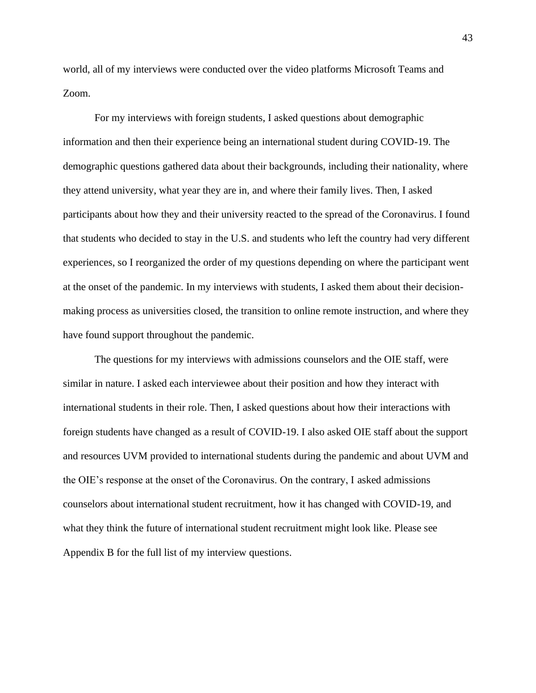world, all of my interviews were conducted over the video platforms Microsoft Teams and Zoom.

For my interviews with foreign students, I asked questions about demographic information and then their experience being an international student during COVID-19. The demographic questions gathered data about their backgrounds, including their nationality, where they attend university, what year they are in, and where their family lives. Then, I asked participants about how they and their university reacted to the spread of the Coronavirus. I found that students who decided to stay in the U.S. and students who left the country had very different experiences, so I reorganized the order of my questions depending on where the participant went at the onset of the pandemic. In my interviews with students, I asked them about their decisionmaking process as universities closed, the transition to online remote instruction, and where they have found support throughout the pandemic.

The questions for my interviews with admissions counselors and the OIE staff, were similar in nature. I asked each interviewee about their position and how they interact with international students in their role. Then, I asked questions about how their interactions with foreign students have changed as a result of COVID-19. I also asked OIE staff about the support and resources UVM provided to international students during the pandemic and about UVM and the OIE's response at the onset of the Coronavirus. On the contrary, I asked admissions counselors about international student recruitment, how it has changed with COVID-19, and what they think the future of international student recruitment might look like. Please see Appendix B for the full list of my interview questions.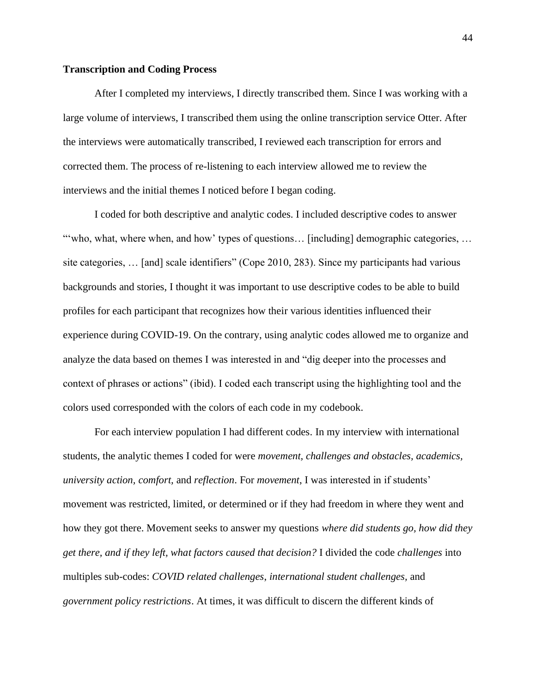#### **Transcription and Coding Process**

After I completed my interviews, I directly transcribed them. Since I was working with a large volume of interviews, I transcribed them using the online transcription service Otter. After the interviews were automatically transcribed, I reviewed each transcription for errors and corrected them. The process of re-listening to each interview allowed me to review the interviews and the initial themes I noticed before I began coding.

I coded for both descriptive and analytic codes. I included descriptive codes to answer "who, what, where when, and how' types of questions... [including] demographic categories, ... site categories, … [and] scale identifiers" (Cope 2010, 283). Since my participants had various backgrounds and stories, I thought it was important to use descriptive codes to be able to build profiles for each participant that recognizes how their various identities influenced their experience during COVID-19. On the contrary, using analytic codes allowed me to organize and analyze the data based on themes I was interested in and "dig deeper into the processes and context of phrases or actions" (ibid). I coded each transcript using the highlighting tool and the colors used corresponded with the colors of each code in my codebook.

For each interview population I had different codes. In my interview with international students, the analytic themes I coded for were *movement, challenges and obstacles, academics, university action, comfort,* and *reflection*. For *movement*, I was interested in if students' movement was restricted, limited, or determined or if they had freedom in where they went and how they got there. Movement seeks to answer my questions *where did students go, how did they get there, and if they left, what factors caused that decision?* I divided the code *challenges* into multiples sub-codes: *COVID related challenges*, *international student challenges,* and *government policy restrictions*. At times, it was difficult to discern the different kinds of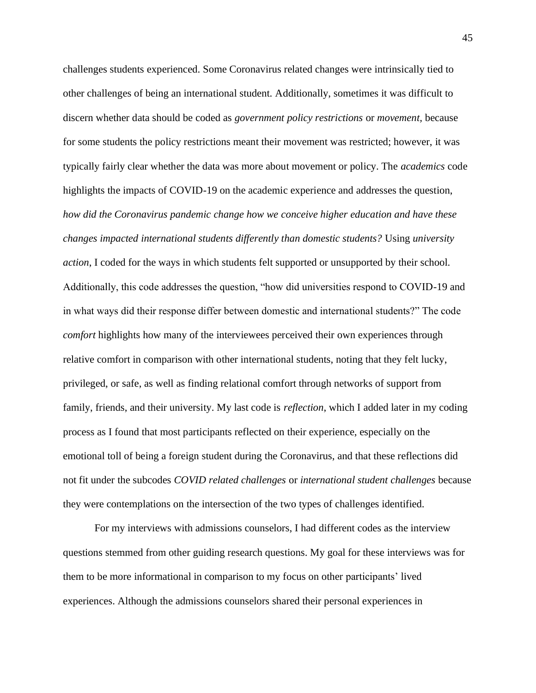challenges students experienced. Some Coronavirus related changes were intrinsically tied to other challenges of being an international student. Additionally, sometimes it was difficult to discern whether data should be coded as *government policy restrictions* or *movement,* because for some students the policy restrictions meant their movement was restricted; however, it was typically fairly clear whether the data was more about movement or policy. The *academics* code highlights the impacts of COVID-19 on the academic experience and addresses the question, *how did the Coronavirus pandemic change how we conceive higher education and have these changes impacted international students differently than domestic students?* Using *university action*, I coded for the ways in which students felt supported or unsupported by their school. Additionally, this code addresses the question, "how did universities respond to COVID-19 and in what ways did their response differ between domestic and international students?" The code *comfort* highlights how many of the interviewees perceived their own experiences through relative comfort in comparison with other international students, noting that they felt lucky, privileged, or safe, as well as finding relational comfort through networks of support from family, friends, and their university. My last code is *reflection*, which I added later in my coding process as I found that most participants reflected on their experience, especially on the emotional toll of being a foreign student during the Coronavirus, and that these reflections did not fit under the subcodes *COVID related challenges* or *international student challenges* because they were contemplations on the intersection of the two types of challenges identified.

For my interviews with admissions counselors, I had different codes as the interview questions stemmed from other guiding research questions. My goal for these interviews was for them to be more informational in comparison to my focus on other participants' lived experiences. Although the admissions counselors shared their personal experiences in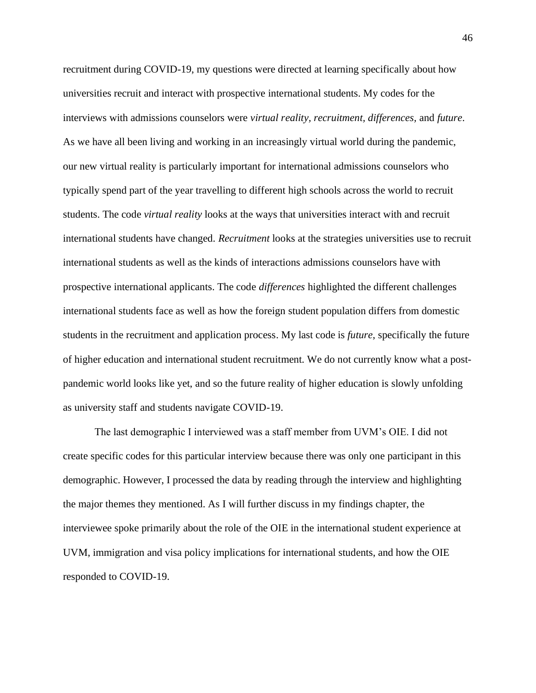recruitment during COVID-19, my questions were directed at learning specifically about how universities recruit and interact with prospective international students. My codes for the interviews with admissions counselors were *virtual reality, recruitment, differences,* and *future*. As we have all been living and working in an increasingly virtual world during the pandemic, our new virtual reality is particularly important for international admissions counselors who typically spend part of the year travelling to different high schools across the world to recruit students. The code *virtual reality* looks at the ways that universities interact with and recruit international students have changed. *Recruitment* looks at the strategies universities use to recruit international students as well as the kinds of interactions admissions counselors have with prospective international applicants. The code *differences* highlighted the different challenges international students face as well as how the foreign student population differs from domestic students in the recruitment and application process. My last code is *future*, specifically the future of higher education and international student recruitment. We do not currently know what a postpandemic world looks like yet, and so the future reality of higher education is slowly unfolding as university staff and students navigate COVID-19.

The last demographic I interviewed was a staff member from UVM's OIE. I did not create specific codes for this particular interview because there was only one participant in this demographic. However, I processed the data by reading through the interview and highlighting the major themes they mentioned. As I will further discuss in my findings chapter, the interviewee spoke primarily about the role of the OIE in the international student experience at UVM, immigration and visa policy implications for international students, and how the OIE responded to COVID-19.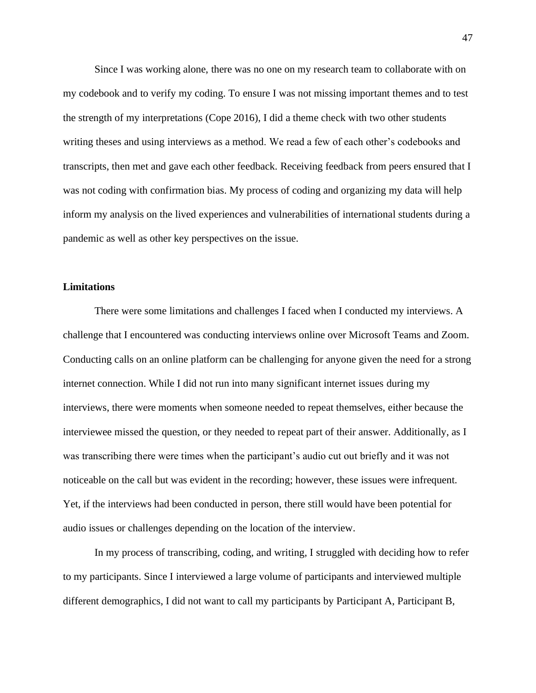Since I was working alone, there was no one on my research team to collaborate with on my codebook and to verify my coding. To ensure I was not missing important themes and to test the strength of my interpretations (Cope 2016), I did a theme check with two other students writing theses and using interviews as a method. We read a few of each other's codebooks and transcripts, then met and gave each other feedback. Receiving feedback from peers ensured that I was not coding with confirmation bias. My process of coding and organizing my data will help inform my analysis on the lived experiences and vulnerabilities of international students during a pandemic as well as other key perspectives on the issue.

## **Limitations**

There were some limitations and challenges I faced when I conducted my interviews. A challenge that I encountered was conducting interviews online over Microsoft Teams and Zoom. Conducting calls on an online platform can be challenging for anyone given the need for a strong internet connection. While I did not run into many significant internet issues during my interviews, there were moments when someone needed to repeat themselves, either because the interviewee missed the question, or they needed to repeat part of their answer. Additionally, as I was transcribing there were times when the participant's audio cut out briefly and it was not noticeable on the call but was evident in the recording; however, these issues were infrequent. Yet, if the interviews had been conducted in person, there still would have been potential for audio issues or challenges depending on the location of the interview.

In my process of transcribing, coding, and writing, I struggled with deciding how to refer to my participants. Since I interviewed a large volume of participants and interviewed multiple different demographics, I did not want to call my participants by Participant A, Participant B,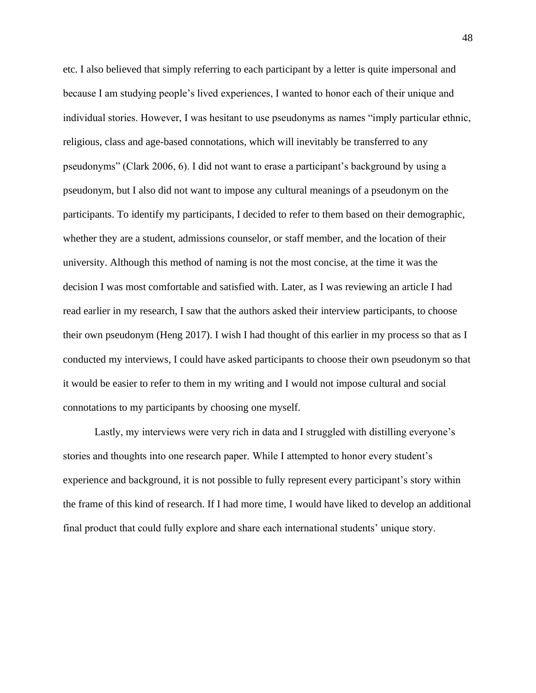etc. I also believed that simply referring to each participant by a letter is quite impersonal and because I am studying people's lived experiences, I wanted to honor each of their unique and individual stories. However, I was hesitant to use pseudonyms as names "imply particular ethnic, religious, class and age-based connotations, which will inevitably be transferred to any pseudonyms" (Clark 2006, 6). I did not want to erase a participant's background by using a pseudonym, but I also did not want to impose any cultural meanings of a pseudonym on the participants. To identify my participants, I decided to refer to them based on their demographic, whether they are a student, admissions counselor, or staff member, and the location of their university. Although this method of naming is not the most concise, at the time it was the decision I was most comfortable and satisfied with. Later, as I was reviewing an article I had read earlier in my research, I saw that the authors asked their interview participants, to choose their own pseudonym (Heng 2017). I wish I had thought of this earlier in my process so that as I conducted my interviews, I could have asked participants to choose their own pseudonym so that it would be easier to refer to them in my writing and I would not impose cultural and social connotations to my participants by choosing one myself.

Lastly, my interviews were very rich in data and I struggled with distilling everyone's stories and thoughts into one research paper. While I attempted to honor every student's experience and background, it is not possible to fully represent every participant's story within the frame of this kind of research. If I had more time, I would have liked to develop an additional final product that could fully explore and share each international students' unique story.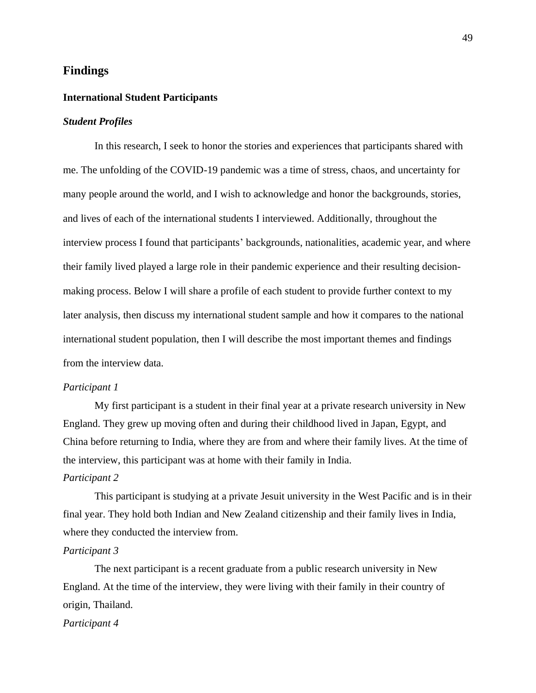# **Findings**

## **International Student Participants**

## *Student Profiles*

In this research, I seek to honor the stories and experiences that participants shared with me. The unfolding of the COVID-19 pandemic was a time of stress, chaos, and uncertainty for many people around the world, and I wish to acknowledge and honor the backgrounds, stories, and lives of each of the international students I interviewed. Additionally, throughout the interview process I found that participants' backgrounds, nationalities, academic year, and where their family lived played a large role in their pandemic experience and their resulting decisionmaking process. Below I will share a profile of each student to provide further context to my later analysis, then discuss my international student sample and how it compares to the national international student population, then I will describe the most important themes and findings from the interview data.

#### *Participant 1*

My first participant is a student in their final year at a private research university in New England. They grew up moving often and during their childhood lived in Japan, Egypt, and China before returning to India, where they are from and where their family lives. At the time of the interview, this participant was at home with their family in India.

## *Participant 2*

This participant is studying at a private Jesuit university in the West Pacific and is in their final year. They hold both Indian and New Zealand citizenship and their family lives in India, where they conducted the interview from.

## *Participant 3*

The next participant is a recent graduate from a public research university in New England. At the time of the interview, they were living with their family in their country of origin, Thailand.

## *Participant 4*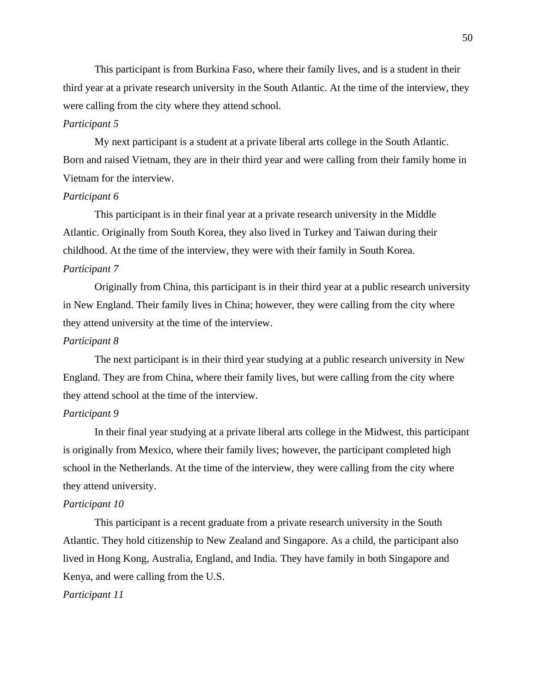This participant is from Burkina Faso, where their family lives, and is a student in their third year at a private research university in the South Atlantic. At the time of the interview, they were calling from the city where they attend school.

## *Participant 5*

My next participant is a student at a private liberal arts college in the South Atlantic. Born and raised Vietnam, they are in their third year and were calling from their family home in Vietnam for the interview.

### *Participant 6*

This participant is in their final year at a private research university in the Middle Atlantic. Originally from South Korea, they also lived in Turkey and Taiwan during their childhood. At the time of the interview, they were with their family in South Korea. *Participant 7*

Originally from China, this participant is in their third year at a public research university in New England. Their family lives in China; however, they were calling from the city where they attend university at the time of the interview.

## *Participant 8*

The next participant is in their third year studying at a public research university in New England. They are from China, where their family lives, but were calling from the city where they attend school at the time of the interview.

# *Participant 9*

In their final year studying at a private liberal arts college in the Midwest, this participant is originally from Mexico, where their family lives; however, the participant completed high school in the Netherlands. At the time of the interview, they were calling from the city where they attend university.

## *Participant 10*

This participant is a recent graduate from a private research university in the South Atlantic. They hold citizenship to New Zealand and Singapore. As a child, the participant also lived in Hong Kong, Australia, England, and India. They have family in both Singapore and Kenya, and were calling from the U.S.

## *Participant 11*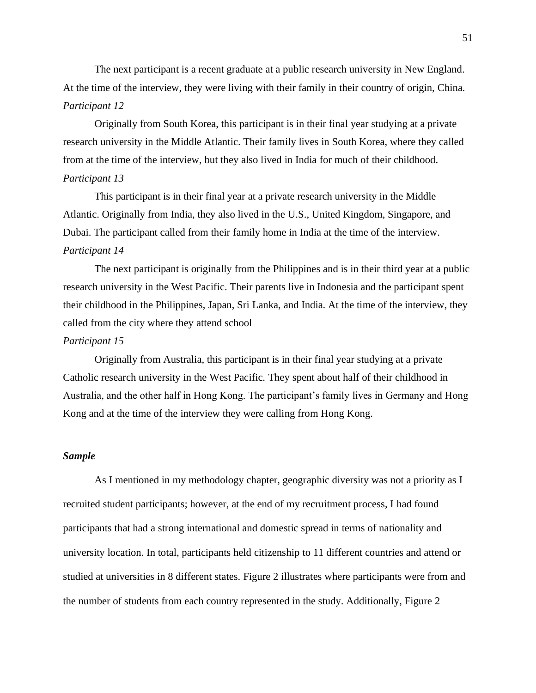The next participant is a recent graduate at a public research university in New England. At the time of the interview, they were living with their family in their country of origin, China. *Participant 12*

Originally from South Korea, this participant is in their final year studying at a private research university in the Middle Atlantic. Their family lives in South Korea, where they called from at the time of the interview, but they also lived in India for much of their childhood. *Participant 13*

This participant is in their final year at a private research university in the Middle Atlantic. Originally from India, they also lived in the U.S., United Kingdom, Singapore, and Dubai. The participant called from their family home in India at the time of the interview. *Participant 14*

The next participant is originally from the Philippines and is in their third year at a public research university in the West Pacific. Their parents live in Indonesia and the participant spent their childhood in the Philippines, Japan, Sri Lanka, and India. At the time of the interview, they called from the city where they attend school

## *Participant 15*

Originally from Australia, this participant is in their final year studying at a private Catholic research university in the West Pacific. They spent about half of their childhood in Australia, and the other half in Hong Kong. The participant's family lives in Germany and Hong Kong and at the time of the interview they were calling from Hong Kong.

## *Sample*

As I mentioned in my methodology chapter, geographic diversity was not a priority as I recruited student participants; however, at the end of my recruitment process, I had found participants that had a strong international and domestic spread in terms of nationality and university location. In total, participants held citizenship to 11 different countries and attend or studied at universities in 8 different states. Figure 2 illustrates where participants were from and the number of students from each country represented in the study. Additionally, Figure 2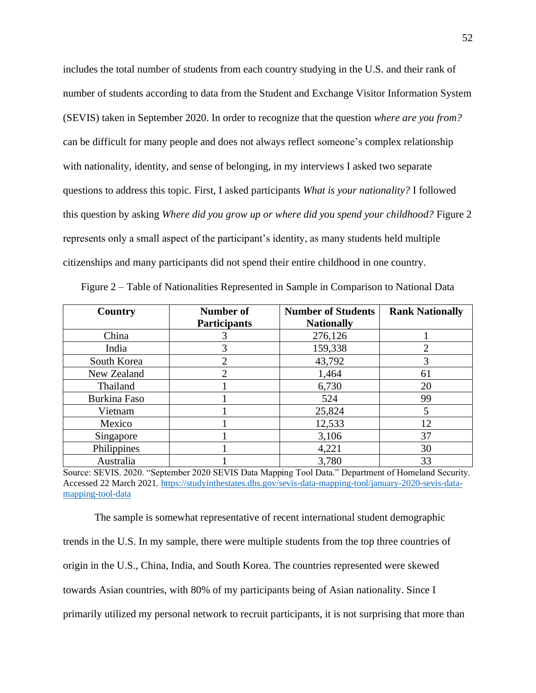includes the total number of students from each country studying in the U.S. and their rank of number of students according to data from the Student and Exchange Visitor Information System (SEVIS) taken in September 2020. In order to recognize that the question *where are you from?*  can be difficult for many people and does not always reflect someone's complex relationship with nationality, identity, and sense of belonging, in my interviews I asked two separate questions to address this topic. First, I asked participants *What is your nationality?* I followed this question by asking *Where did you grow up or where did you spend your childhood?* Figure 2 represents only a small aspect of the participant's identity, as many students held multiple citizenships and many participants did not spend their entire childhood in one country.

| Country      | Number of           | <b>Number of Students</b> | <b>Rank Nationally</b> |
|--------------|---------------------|---------------------------|------------------------|
|              | <b>Participants</b> | <b>Nationally</b>         |                        |
| China        |                     | 276,126                   |                        |
| India        |                     | 159,338                   | 2                      |
| South Korea  |                     | 43,792                    |                        |
| New Zealand  |                     | 1,464                     | 61                     |
| Thailand     |                     | 6,730                     | 20                     |
| Burkina Faso |                     | 524                       | 99                     |
| Vietnam      |                     | 25,824                    | 5                      |
| Mexico       |                     | 12,533                    | 12                     |
| Singapore    |                     | 3,106                     | 37                     |
| Philippines  |                     | 4,221                     | 30                     |
| Australia    |                     | 3,780                     | 33                     |

Figure 2 – Table of Nationalities Represented in Sample in Comparison to National Data

Source: SEVIS. 2020. "September 2020 SEVIS Data Mapping Tool Data." Department of Homeland Security. Accessed 22 March 2021[. https://studyinthestates.dhs.gov/sevis-data-mapping-tool/january-2020-sevis-data](https://studyinthestates.dhs.gov/sevis-data-mapping-tool/january-2020-sevis-data-mapping-tool-data)[mapping-tool-data](https://studyinthestates.dhs.gov/sevis-data-mapping-tool/january-2020-sevis-data-mapping-tool-data)

The sample is somewhat representative of recent international student demographic trends in the U.S. In my sample, there were multiple students from the top three countries of origin in the U.S., China, India, and South Korea. The countries represented were skewed towards Asian countries, with 80% of my participants being of Asian nationality. Since I primarily utilized my personal network to recruit participants, it is not surprising that more than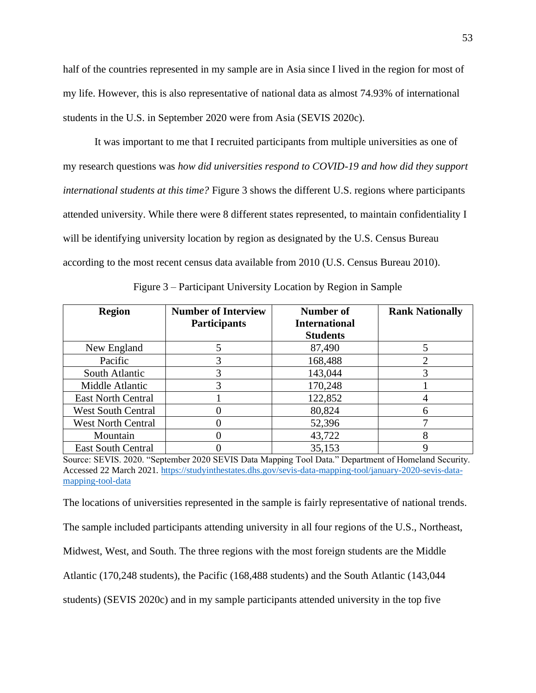half of the countries represented in my sample are in Asia since I lived in the region for most of my life. However, this is also representative of national data as almost 74.93% of international students in the U.S. in September 2020 were from Asia (SEVIS 2020c).

It was important to me that I recruited participants from multiple universities as one of my research questions was *how did universities respond to COVID-19 and how did they support international students at this time?* Figure 3 shows the different U.S. regions where participants attended university. While there were 8 different states represented, to maintain confidentiality I will be identifying university location by region as designated by the U.S. Census Bureau according to the most recent census data available from 2010 (U.S. Census Bureau 2010).

| <b>Region</b>             | <b>Number of Interview</b><br><b>Participants</b> | <b>Number of</b><br><b>International</b> | <b>Rank Nationally</b> |
|---------------------------|---------------------------------------------------|------------------------------------------|------------------------|
|                           |                                                   | <b>Students</b>                          |                        |
| New England               |                                                   | 87,490                                   |                        |
| Pacific                   | 3                                                 | 168,488                                  |                        |
| South Atlantic            | 3                                                 | 143,044                                  |                        |
| Middle Atlantic           |                                                   | 170,248                                  |                        |
| <b>East North Central</b> |                                                   | 122,852                                  |                        |
| <b>West South Central</b> |                                                   | 80,824                                   | h                      |
| <b>West North Central</b> |                                                   | 52,396                                   |                        |
| Mountain                  |                                                   | 43,722                                   | 8                      |
| <b>East South Central</b> |                                                   | 35,153                                   |                        |

Figure 3 – Participant University Location by Region in Sample

Source: SEVIS. 2020. "September 2020 SEVIS Data Mapping Tool Data." Department of Homeland Security. Accessed 22 March 2021[. https://studyinthestates.dhs.gov/sevis-data-mapping-tool/january-2020-sevis-data](https://studyinthestates.dhs.gov/sevis-data-mapping-tool/january-2020-sevis-data-mapping-tool-data)[mapping-tool-data](https://studyinthestates.dhs.gov/sevis-data-mapping-tool/january-2020-sevis-data-mapping-tool-data)

The locations of universities represented in the sample is fairly representative of national trends.

The sample included participants attending university in all four regions of the U.S., Northeast,

Midwest, West, and South. The three regions with the most foreign students are the Middle

Atlantic (170,248 students), the Pacific (168,488 students) and the South Atlantic (143,044

students) (SEVIS 2020c) and in my sample participants attended university in the top five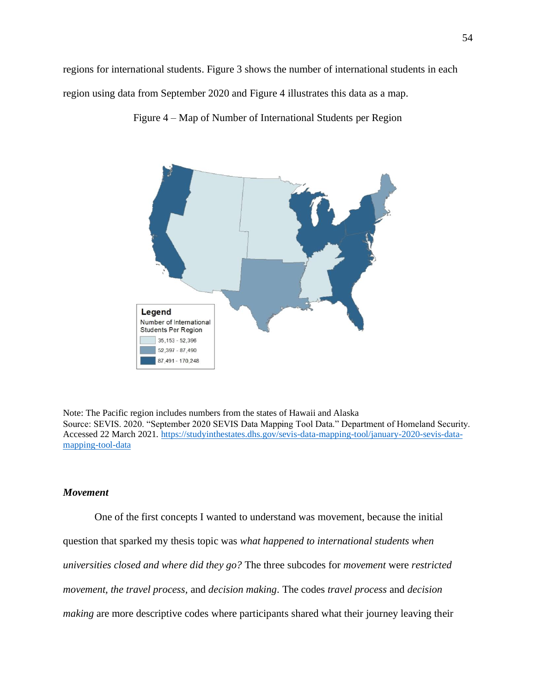regions for international students. Figure 3 shows the number of international students in each region using data from September 2020 and Figure 4 illustrates this data as a map.



Figure 4 – Map of Number of International Students per Region

Note: The Pacific region includes numbers from the states of Hawaii and Alaska Source: SEVIS. 2020. "September 2020 SEVIS Data Mapping Tool Data." Department of Homeland Security. Accessed 22 March 2021[. https://studyinthestates.dhs.gov/sevis-data-mapping-tool/january-2020-sevis-data](https://studyinthestates.dhs.gov/sevis-data-mapping-tool/january-2020-sevis-data-mapping-tool-data)[mapping-tool-data](https://studyinthestates.dhs.gov/sevis-data-mapping-tool/january-2020-sevis-data-mapping-tool-data)

## *Movement*

One of the first concepts I wanted to understand was movement, because the initial question that sparked my thesis topic was *what happened to international students when universities closed and where did they go?* The three subcodes for *movement* were *restricted movement, the travel process,* and *decision making*. The codes *travel process* and *decision making* are more descriptive codes where participants shared what their journey leaving their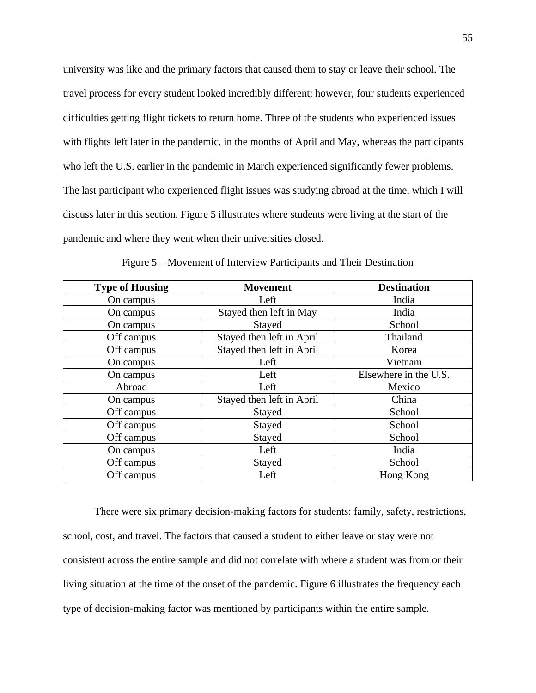university was like and the primary factors that caused them to stay or leave their school. The travel process for every student looked incredibly different; however, four students experienced difficulties getting flight tickets to return home. Three of the students who experienced issues with flights left later in the pandemic, in the months of April and May, whereas the participants who left the U.S. earlier in the pandemic in March experienced significantly fewer problems. The last participant who experienced flight issues was studying abroad at the time, which I will discuss later in this section. Figure 5 illustrates where students were living at the start of the pandemic and where they went when their universities closed.

| <b>Type of Housing</b> | <b>Movement</b>           | <b>Destination</b>    |
|------------------------|---------------------------|-----------------------|
| On campus              | Left                      | India                 |
| On campus              | Stayed then left in May   | India                 |
| On campus              | Stayed                    | School                |
| Off campus             | Stayed then left in April | Thailand              |
| Off campus             | Stayed then left in April | Korea                 |
| On campus              | Left                      | Vietnam               |
| On campus              | Left                      | Elsewhere in the U.S. |
| Abroad                 | Left                      | Mexico                |
| On campus              | Stayed then left in April | China                 |
| Off campus             | Stayed                    | School                |
| Off campus             | Stayed                    | School                |
| Off campus             | Stayed                    | School                |
| On campus              | Left                      | India                 |
| Off campus             | Stayed                    | School                |
| Off campus             | Left                      | Hong Kong             |

Figure 5 – Movement of Interview Participants and Their Destination

There were six primary decision-making factors for students: family, safety, restrictions, school, cost, and travel. The factors that caused a student to either leave or stay were not consistent across the entire sample and did not correlate with where a student was from or their living situation at the time of the onset of the pandemic. Figure 6 illustrates the frequency each type of decision-making factor was mentioned by participants within the entire sample.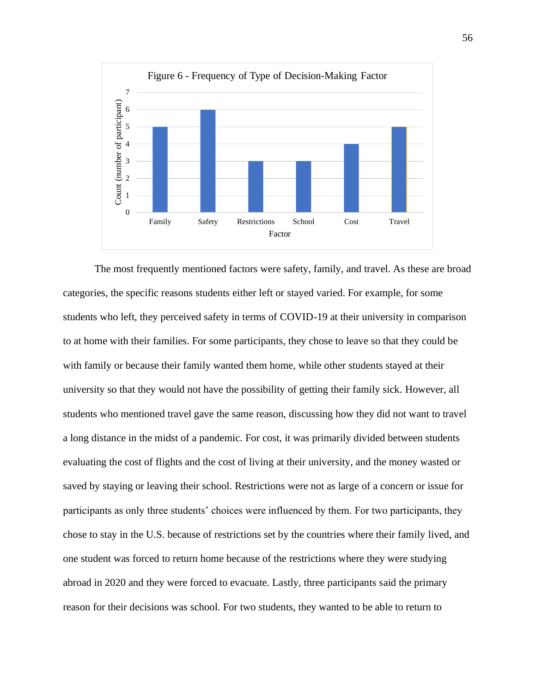

The most frequently mentioned factors were safety, family, and travel. As these are broad categories, the specific reasons students either left or stayed varied. For example, for some students who left, they perceived safety in terms of COVID-19 at their university in comparison to at home with their families. For some participants, they chose to leave so that they could be with family or because their family wanted them home, while other students stayed at their university so that they would not have the possibility of getting their family sick. However, all students who mentioned travel gave the same reason, discussing how they did not want to travel a long distance in the midst of a pandemic. For cost, it was primarily divided between students evaluating the cost of flights and the cost of living at their university, and the money wasted or saved by staying or leaving their school. Restrictions were not as large of a concern or issue for participants as only three students' choices were influenced by them. For two participants, they chose to stay in the U.S. because of restrictions set by the countries where their family lived, and one student was forced to return home because of the restrictions where they were studying abroad in 2020 and they were forced to evacuate. Lastly, three participants said the primary reason for their decisions was school. For two students, they wanted to be able to return to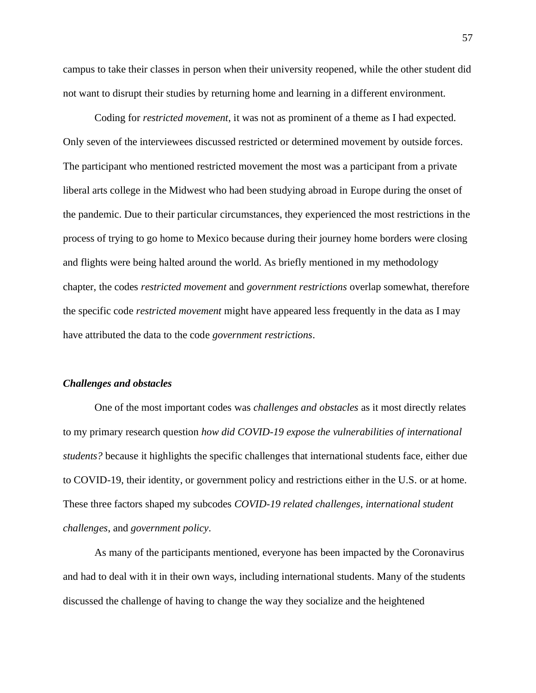campus to take their classes in person when their university reopened, while the other student did not want to disrupt their studies by returning home and learning in a different environment.

Coding for *restricted movement*, it was not as prominent of a theme as I had expected. Only seven of the interviewees discussed restricted or determined movement by outside forces. The participant who mentioned restricted movement the most was a participant from a private liberal arts college in the Midwest who had been studying abroad in Europe during the onset of the pandemic. Due to their particular circumstances, they experienced the most restrictions in the process of trying to go home to Mexico because during their journey home borders were closing and flights were being halted around the world. As briefly mentioned in my methodology chapter, the codes *restricted movement* and *government restrictions* overlap somewhat, therefore the specific code *restricted movement* might have appeared less frequently in the data as I may have attributed the data to the code *government restrictions*.

#### *Challenges and obstacles*

One of the most important codes was *challenges and obstacles* as it most directly relates to my primary research question *how did COVID-19 expose the vulnerabilities of international students?* because it highlights the specific challenges that international students face, either due to COVID-19, their identity, or government policy and restrictions either in the U.S. or at home. These three factors shaped my subcodes *COVID-19 related challenges, international student challenges*, and *government policy*.

As many of the participants mentioned, everyone has been impacted by the Coronavirus and had to deal with it in their own ways, including international students. Many of the students discussed the challenge of having to change the way they socialize and the heightened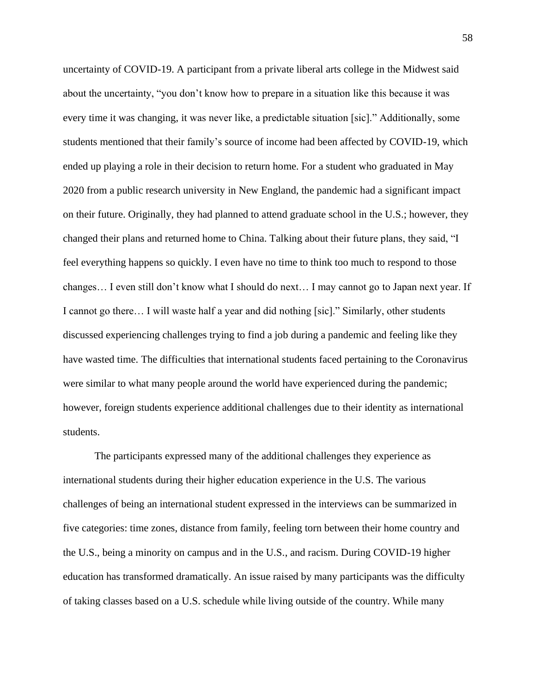uncertainty of COVID-19. A participant from a private liberal arts college in the Midwest said about the uncertainty, "you don't know how to prepare in a situation like this because it was every time it was changing, it was never like, a predictable situation [sic]." Additionally, some students mentioned that their family's source of income had been affected by COVID-19, which ended up playing a role in their decision to return home. For a student who graduated in May 2020 from a public research university in New England, the pandemic had a significant impact on their future. Originally, they had planned to attend graduate school in the U.S.; however, they changed their plans and returned home to China. Talking about their future plans, they said, "I feel everything happens so quickly. I even have no time to think too much to respond to those changes… I even still don't know what I should do next… I may cannot go to Japan next year. If I cannot go there… I will waste half a year and did nothing [sic]." Similarly, other students discussed experiencing challenges trying to find a job during a pandemic and feeling like they have wasted time. The difficulties that international students faced pertaining to the Coronavirus were similar to what many people around the world have experienced during the pandemic; however, foreign students experience additional challenges due to their identity as international students.

The participants expressed many of the additional challenges they experience as international students during their higher education experience in the U.S. The various challenges of being an international student expressed in the interviews can be summarized in five categories: time zones, distance from family, feeling torn between their home country and the U.S., being a minority on campus and in the U.S., and racism. During COVID-19 higher education has transformed dramatically. An issue raised by many participants was the difficulty of taking classes based on a U.S. schedule while living outside of the country. While many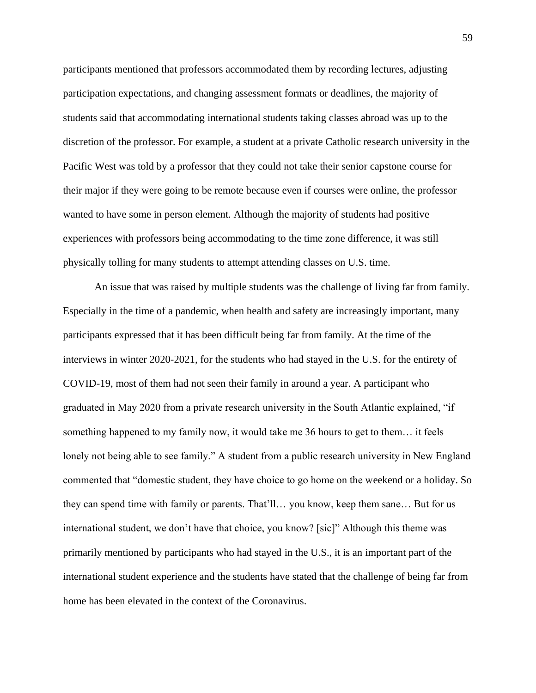participants mentioned that professors accommodated them by recording lectures, adjusting participation expectations, and changing assessment formats or deadlines, the majority of students said that accommodating international students taking classes abroad was up to the discretion of the professor. For example, a student at a private Catholic research university in the Pacific West was told by a professor that they could not take their senior capstone course for their major if they were going to be remote because even if courses were online, the professor wanted to have some in person element. Although the majority of students had positive experiences with professors being accommodating to the time zone difference, it was still physically tolling for many students to attempt attending classes on U.S. time.

An issue that was raised by multiple students was the challenge of living far from family. Especially in the time of a pandemic, when health and safety are increasingly important, many participants expressed that it has been difficult being far from family. At the time of the interviews in winter 2020-2021, for the students who had stayed in the U.S. for the entirety of COVID-19, most of them had not seen their family in around a year. A participant who graduated in May 2020 from a private research university in the South Atlantic explained, "if something happened to my family now, it would take me 36 hours to get to them… it feels lonely not being able to see family." A student from a public research university in New England commented that "domestic student, they have choice to go home on the weekend or a holiday. So they can spend time with family or parents. That'll… you know, keep them sane… But for us international student, we don't have that choice, you know? [sic]" Although this theme was primarily mentioned by participants who had stayed in the U.S., it is an important part of the international student experience and the students have stated that the challenge of being far from home has been elevated in the context of the Coronavirus.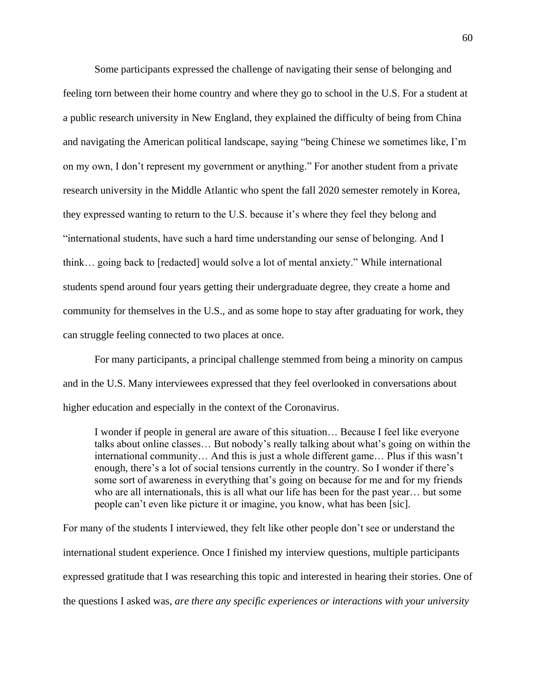Some participants expressed the challenge of navigating their sense of belonging and feeling torn between their home country and where they go to school in the U.S. For a student at a public research university in New England, they explained the difficulty of being from China and navigating the American political landscape, saying "being Chinese we sometimes like, I'm on my own, I don't represent my government or anything." For another student from a private research university in the Middle Atlantic who spent the fall 2020 semester remotely in Korea, they expressed wanting to return to the U.S. because it's where they feel they belong and "international students, have such a hard time understanding our sense of belonging. And I think… going back to [redacted] would solve a lot of mental anxiety." While international students spend around four years getting their undergraduate degree, they create a home and community for themselves in the U.S., and as some hope to stay after graduating for work, they can struggle feeling connected to two places at once.

For many participants, a principal challenge stemmed from being a minority on campus and in the U.S. Many interviewees expressed that they feel overlooked in conversations about higher education and especially in the context of the Coronavirus.

I wonder if people in general are aware of this situation… Because I feel like everyone talks about online classes… But nobody's really talking about what's going on within the international community… And this is just a whole different game… Plus if this wasn't enough, there's a lot of social tensions currently in the country. So I wonder if there's some sort of awareness in everything that's going on because for me and for my friends who are all internationals, this is all what our life has been for the past year… but some people can't even like picture it or imagine, you know, what has been [sic].

For many of the students I interviewed, they felt like other people don't see or understand the international student experience. Once I finished my interview questions, multiple participants expressed gratitude that I was researching this topic and interested in hearing their stories. One of the questions I asked was, *are there any specific experiences or interactions with your university*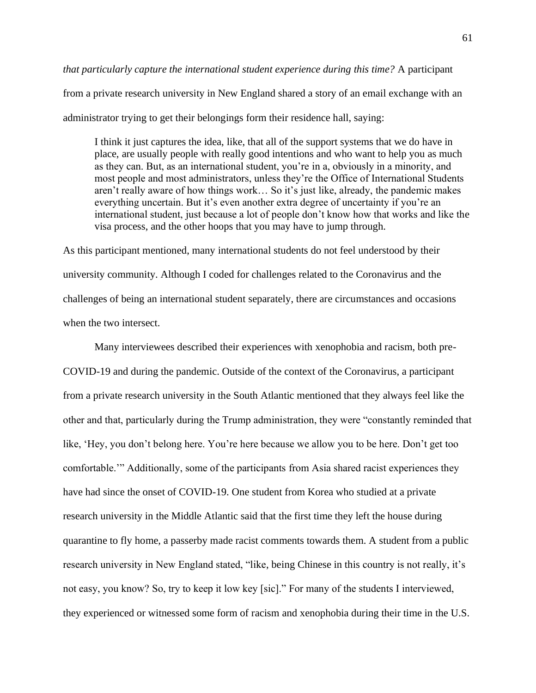## *that particularly capture the international student experience during this time?* A participant

from a private research university in New England shared a story of an email exchange with an administrator trying to get their belongings form their residence hall, saying:

I think it just captures the idea, like, that all of the support systems that we do have in place, are usually people with really good intentions and who want to help you as much as they can. But, as an international student, you're in a, obviously in a minority, and most people and most administrators, unless they're the Office of International Students aren't really aware of how things work… So it's just like, already, the pandemic makes everything uncertain. But it's even another extra degree of uncertainty if you're an international student, just because a lot of people don't know how that works and like the visa process, and the other hoops that you may have to jump through.

As this participant mentioned, many international students do not feel understood by their university community. Although I coded for challenges related to the Coronavirus and the challenges of being an international student separately, there are circumstances and occasions when the two intersect.

Many interviewees described their experiences with xenophobia and racism, both pre-COVID-19 and during the pandemic. Outside of the context of the Coronavirus, a participant from a private research university in the South Atlantic mentioned that they always feel like the other and that, particularly during the Trump administration, they were "constantly reminded that like, 'Hey, you don't belong here. You're here because we allow you to be here. Don't get too comfortable.'" Additionally, some of the participants from Asia shared racist experiences they have had since the onset of COVID-19. One student from Korea who studied at a private research university in the Middle Atlantic said that the first time they left the house during quarantine to fly home, a passerby made racist comments towards them. A student from a public research university in New England stated, "like, being Chinese in this country is not really, it's not easy, you know? So, try to keep it low key [sic]." For many of the students I interviewed, they experienced or witnessed some form of racism and xenophobia during their time in the U.S.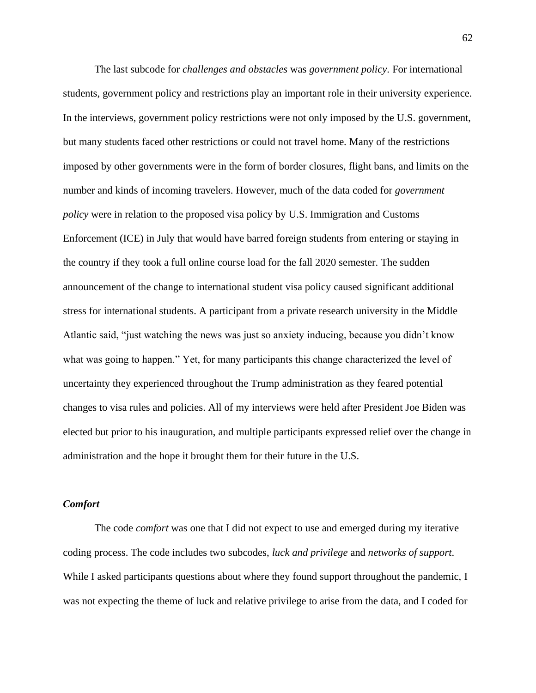The last subcode for *challenges and obstacles* was *government policy*. For international students, government policy and restrictions play an important role in their university experience. In the interviews, government policy restrictions were not only imposed by the U.S. government, but many students faced other restrictions or could not travel home. Many of the restrictions imposed by other governments were in the form of border closures, flight bans, and limits on the number and kinds of incoming travelers. However, much of the data coded for *government policy* were in relation to the proposed visa policy by U.S. Immigration and Customs Enforcement (ICE) in July that would have barred foreign students from entering or staying in the country if they took a full online course load for the fall 2020 semester. The sudden announcement of the change to international student visa policy caused significant additional stress for international students. A participant from a private research university in the Middle Atlantic said, "just watching the news was just so anxiety inducing, because you didn't know what was going to happen." Yet, for many participants this change characterized the level of uncertainty they experienced throughout the Trump administration as they feared potential changes to visa rules and policies. All of my interviews were held after President Joe Biden was elected but prior to his inauguration, and multiple participants expressed relief over the change in administration and the hope it brought them for their future in the U.S.

### *Comfort*

The code *comfort* was one that I did not expect to use and emerged during my iterative coding process. The code includes two subcodes, *luck and privilege* and *networks of support*. While I asked participants questions about where they found support throughout the pandemic, I was not expecting the theme of luck and relative privilege to arise from the data, and I coded for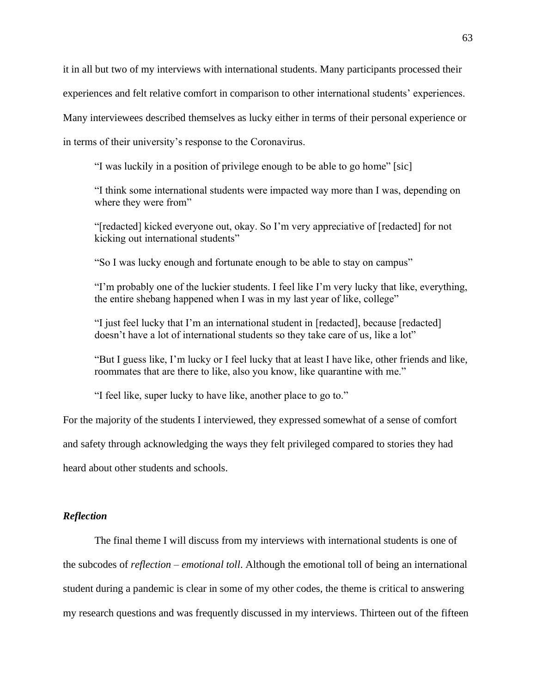it in all but two of my interviews with international students. Many participants processed their experiences and felt relative comfort in comparison to other international students' experiences. Many interviewees described themselves as lucky either in terms of their personal experience or in terms of their university's response to the Coronavirus.

"I was luckily in a position of privilege enough to be able to go home" [sic]

"I think some international students were impacted way more than I was, depending on where they were from"

"[redacted] kicked everyone out, okay. So I'm very appreciative of [redacted] for not kicking out international students"

"So I was lucky enough and fortunate enough to be able to stay on campus"

"I'm probably one of the luckier students. I feel like I'm very lucky that like, everything, the entire shebang happened when I was in my last year of like, college"

"I just feel lucky that I'm an international student in [redacted], because [redacted] doesn't have a lot of international students so they take care of us, like a lot"

"But I guess like, I'm lucky or I feel lucky that at least I have like, other friends and like, roommates that are there to like, also you know, like quarantine with me."

"I feel like, super lucky to have like, another place to go to."

For the majority of the students I interviewed, they expressed somewhat of a sense of comfort and safety through acknowledging the ways they felt privileged compared to stories they had heard about other students and schools.

## *Reflection*

The final theme I will discuss from my interviews with international students is one of the subcodes of *reflection* – *emotional toll*. Although the emotional toll of being an international student during a pandemic is clear in some of my other codes, the theme is critical to answering my research questions and was frequently discussed in my interviews. Thirteen out of the fifteen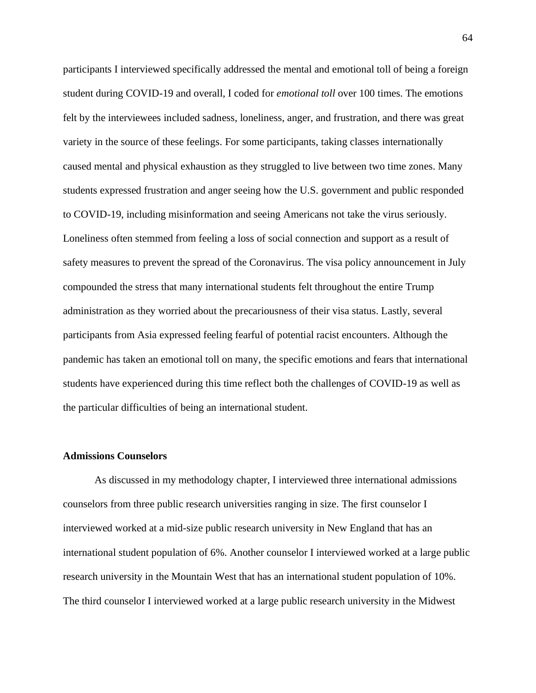participants I interviewed specifically addressed the mental and emotional toll of being a foreign student during COVID-19 and overall, I coded for *emotional toll* over 100 times. The emotions felt by the interviewees included sadness, loneliness, anger, and frustration, and there was great variety in the source of these feelings. For some participants, taking classes internationally caused mental and physical exhaustion as they struggled to live between two time zones. Many students expressed frustration and anger seeing how the U.S. government and public responded to COVID-19, including misinformation and seeing Americans not take the virus seriously. Loneliness often stemmed from feeling a loss of social connection and support as a result of safety measures to prevent the spread of the Coronavirus. The visa policy announcement in July compounded the stress that many international students felt throughout the entire Trump administration as they worried about the precariousness of their visa status. Lastly, several participants from Asia expressed feeling fearful of potential racist encounters. Although the pandemic has taken an emotional toll on many, the specific emotions and fears that international students have experienced during this time reflect both the challenges of COVID-19 as well as the particular difficulties of being an international student.

#### **Admissions Counselors**

As discussed in my methodology chapter, I interviewed three international admissions counselors from three public research universities ranging in size. The first counselor I interviewed worked at a mid-size public research university in New England that has an international student population of 6%. Another counselor I interviewed worked at a large public research university in the Mountain West that has an international student population of 10%. The third counselor I interviewed worked at a large public research university in the Midwest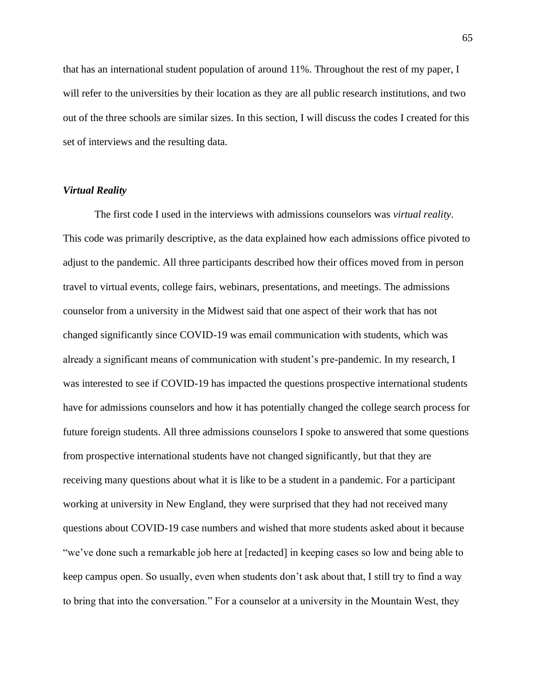that has an international student population of around 11%. Throughout the rest of my paper, I will refer to the universities by their location as they are all public research institutions, and two out of the three schools are similar sizes. In this section, I will discuss the codes I created for this set of interviews and the resulting data.

## *Virtual Reality*

The first code I used in the interviews with admissions counselors was *virtual reality*. This code was primarily descriptive, as the data explained how each admissions office pivoted to adjust to the pandemic. All three participants described how their offices moved from in person travel to virtual events, college fairs, webinars, presentations, and meetings. The admissions counselor from a university in the Midwest said that one aspect of their work that has not changed significantly since COVID-19 was email communication with students, which was already a significant means of communication with student's pre-pandemic. In my research, I was interested to see if COVID-19 has impacted the questions prospective international students have for admissions counselors and how it has potentially changed the college search process for future foreign students. All three admissions counselors I spoke to answered that some questions from prospective international students have not changed significantly, but that they are receiving many questions about what it is like to be a student in a pandemic. For a participant working at university in New England, they were surprised that they had not received many questions about COVID-19 case numbers and wished that more students asked about it because "we've done such a remarkable job here at [redacted] in keeping cases so low and being able to keep campus open. So usually, even when students don't ask about that, I still try to find a way to bring that into the conversation." For a counselor at a university in the Mountain West, they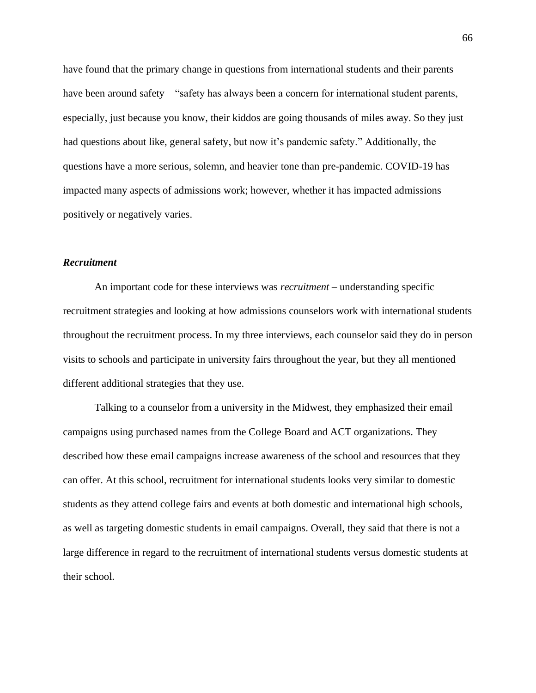have found that the primary change in questions from international students and their parents have been around safety – "safety has always been a concern for international student parents, especially, just because you know, their kiddos are going thousands of miles away. So they just had questions about like, general safety, but now it's pandemic safety." Additionally, the questions have a more serious, solemn, and heavier tone than pre-pandemic. COVID-19 has impacted many aspects of admissions work; however, whether it has impacted admissions positively or negatively varies.

## *Recruitment*

An important code for these interviews was *recruitment* – understanding specific recruitment strategies and looking at how admissions counselors work with international students throughout the recruitment process. In my three interviews, each counselor said they do in person visits to schools and participate in university fairs throughout the year, but they all mentioned different additional strategies that they use.

Talking to a counselor from a university in the Midwest, they emphasized their email campaigns using purchased names from the College Board and ACT organizations. They described how these email campaigns increase awareness of the school and resources that they can offer. At this school, recruitment for international students looks very similar to domestic students as they attend college fairs and events at both domestic and international high schools, as well as targeting domestic students in email campaigns. Overall, they said that there is not a large difference in regard to the recruitment of international students versus domestic students at their school.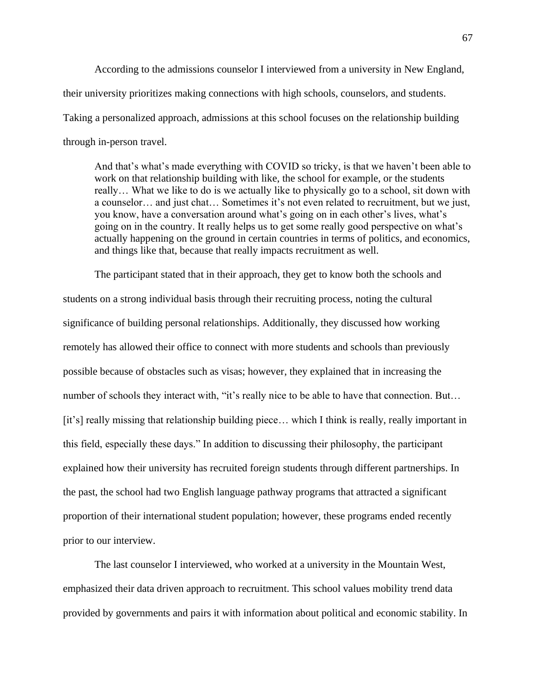According to the admissions counselor I interviewed from a university in New England, their university prioritizes making connections with high schools, counselors, and students. Taking a personalized approach, admissions at this school focuses on the relationship building through in-person travel.

And that's what's made everything with COVID so tricky, is that we haven't been able to work on that relationship building with like, the school for example, or the students really… What we like to do is we actually like to physically go to a school, sit down with a counselor… and just chat… Sometimes it's not even related to recruitment, but we just, you know, have a conversation around what's going on in each other's lives, what's going on in the country. It really helps us to get some really good perspective on what's actually happening on the ground in certain countries in terms of politics, and economics, and things like that, because that really impacts recruitment as well.

The participant stated that in their approach, they get to know both the schools and students on a strong individual basis through their recruiting process, noting the cultural significance of building personal relationships. Additionally, they discussed how working remotely has allowed their office to connect with more students and schools than previously possible because of obstacles such as visas; however, they explained that in increasing the number of schools they interact with, "it's really nice to be able to have that connection. But… [it's] really missing that relationship building piece... which I think is really, really important in this field, especially these days." In addition to discussing their philosophy, the participant explained how their university has recruited foreign students through different partnerships. In the past, the school had two English language pathway programs that attracted a significant proportion of their international student population; however, these programs ended recently prior to our interview.

The last counselor I interviewed, who worked at a university in the Mountain West, emphasized their data driven approach to recruitment. This school values mobility trend data provided by governments and pairs it with information about political and economic stability. In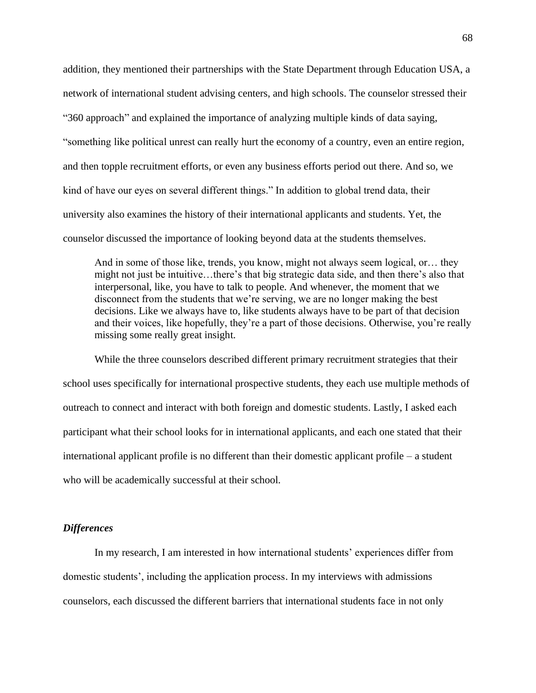addition, they mentioned their partnerships with the State Department through Education USA, a network of international student advising centers, and high schools. The counselor stressed their "360 approach" and explained the importance of analyzing multiple kinds of data saying, "something like political unrest can really hurt the economy of a country, even an entire region, and then topple recruitment efforts, or even any business efforts period out there. And so, we kind of have our eyes on several different things." In addition to global trend data, their university also examines the history of their international applicants and students. Yet, the counselor discussed the importance of looking beyond data at the students themselves.

And in some of those like, trends, you know, might not always seem logical, or… they might not just be intuitive…there's that big strategic data side, and then there's also that interpersonal, like, you have to talk to people. And whenever, the moment that we disconnect from the students that we're serving, we are no longer making the best decisions. Like we always have to, like students always have to be part of that decision and their voices, like hopefully, they're a part of those decisions. Otherwise, you're really missing some really great insight.

While the three counselors described different primary recruitment strategies that their school uses specifically for international prospective students, they each use multiple methods of outreach to connect and interact with both foreign and domestic students. Lastly, I asked each participant what their school looks for in international applicants, and each one stated that their international applicant profile is no different than their domestic applicant profile – a student who will be academically successful at their school.

#### *Differences*

In my research, I am interested in how international students' experiences differ from domestic students', including the application process. In my interviews with admissions counselors, each discussed the different barriers that international students face in not only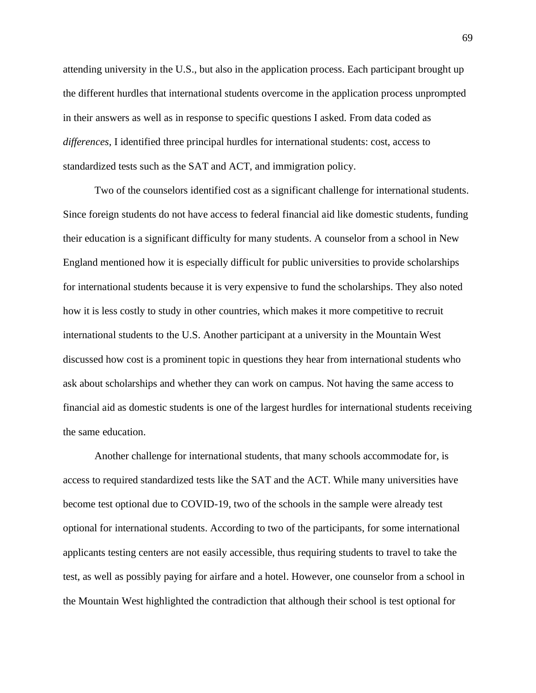attending university in the U.S., but also in the application process. Each participant brought up the different hurdles that international students overcome in the application process unprompted in their answers as well as in response to specific questions I asked. From data coded as *differences*, I identified three principal hurdles for international students: cost, access to standardized tests such as the SAT and ACT, and immigration policy.

Two of the counselors identified cost as a significant challenge for international students. Since foreign students do not have access to federal financial aid like domestic students, funding their education is a significant difficulty for many students. A counselor from a school in New England mentioned how it is especially difficult for public universities to provide scholarships for international students because it is very expensive to fund the scholarships. They also noted how it is less costly to study in other countries, which makes it more competitive to recruit international students to the U.S. Another participant at a university in the Mountain West discussed how cost is a prominent topic in questions they hear from international students who ask about scholarships and whether they can work on campus. Not having the same access to financial aid as domestic students is one of the largest hurdles for international students receiving the same education.

Another challenge for international students, that many schools accommodate for, is access to required standardized tests like the SAT and the ACT. While many universities have become test optional due to COVID-19, two of the schools in the sample were already test optional for international students. According to two of the participants, for some international applicants testing centers are not easily accessible, thus requiring students to travel to take the test, as well as possibly paying for airfare and a hotel. However, one counselor from a school in the Mountain West highlighted the contradiction that although their school is test optional for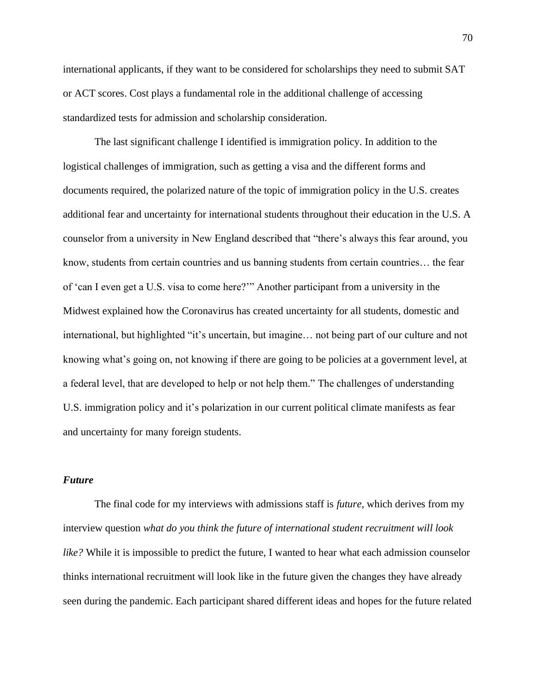international applicants, if they want to be considered for scholarships they need to submit SAT or ACT scores. Cost plays a fundamental role in the additional challenge of accessing standardized tests for admission and scholarship consideration.

The last significant challenge I identified is immigration policy. In addition to the logistical challenges of immigration, such as getting a visa and the different forms and documents required, the polarized nature of the topic of immigration policy in the U.S. creates additional fear and uncertainty for international students throughout their education in the U.S. A counselor from a university in New England described that "there's always this fear around, you know, students from certain countries and us banning students from certain countries… the fear of 'can I even get a U.S. visa to come here?'" Another participant from a university in the Midwest explained how the Coronavirus has created uncertainty for all students, domestic and international, but highlighted "it's uncertain, but imagine… not being part of our culture and not knowing what's going on, not knowing if there are going to be policies at a government level, at a federal level, that are developed to help or not help them." The challenges of understanding U.S. immigration policy and it's polarization in our current political climate manifests as fear and uncertainty for many foreign students.

### *Future*

The final code for my interviews with admissions staff is *future*, which derives from my interview question *what do you think the future of international student recruitment will look like?* While it is impossible to predict the future, I wanted to hear what each admission counselor thinks international recruitment will look like in the future given the changes they have already seen during the pandemic. Each participant shared different ideas and hopes for the future related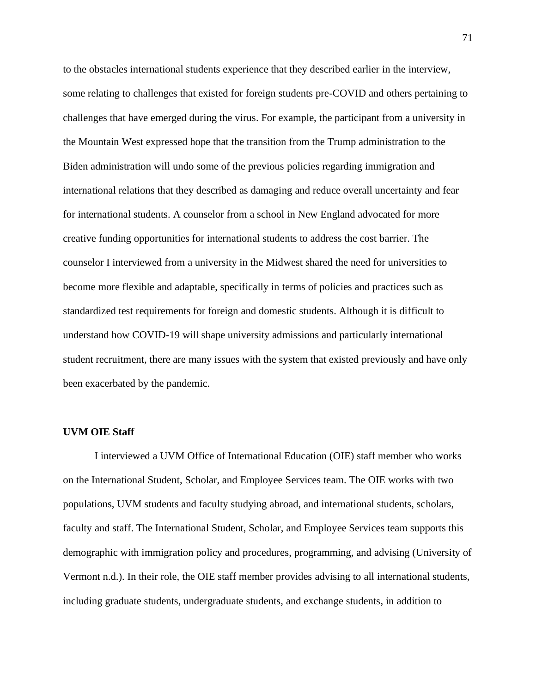to the obstacles international students experience that they described earlier in the interview, some relating to challenges that existed for foreign students pre-COVID and others pertaining to challenges that have emerged during the virus. For example, the participant from a university in the Mountain West expressed hope that the transition from the Trump administration to the Biden administration will undo some of the previous policies regarding immigration and international relations that they described as damaging and reduce overall uncertainty and fear for international students. A counselor from a school in New England advocated for more creative funding opportunities for international students to address the cost barrier. The counselor I interviewed from a university in the Midwest shared the need for universities to become more flexible and adaptable, specifically in terms of policies and practices such as standardized test requirements for foreign and domestic students. Although it is difficult to understand how COVID-19 will shape university admissions and particularly international student recruitment, there are many issues with the system that existed previously and have only been exacerbated by the pandemic.

## **UVM OIE Staff**

I interviewed a UVM Office of International Education (OIE) staff member who works on the International Student, Scholar, and Employee Services team. The OIE works with two populations, UVM students and faculty studying abroad, and international students, scholars, faculty and staff. The International Student, Scholar, and Employee Services team supports this demographic with immigration policy and procedures, programming, and advising (University of Vermont n.d.). In their role, the OIE staff member provides advising to all international students, including graduate students, undergraduate students, and exchange students, in addition to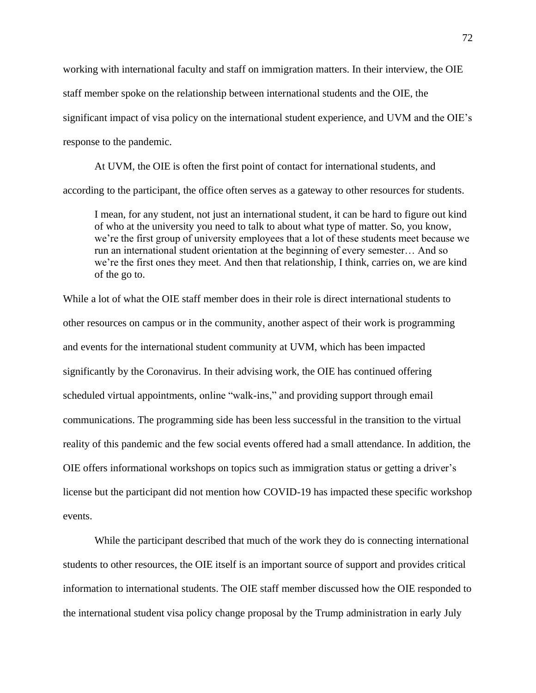working with international faculty and staff on immigration matters. In their interview, the OIE staff member spoke on the relationship between international students and the OIE, the significant impact of visa policy on the international student experience, and UVM and the OIE's response to the pandemic.

At UVM, the OIE is often the first point of contact for international students, and according to the participant, the office often serves as a gateway to other resources for students.

I mean, for any student, not just an international student, it can be hard to figure out kind of who at the university you need to talk to about what type of matter. So, you know, we're the first group of university employees that a lot of these students meet because we run an international student orientation at the beginning of every semester… And so we're the first ones they meet. And then that relationship, I think, carries on, we are kind of the go to.

While a lot of what the OIE staff member does in their role is direct international students to other resources on campus or in the community, another aspect of their work is programming and events for the international student community at UVM, which has been impacted significantly by the Coronavirus. In their advising work, the OIE has continued offering scheduled virtual appointments, online "walk-ins," and providing support through email communications. The programming side has been less successful in the transition to the virtual reality of this pandemic and the few social events offered had a small attendance. In addition, the OIE offers informational workshops on topics such as immigration status or getting a driver's license but the participant did not mention how COVID-19 has impacted these specific workshop events.

While the participant described that much of the work they do is connecting international students to other resources, the OIE itself is an important source of support and provides critical information to international students. The OIE staff member discussed how the OIE responded to the international student visa policy change proposal by the Trump administration in early July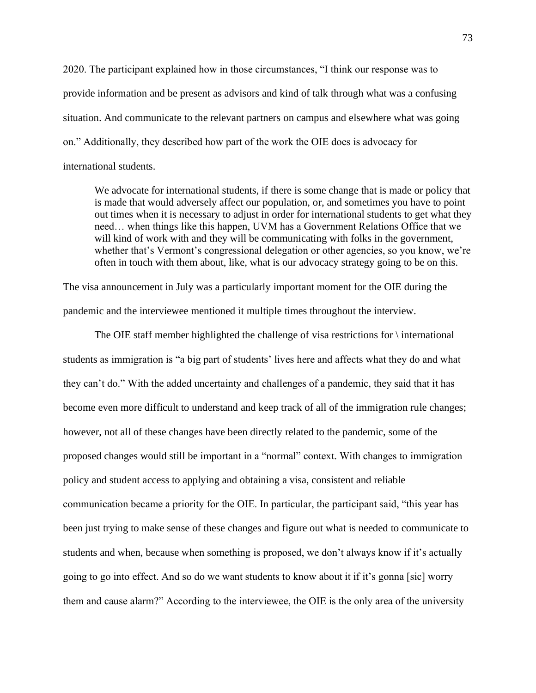2020. The participant explained how in those circumstances, "I think our response was to provide information and be present as advisors and kind of talk through what was a confusing situation. And communicate to the relevant partners on campus and elsewhere what was going on." Additionally, they described how part of the work the OIE does is advocacy for international students.

We advocate for international students, if there is some change that is made or policy that is made that would adversely affect our population, or, and sometimes you have to point out times when it is necessary to adjust in order for international students to get what they need… when things like this happen, UVM has a Government Relations Office that we will kind of work with and they will be communicating with folks in the government, whether that's Vermont's congressional delegation or other agencies, so you know, we're often in touch with them about, like, what is our advocacy strategy going to be on this.

The visa announcement in July was a particularly important moment for the OIE during the pandemic and the interviewee mentioned it multiple times throughout the interview.

The OIE staff member highlighted the challenge of visa restrictions for  $\hat{}$  international students as immigration is "a big part of students' lives here and affects what they do and what they can't do." With the added uncertainty and challenges of a pandemic, they said that it has become even more difficult to understand and keep track of all of the immigration rule changes; however, not all of these changes have been directly related to the pandemic, some of the proposed changes would still be important in a "normal" context. With changes to immigration policy and student access to applying and obtaining a visa, consistent and reliable communication became a priority for the OIE. In particular, the participant said, "this year has been just trying to make sense of these changes and figure out what is needed to communicate to students and when, because when something is proposed, we don't always know if it's actually going to go into effect. And so do we want students to know about it if it's gonna [sic] worry them and cause alarm?" According to the interviewee, the OIE is the only area of the university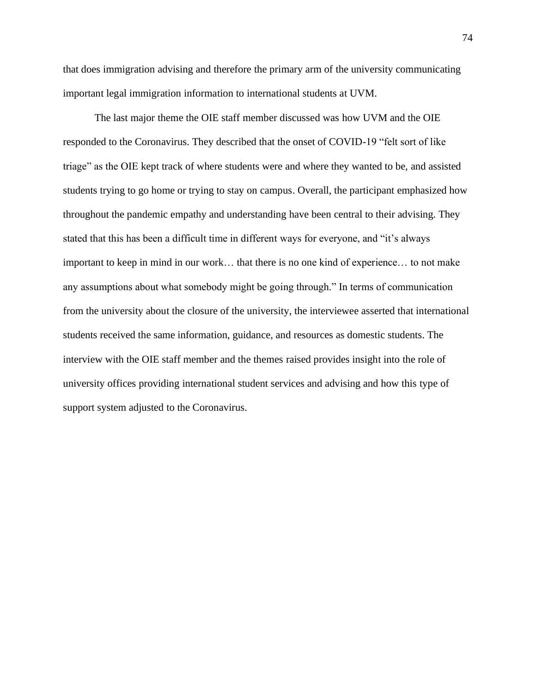that does immigration advising and therefore the primary arm of the university communicating important legal immigration information to international students at UVM.

The last major theme the OIE staff member discussed was how UVM and the OIE responded to the Coronavirus. They described that the onset of COVID-19 "felt sort of like triage" as the OIE kept track of where students were and where they wanted to be, and assisted students trying to go home or trying to stay on campus. Overall, the participant emphasized how throughout the pandemic empathy and understanding have been central to their advising. They stated that this has been a difficult time in different ways for everyone, and "it's always important to keep in mind in our work… that there is no one kind of experience… to not make any assumptions about what somebody might be going through." In terms of communication from the university about the closure of the university, the interviewee asserted that international students received the same information, guidance, and resources as domestic students. The interview with the OIE staff member and the themes raised provides insight into the role of university offices providing international student services and advising and how this type of support system adjusted to the Coronavirus.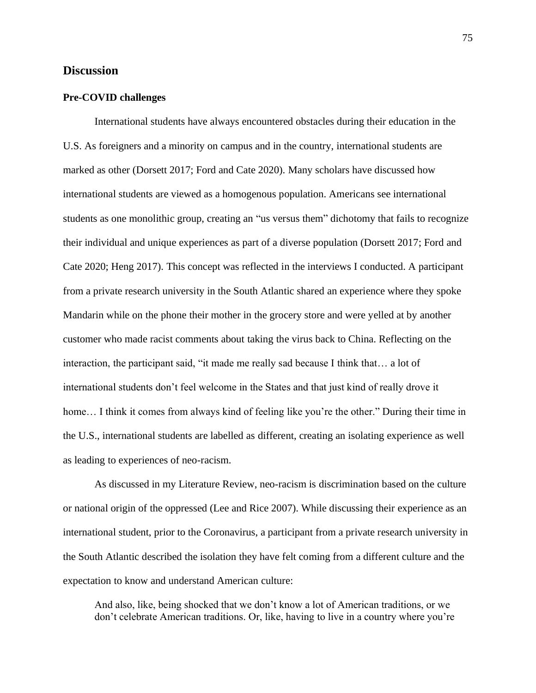### **Discussion**

### **Pre-COVID challenges**

International students have always encountered obstacles during their education in the U.S. As foreigners and a minority on campus and in the country, international students are marked as other (Dorsett 2017; Ford and Cate 2020). Many scholars have discussed how international students are viewed as a homogenous population. Americans see international students as one monolithic group, creating an "us versus them" dichotomy that fails to recognize their individual and unique experiences as part of a diverse population (Dorsett 2017; Ford and Cate 2020; Heng 2017). This concept was reflected in the interviews I conducted. A participant from a private research university in the South Atlantic shared an experience where they spoke Mandarin while on the phone their mother in the grocery store and were yelled at by another customer who made racist comments about taking the virus back to China. Reflecting on the interaction, the participant said, "it made me really sad because I think that… a lot of international students don't feel welcome in the States and that just kind of really drove it home... I think it comes from always kind of feeling like you're the other." During their time in the U.S., international students are labelled as different, creating an isolating experience as well as leading to experiences of neo-racism.

As discussed in my Literature Review, neo-racism is discrimination based on the culture or national origin of the oppressed (Lee and Rice 2007). While discussing their experience as an international student, prior to the Coronavirus, a participant from a private research university in the South Atlantic described the isolation they have felt coming from a different culture and the expectation to know and understand American culture:

And also, like, being shocked that we don't know a lot of American traditions, or we don't celebrate American traditions. Or, like, having to live in a country where you're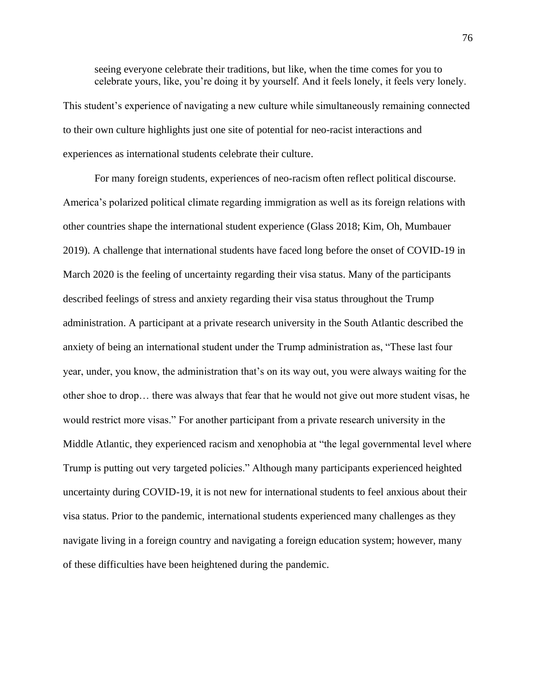seeing everyone celebrate their traditions, but like, when the time comes for you to celebrate yours, like, you're doing it by yourself. And it feels lonely, it feels very lonely.

This student's experience of navigating a new culture while simultaneously remaining connected to their own culture highlights just one site of potential for neo-racist interactions and experiences as international students celebrate their culture.

For many foreign students, experiences of neo-racism often reflect political discourse. America's polarized political climate regarding immigration as well as its foreign relations with other countries shape the international student experience (Glass 2018; Kim, Oh, Mumbauer 2019). A challenge that international students have faced long before the onset of COVID-19 in March 2020 is the feeling of uncertainty regarding their visa status. Many of the participants described feelings of stress and anxiety regarding their visa status throughout the Trump administration. A participant at a private research university in the South Atlantic described the anxiety of being an international student under the Trump administration as, "These last four year, under, you know, the administration that's on its way out, you were always waiting for the other shoe to drop… there was always that fear that he would not give out more student visas, he would restrict more visas." For another participant from a private research university in the Middle Atlantic, they experienced racism and xenophobia at "the legal governmental level where Trump is putting out very targeted policies." Although many participants experienced heighted uncertainty during COVID-19, it is not new for international students to feel anxious about their visa status. Prior to the pandemic, international students experienced many challenges as they navigate living in a foreign country and navigating a foreign education system; however, many of these difficulties have been heightened during the pandemic.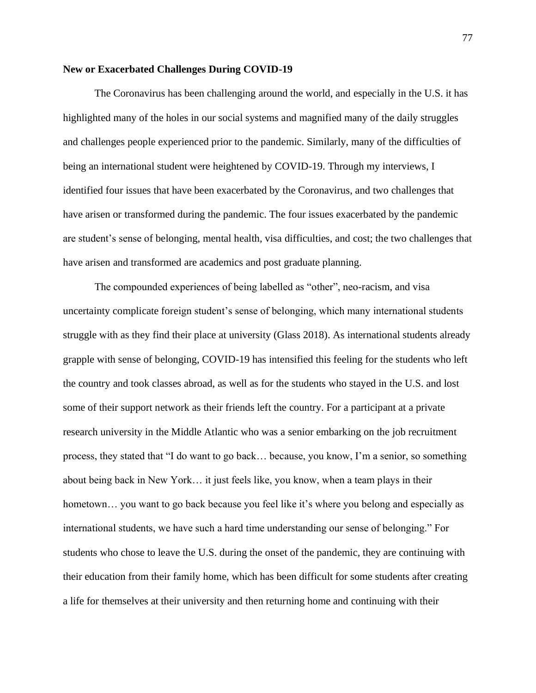### **New or Exacerbated Challenges During COVID-19**

The Coronavirus has been challenging around the world, and especially in the U.S. it has highlighted many of the holes in our social systems and magnified many of the daily struggles and challenges people experienced prior to the pandemic. Similarly, many of the difficulties of being an international student were heightened by COVID-19. Through my interviews, I identified four issues that have been exacerbated by the Coronavirus, and two challenges that have arisen or transformed during the pandemic. The four issues exacerbated by the pandemic are student's sense of belonging, mental health, visa difficulties, and cost; the two challenges that have arisen and transformed are academics and post graduate planning.

The compounded experiences of being labelled as "other", neo-racism, and visa uncertainty complicate foreign student's sense of belonging, which many international students struggle with as they find their place at university (Glass 2018). As international students already grapple with sense of belonging, COVID-19 has intensified this feeling for the students who left the country and took classes abroad, as well as for the students who stayed in the U.S. and lost some of their support network as their friends left the country. For a participant at a private research university in the Middle Atlantic who was a senior embarking on the job recruitment process, they stated that "I do want to go back… because, you know, I'm a senior, so something about being back in New York… it just feels like, you know, when a team plays in their hometown... you want to go back because you feel like it's where you belong and especially as international students, we have such a hard time understanding our sense of belonging." For students who chose to leave the U.S. during the onset of the pandemic, they are continuing with their education from their family home, which has been difficult for some students after creating a life for themselves at their university and then returning home and continuing with their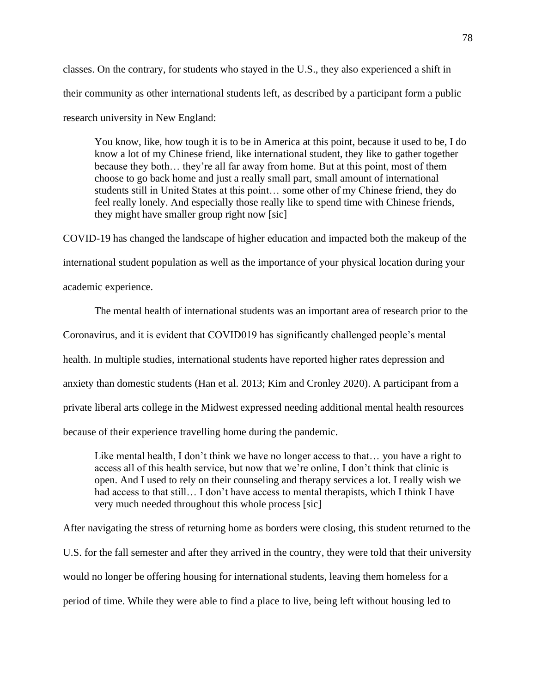classes. On the contrary, for students who stayed in the U.S., they also experienced a shift in their community as other international students left, as described by a participant form a public research university in New England:

You know, like, how tough it is to be in America at this point, because it used to be, I do know a lot of my Chinese friend, like international student, they like to gather together because they both… they're all far away from home. But at this point, most of them choose to go back home and just a really small part, small amount of international students still in United States at this point… some other of my Chinese friend, they do feel really lonely. And especially those really like to spend time with Chinese friends, they might have smaller group right now [sic]

COVID-19 has changed the landscape of higher education and impacted both the makeup of the international student population as well as the importance of your physical location during your academic experience.

The mental health of international students was an important area of research prior to the Coronavirus, and it is evident that COVID019 has significantly challenged people's mental health. In multiple studies, international students have reported higher rates depression and anxiety than domestic students (Han et al. 2013; Kim and Cronley 2020). A participant from a private liberal arts college in the Midwest expressed needing additional mental health resources because of their experience travelling home during the pandemic.

Like mental health, I don't think we have no longer access to that... you have a right to access all of this health service, but now that we're online, I don't think that clinic is open. And I used to rely on their counseling and therapy services a lot. I really wish we had access to that still... I don't have access to mental therapists, which I think I have very much needed throughout this whole process [sic]

After navigating the stress of returning home as borders were closing, this student returned to the U.S. for the fall semester and after they arrived in the country, they were told that their university would no longer be offering housing for international students, leaving them homeless for a period of time. While they were able to find a place to live, being left without housing led to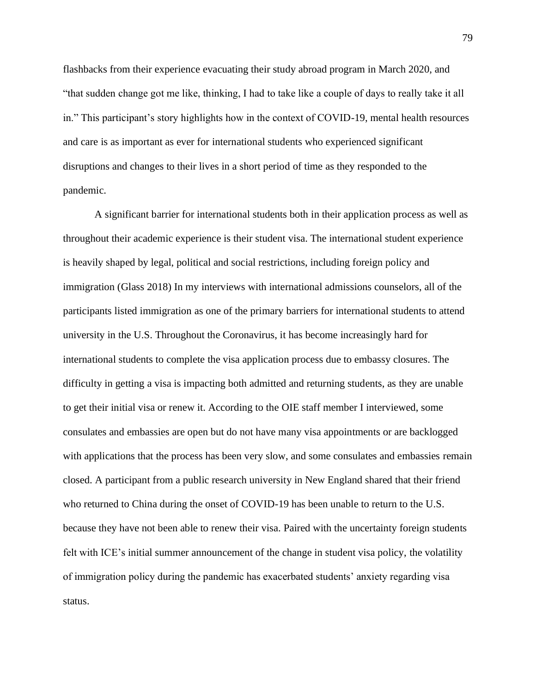flashbacks from their experience evacuating their study abroad program in March 2020, and "that sudden change got me like, thinking, I had to take like a couple of days to really take it all in." This participant's story highlights how in the context of COVID-19, mental health resources and care is as important as ever for international students who experienced significant disruptions and changes to their lives in a short period of time as they responded to the pandemic.

A significant barrier for international students both in their application process as well as throughout their academic experience is their student visa. The international student experience is heavily shaped by legal, political and social restrictions, including foreign policy and immigration (Glass 2018) In my interviews with international admissions counselors, all of the participants listed immigration as one of the primary barriers for international students to attend university in the U.S. Throughout the Coronavirus, it has become increasingly hard for international students to complete the visa application process due to embassy closures. The difficulty in getting a visa is impacting both admitted and returning students, as they are unable to get their initial visa or renew it. According to the OIE staff member I interviewed, some consulates and embassies are open but do not have many visa appointments or are backlogged with applications that the process has been very slow, and some consulates and embassies remain closed. A participant from a public research university in New England shared that their friend who returned to China during the onset of COVID-19 has been unable to return to the U.S. because they have not been able to renew their visa. Paired with the uncertainty foreign students felt with ICE's initial summer announcement of the change in student visa policy, the volatility of immigration policy during the pandemic has exacerbated students' anxiety regarding visa status.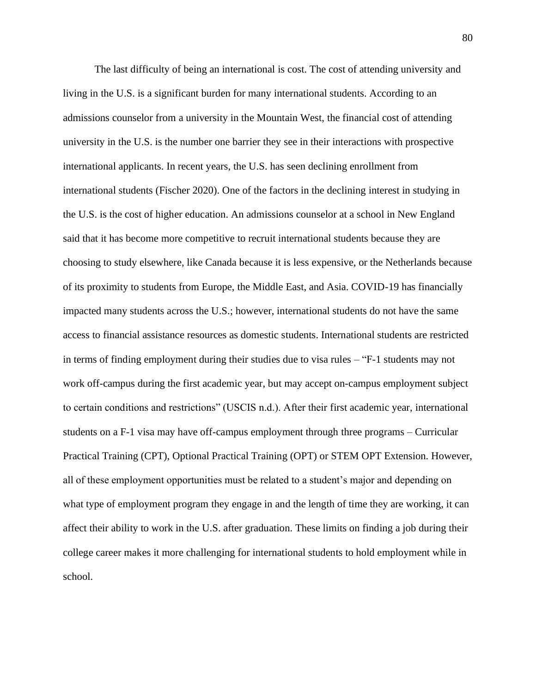The last difficulty of being an international is cost. The cost of attending university and living in the U.S. is a significant burden for many international students. According to an admissions counselor from a university in the Mountain West, the financial cost of attending university in the U.S. is the number one barrier they see in their interactions with prospective international applicants. In recent years, the U.S. has seen declining enrollment from international students (Fischer 2020). One of the factors in the declining interest in studying in the U.S. is the cost of higher education. An admissions counselor at a school in New England said that it has become more competitive to recruit international students because they are choosing to study elsewhere, like Canada because it is less expensive, or the Netherlands because of its proximity to students from Europe, the Middle East, and Asia. COVID-19 has financially impacted many students across the U.S.; however, international students do not have the same access to financial assistance resources as domestic students. International students are restricted in terms of finding employment during their studies due to visa rules – "F-1 students may not work off-campus during the first academic year, but may accept on-campus employment subject to certain conditions and restrictions" (USCIS n.d.). After their first academic year, international students on a F-1 visa may have off-campus employment through three programs – Curricular Practical Training (CPT), Optional Practical Training (OPT) or STEM OPT Extension. However, all of these employment opportunities must be related to a student's major and depending on what type of employment program they engage in and the length of time they are working, it can affect their ability to work in the U.S. after graduation. These limits on finding a job during their college career makes it more challenging for international students to hold employment while in school.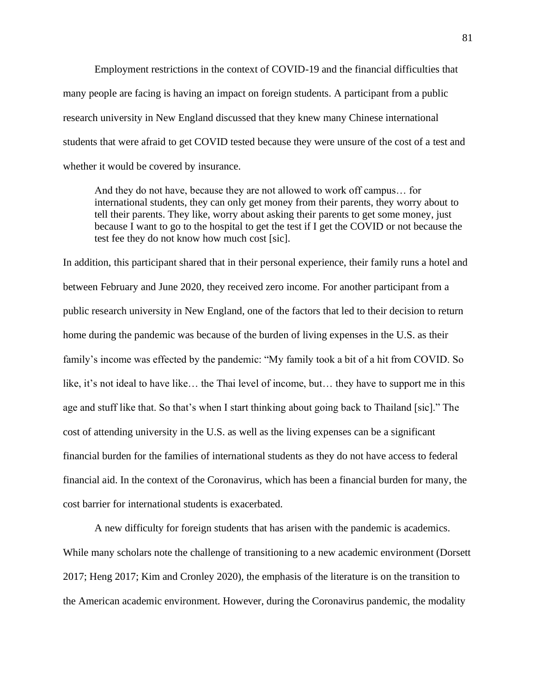Employment restrictions in the context of COVID-19 and the financial difficulties that many people are facing is having an impact on foreign students. A participant from a public research university in New England discussed that they knew many Chinese international students that were afraid to get COVID tested because they were unsure of the cost of a test and whether it would be covered by insurance.

And they do not have, because they are not allowed to work off campus… for international students, they can only get money from their parents, they worry about to tell their parents. They like, worry about asking their parents to get some money, just because I want to go to the hospital to get the test if I get the COVID or not because the test fee they do not know how much cost [sic].

In addition, this participant shared that in their personal experience, their family runs a hotel and between February and June 2020, they received zero income. For another participant from a public research university in New England, one of the factors that led to their decision to return home during the pandemic was because of the burden of living expenses in the U.S. as their family's income was effected by the pandemic: "My family took a bit of a hit from COVID. So like, it's not ideal to have like… the Thai level of income, but… they have to support me in this age and stuff like that. So that's when I start thinking about going back to Thailand [sic]." The cost of attending university in the U.S. as well as the living expenses can be a significant financial burden for the families of international students as they do not have access to federal financial aid. In the context of the Coronavirus, which has been a financial burden for many, the cost barrier for international students is exacerbated.

A new difficulty for foreign students that has arisen with the pandemic is academics. While many scholars note the challenge of transitioning to a new academic environment (Dorsett 2017; Heng 2017; Kim and Cronley 2020), the emphasis of the literature is on the transition to the American academic environment. However, during the Coronavirus pandemic, the modality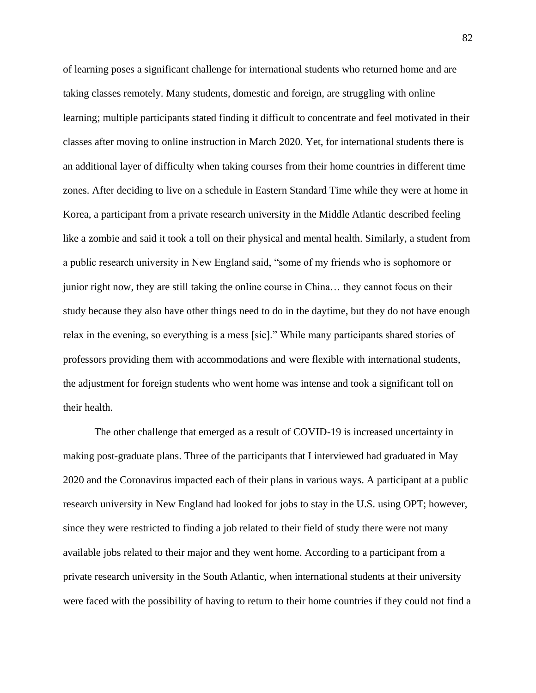of learning poses a significant challenge for international students who returned home and are taking classes remotely. Many students, domestic and foreign, are struggling with online learning; multiple participants stated finding it difficult to concentrate and feel motivated in their classes after moving to online instruction in March 2020. Yet, for international students there is an additional layer of difficulty when taking courses from their home countries in different time zones. After deciding to live on a schedule in Eastern Standard Time while they were at home in Korea, a participant from a private research university in the Middle Atlantic described feeling like a zombie and said it took a toll on their physical and mental health. Similarly, a student from a public research university in New England said, "some of my friends who is sophomore or junior right now, they are still taking the online course in China… they cannot focus on their study because they also have other things need to do in the daytime, but they do not have enough relax in the evening, so everything is a mess [sic]." While many participants shared stories of professors providing them with accommodations and were flexible with international students, the adjustment for foreign students who went home was intense and took a significant toll on their health.

The other challenge that emerged as a result of COVID-19 is increased uncertainty in making post-graduate plans. Three of the participants that I interviewed had graduated in May 2020 and the Coronavirus impacted each of their plans in various ways. A participant at a public research university in New England had looked for jobs to stay in the U.S. using OPT; however, since they were restricted to finding a job related to their field of study there were not many available jobs related to their major and they went home. According to a participant from a private research university in the South Atlantic, when international students at their university were faced with the possibility of having to return to their home countries if they could not find a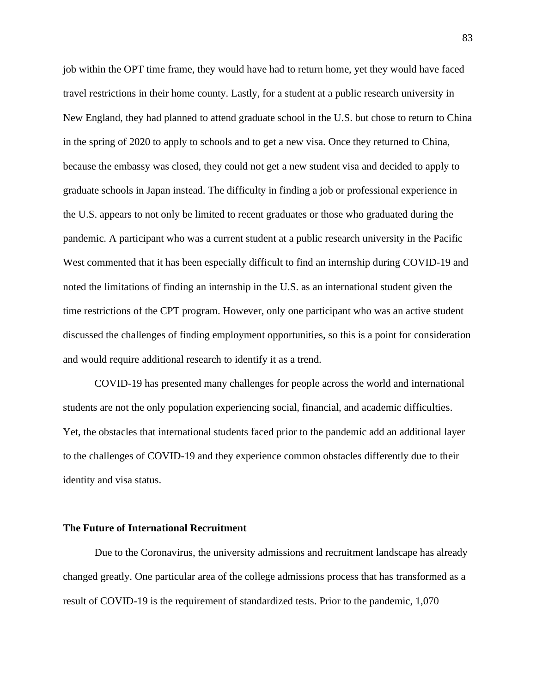job within the OPT time frame, they would have had to return home, yet they would have faced travel restrictions in their home county. Lastly, for a student at a public research university in New England, they had planned to attend graduate school in the U.S. but chose to return to China in the spring of 2020 to apply to schools and to get a new visa. Once they returned to China, because the embassy was closed, they could not get a new student visa and decided to apply to graduate schools in Japan instead. The difficulty in finding a job or professional experience in the U.S. appears to not only be limited to recent graduates or those who graduated during the pandemic. A participant who was a current student at a public research university in the Pacific West commented that it has been especially difficult to find an internship during COVID-19 and noted the limitations of finding an internship in the U.S. as an international student given the time restrictions of the CPT program. However, only one participant who was an active student discussed the challenges of finding employment opportunities, so this is a point for consideration and would require additional research to identify it as a trend.

COVID-19 has presented many challenges for people across the world and international students are not the only population experiencing social, financial, and academic difficulties. Yet, the obstacles that international students faced prior to the pandemic add an additional layer to the challenges of COVID-19 and they experience common obstacles differently due to their identity and visa status.

#### **The Future of International Recruitment**

Due to the Coronavirus, the university admissions and recruitment landscape has already changed greatly. One particular area of the college admissions process that has transformed as a result of COVID-19 is the requirement of standardized tests. Prior to the pandemic, 1,070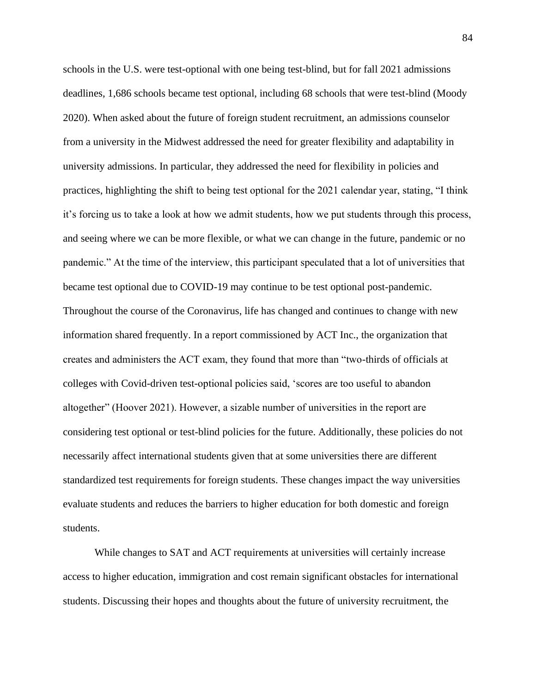schools in the U.S. were test-optional with one being test-blind, but for fall 2021 admissions deadlines, 1,686 schools became test optional, including 68 schools that were test-blind (Moody 2020). When asked about the future of foreign student recruitment, an admissions counselor from a university in the Midwest addressed the need for greater flexibility and adaptability in university admissions. In particular, they addressed the need for flexibility in policies and practices, highlighting the shift to being test optional for the 2021 calendar year, stating, "I think it's forcing us to take a look at how we admit students, how we put students through this process, and seeing where we can be more flexible, or what we can change in the future, pandemic or no pandemic." At the time of the interview, this participant speculated that a lot of universities that became test optional due to COVID-19 may continue to be test optional post-pandemic. Throughout the course of the Coronavirus, life has changed and continues to change with new information shared frequently. In a report commissioned by ACT Inc., the organization that creates and administers the ACT exam, they found that more than "two-thirds of officials at colleges with Covid-driven test-optional policies said, 'scores are too useful to abandon altogether" (Hoover 2021). However, a sizable number of universities in the report are considering test optional or test-blind policies for the future. Additionally, these policies do not necessarily affect international students given that at some universities there are different standardized test requirements for foreign students. These changes impact the way universities evaluate students and reduces the barriers to higher education for both domestic and foreign students.

While changes to SAT and ACT requirements at universities will certainly increase access to higher education, immigration and cost remain significant obstacles for international students. Discussing their hopes and thoughts about the future of university recruitment, the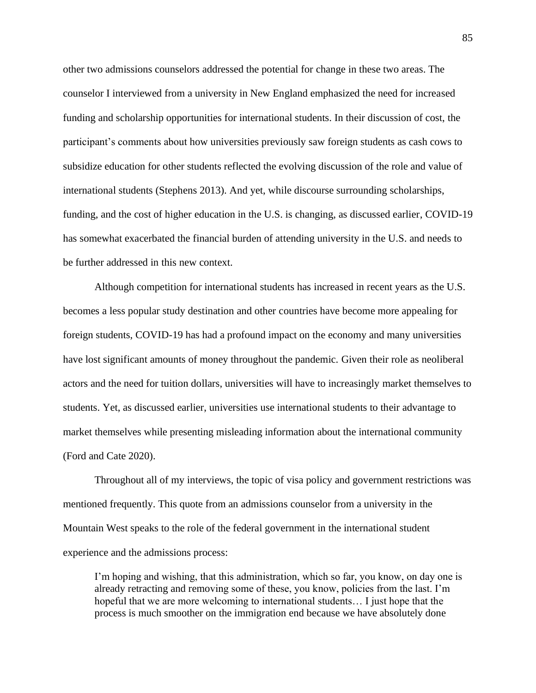other two admissions counselors addressed the potential for change in these two areas. The counselor I interviewed from a university in New England emphasized the need for increased funding and scholarship opportunities for international students. In their discussion of cost, the participant's comments about how universities previously saw foreign students as cash cows to subsidize education for other students reflected the evolving discussion of the role and value of international students (Stephens 2013). And yet, while discourse surrounding scholarships, funding, and the cost of higher education in the U.S. is changing, as discussed earlier, COVID-19 has somewhat exacerbated the financial burden of attending university in the U.S. and needs to be further addressed in this new context.

Although competition for international students has increased in recent years as the U.S. becomes a less popular study destination and other countries have become more appealing for foreign students, COVID-19 has had a profound impact on the economy and many universities have lost significant amounts of money throughout the pandemic. Given their role as neoliberal actors and the need for tuition dollars, universities will have to increasingly market themselves to students. Yet, as discussed earlier, universities use international students to their advantage to market themselves while presenting misleading information about the international community (Ford and Cate 2020).

Throughout all of my interviews, the topic of visa policy and government restrictions was mentioned frequently. This quote from an admissions counselor from a university in the Mountain West speaks to the role of the federal government in the international student experience and the admissions process:

I'm hoping and wishing, that this administration, which so far, you know, on day one is already retracting and removing some of these, you know, policies from the last. I'm hopeful that we are more welcoming to international students… I just hope that the process is much smoother on the immigration end because we have absolutely done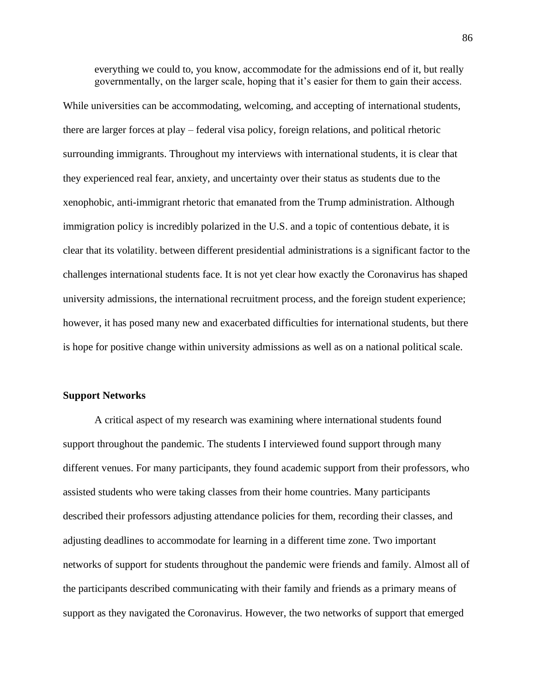everything we could to, you know, accommodate for the admissions end of it, but really governmentally, on the larger scale, hoping that it's easier for them to gain their access.

While universities can be accommodating, welcoming, and accepting of international students, there are larger forces at play – federal visa policy, foreign relations, and political rhetoric surrounding immigrants. Throughout my interviews with international students, it is clear that they experienced real fear, anxiety, and uncertainty over their status as students due to the xenophobic, anti-immigrant rhetoric that emanated from the Trump administration. Although immigration policy is incredibly polarized in the U.S. and a topic of contentious debate, it is clear that its volatility. between different presidential administrations is a significant factor to the challenges international students face. It is not yet clear how exactly the Coronavirus has shaped university admissions, the international recruitment process, and the foreign student experience; however, it has posed many new and exacerbated difficulties for international students, but there is hope for positive change within university admissions as well as on a national political scale.

#### **Support Networks**

A critical aspect of my research was examining where international students found support throughout the pandemic. The students I interviewed found support through many different venues. For many participants, they found academic support from their professors, who assisted students who were taking classes from their home countries. Many participants described their professors adjusting attendance policies for them, recording their classes, and adjusting deadlines to accommodate for learning in a different time zone. Two important networks of support for students throughout the pandemic were friends and family. Almost all of the participants described communicating with their family and friends as a primary means of support as they navigated the Coronavirus. However, the two networks of support that emerged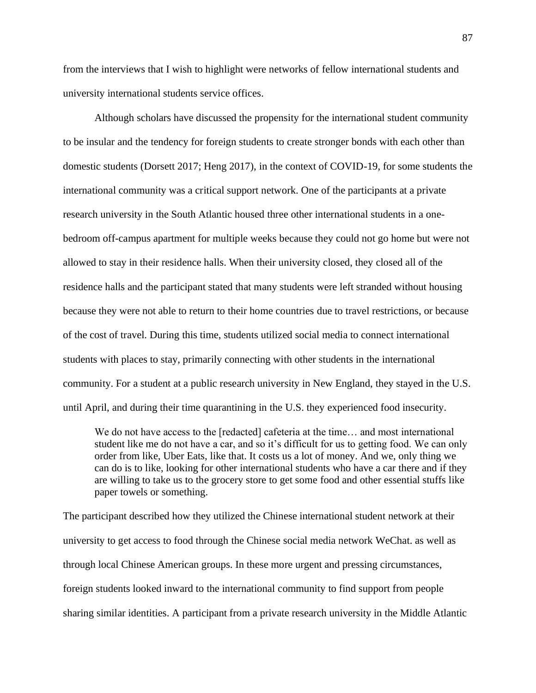from the interviews that I wish to highlight were networks of fellow international students and university international students service offices.

Although scholars have discussed the propensity for the international student community to be insular and the tendency for foreign students to create stronger bonds with each other than domestic students (Dorsett 2017; Heng 2017), in the context of COVID-19, for some students the international community was a critical support network. One of the participants at a private research university in the South Atlantic housed three other international students in a onebedroom off-campus apartment for multiple weeks because they could not go home but were not allowed to stay in their residence halls. When their university closed, they closed all of the residence halls and the participant stated that many students were left stranded without housing because they were not able to return to their home countries due to travel restrictions, or because of the cost of travel. During this time, students utilized social media to connect international students with places to stay, primarily connecting with other students in the international community. For a student at a public research university in New England, they stayed in the U.S. until April, and during their time quarantining in the U.S. they experienced food insecurity.

We do not have access to the [redacted] cafeteria at the time... and most international student like me do not have a car, and so it's difficult for us to getting food. We can only order from like, Uber Eats, like that. It costs us a lot of money. And we, only thing we can do is to like, looking for other international students who have a car there and if they are willing to take us to the grocery store to get some food and other essential stuffs like paper towels or something.

The participant described how they utilized the Chinese international student network at their university to get access to food through the Chinese social media network WeChat. as well as through local Chinese American groups. In these more urgent and pressing circumstances, foreign students looked inward to the international community to find support from people sharing similar identities. A participant from a private research university in the Middle Atlantic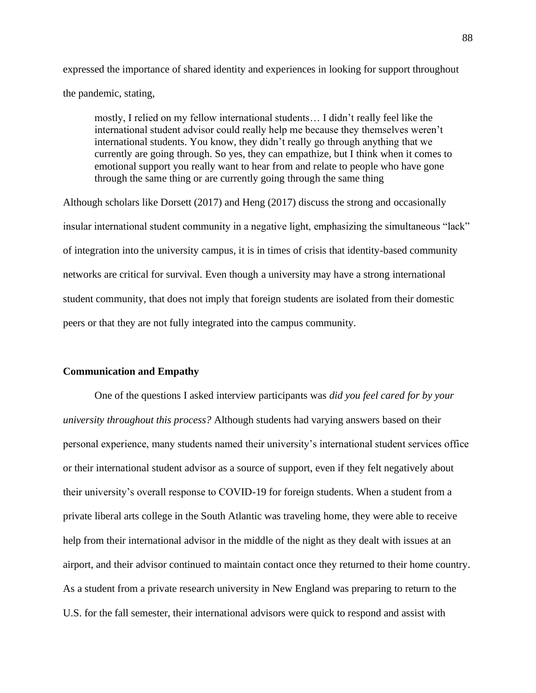expressed the importance of shared identity and experiences in looking for support throughout the pandemic, stating,

mostly, I relied on my fellow international students… I didn't really feel like the international student advisor could really help me because they themselves weren't international students. You know, they didn't really go through anything that we currently are going through. So yes, they can empathize, but I think when it comes to emotional support you really want to hear from and relate to people who have gone through the same thing or are currently going through the same thing

Although scholars like Dorsett (2017) and Heng (2017) discuss the strong and occasionally insular international student community in a negative light, emphasizing the simultaneous "lack" of integration into the university campus, it is in times of crisis that identity-based community networks are critical for survival. Even though a university may have a strong international student community, that does not imply that foreign students are isolated from their domestic peers or that they are not fully integrated into the campus community.

### **Communication and Empathy**

One of the questions I asked interview participants was *did you feel cared for by your university throughout this process?* Although students had varying answers based on their personal experience, many students named their university's international student services office or their international student advisor as a source of support, even if they felt negatively about their university's overall response to COVID-19 for foreign students. When a student from a private liberal arts college in the South Atlantic was traveling home, they were able to receive help from their international advisor in the middle of the night as they dealt with issues at an airport, and their advisor continued to maintain contact once they returned to their home country. As a student from a private research university in New England was preparing to return to the U.S. for the fall semester, their international advisors were quick to respond and assist with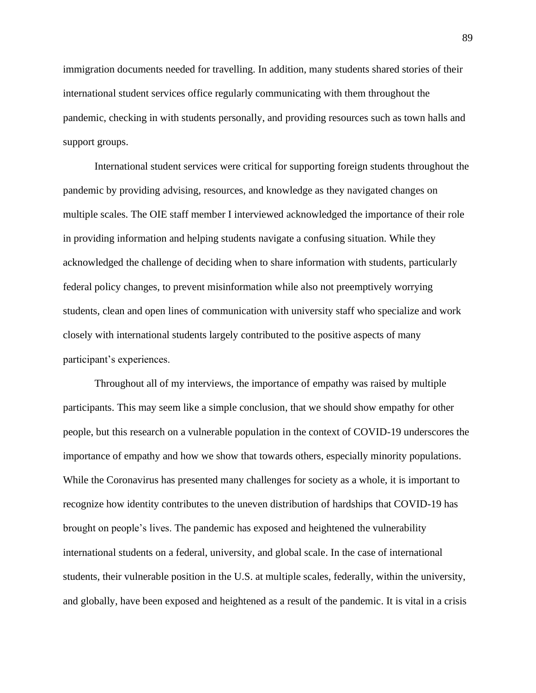immigration documents needed for travelling. In addition, many students shared stories of their international student services office regularly communicating with them throughout the pandemic, checking in with students personally, and providing resources such as town halls and support groups.

International student services were critical for supporting foreign students throughout the pandemic by providing advising, resources, and knowledge as they navigated changes on multiple scales. The OIE staff member I interviewed acknowledged the importance of their role in providing information and helping students navigate a confusing situation. While they acknowledged the challenge of deciding when to share information with students, particularly federal policy changes, to prevent misinformation while also not preemptively worrying students, clean and open lines of communication with university staff who specialize and work closely with international students largely contributed to the positive aspects of many participant's experiences.

Throughout all of my interviews, the importance of empathy was raised by multiple participants. This may seem like a simple conclusion, that we should show empathy for other people, but this research on a vulnerable population in the context of COVID-19 underscores the importance of empathy and how we show that towards others, especially minority populations. While the Coronavirus has presented many challenges for society as a whole, it is important to recognize how identity contributes to the uneven distribution of hardships that COVID-19 has brought on people's lives. The pandemic has exposed and heightened the vulnerability international students on a federal, university, and global scale. In the case of international students, their vulnerable position in the U.S. at multiple scales, federally, within the university, and globally, have been exposed and heightened as a result of the pandemic. It is vital in a crisis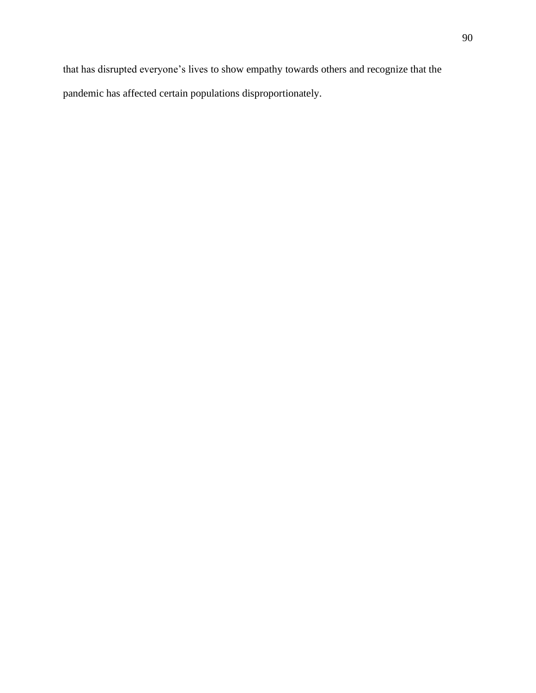that has disrupted everyone's lives to show empathy towards others and recognize that the pandemic has affected certain populations disproportionately.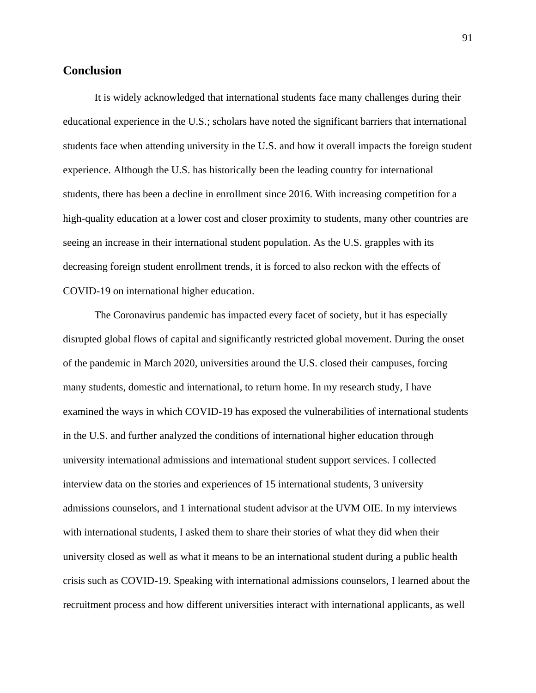## **Conclusion**

It is widely acknowledged that international students face many challenges during their educational experience in the U.S.; scholars have noted the significant barriers that international students face when attending university in the U.S. and how it overall impacts the foreign student experience. Although the U.S. has historically been the leading country for international students, there has been a decline in enrollment since 2016. With increasing competition for a high-quality education at a lower cost and closer proximity to students, many other countries are seeing an increase in their international student population. As the U.S. grapples with its decreasing foreign student enrollment trends, it is forced to also reckon with the effects of COVID-19 on international higher education.

The Coronavirus pandemic has impacted every facet of society, but it has especially disrupted global flows of capital and significantly restricted global movement. During the onset of the pandemic in March 2020, universities around the U.S. closed their campuses, forcing many students, domestic and international, to return home. In my research study, I have examined the ways in which COVID-19 has exposed the vulnerabilities of international students in the U.S. and further analyzed the conditions of international higher education through university international admissions and international student support services. I collected interview data on the stories and experiences of 15 international students, 3 university admissions counselors, and 1 international student advisor at the UVM OIE. In my interviews with international students, I asked them to share their stories of what they did when their university closed as well as what it means to be an international student during a public health crisis such as COVID-19. Speaking with international admissions counselors, I learned about the recruitment process and how different universities interact with international applicants, as well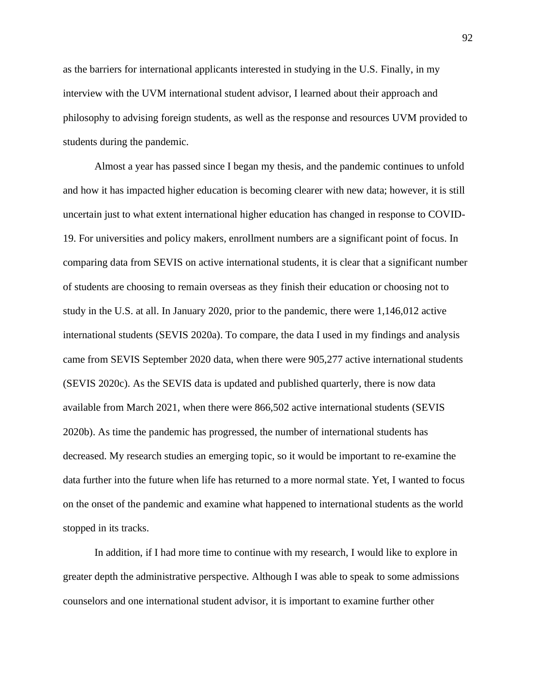as the barriers for international applicants interested in studying in the U.S. Finally, in my interview with the UVM international student advisor, I learned about their approach and philosophy to advising foreign students, as well as the response and resources UVM provided to students during the pandemic.

Almost a year has passed since I began my thesis, and the pandemic continues to unfold and how it has impacted higher education is becoming clearer with new data; however, it is still uncertain just to what extent international higher education has changed in response to COVID-19. For universities and policy makers, enrollment numbers are a significant point of focus. In comparing data from SEVIS on active international students, it is clear that a significant number of students are choosing to remain overseas as they finish their education or choosing not to study in the U.S. at all. In January 2020, prior to the pandemic, there were 1,146,012 active international students (SEVIS 2020a). To compare, the data I used in my findings and analysis came from SEVIS September 2020 data, when there were 905,277 active international students (SEVIS 2020c). As the SEVIS data is updated and published quarterly, there is now data available from March 2021, when there were 866,502 active international students (SEVIS 2020b). As time the pandemic has progressed, the number of international students has decreased. My research studies an emerging topic, so it would be important to re-examine the data further into the future when life has returned to a more normal state. Yet, I wanted to focus on the onset of the pandemic and examine what happened to international students as the world stopped in its tracks.

In addition, if I had more time to continue with my research, I would like to explore in greater depth the administrative perspective. Although I was able to speak to some admissions counselors and one international student advisor, it is important to examine further other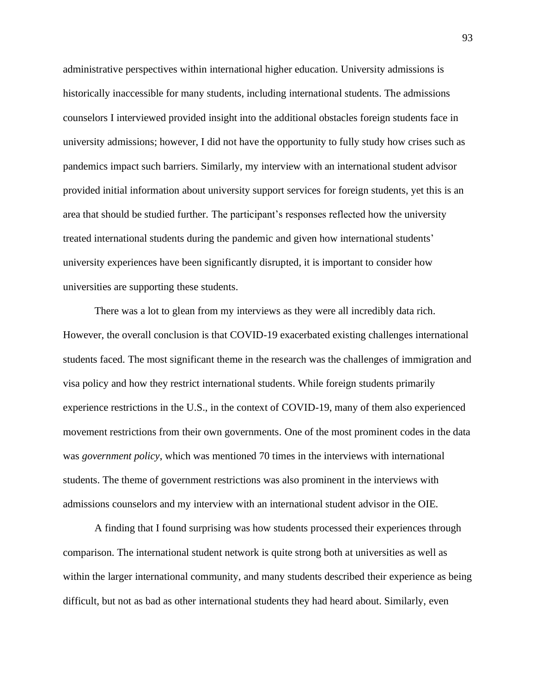administrative perspectives within international higher education. University admissions is historically inaccessible for many students, including international students. The admissions counselors I interviewed provided insight into the additional obstacles foreign students face in university admissions; however, I did not have the opportunity to fully study how crises such as pandemics impact such barriers. Similarly, my interview with an international student advisor provided initial information about university support services for foreign students, yet this is an area that should be studied further. The participant's responses reflected how the university treated international students during the pandemic and given how international students' university experiences have been significantly disrupted, it is important to consider how universities are supporting these students.

There was a lot to glean from my interviews as they were all incredibly data rich. However, the overall conclusion is that COVID-19 exacerbated existing challenges international students faced. The most significant theme in the research was the challenges of immigration and visa policy and how they restrict international students. While foreign students primarily experience restrictions in the U.S., in the context of COVID-19, many of them also experienced movement restrictions from their own governments. One of the most prominent codes in the data was *government policy*, which was mentioned 70 times in the interviews with international students. The theme of government restrictions was also prominent in the interviews with admissions counselors and my interview with an international student advisor in the OIE.

A finding that I found surprising was how students processed their experiences through comparison. The international student network is quite strong both at universities as well as within the larger international community, and many students described their experience as being difficult, but not as bad as other international students they had heard about. Similarly, even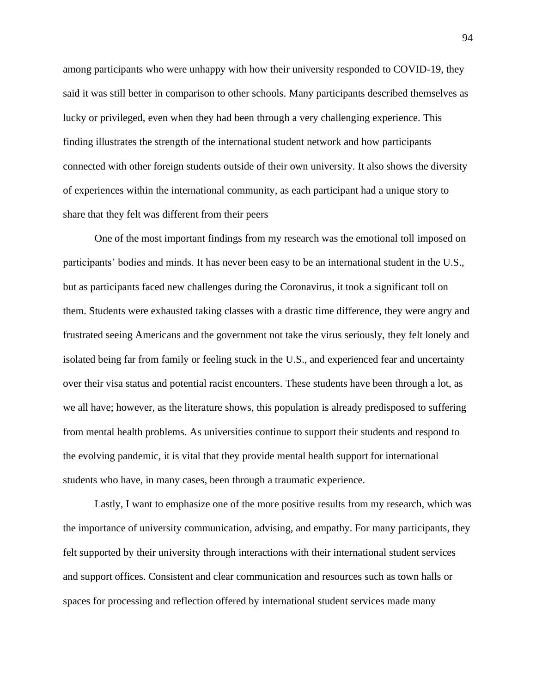among participants who were unhappy with how their university responded to COVID-19, they said it was still better in comparison to other schools. Many participants described themselves as lucky or privileged, even when they had been through a very challenging experience. This finding illustrates the strength of the international student network and how participants connected with other foreign students outside of their own university. It also shows the diversity of experiences within the international community, as each participant had a unique story to share that they felt was different from their peers

One of the most important findings from my research was the emotional toll imposed on participants' bodies and minds. It has never been easy to be an international student in the U.S., but as participants faced new challenges during the Coronavirus, it took a significant toll on them. Students were exhausted taking classes with a drastic time difference, they were angry and frustrated seeing Americans and the government not take the virus seriously, they felt lonely and isolated being far from family or feeling stuck in the U.S., and experienced fear and uncertainty over their visa status and potential racist encounters. These students have been through a lot, as we all have; however, as the literature shows, this population is already predisposed to suffering from mental health problems. As universities continue to support their students and respond to the evolving pandemic, it is vital that they provide mental health support for international students who have, in many cases, been through a traumatic experience.

Lastly, I want to emphasize one of the more positive results from my research, which was the importance of university communication, advising, and empathy. For many participants, they felt supported by their university through interactions with their international student services and support offices. Consistent and clear communication and resources such as town halls or spaces for processing and reflection offered by international student services made many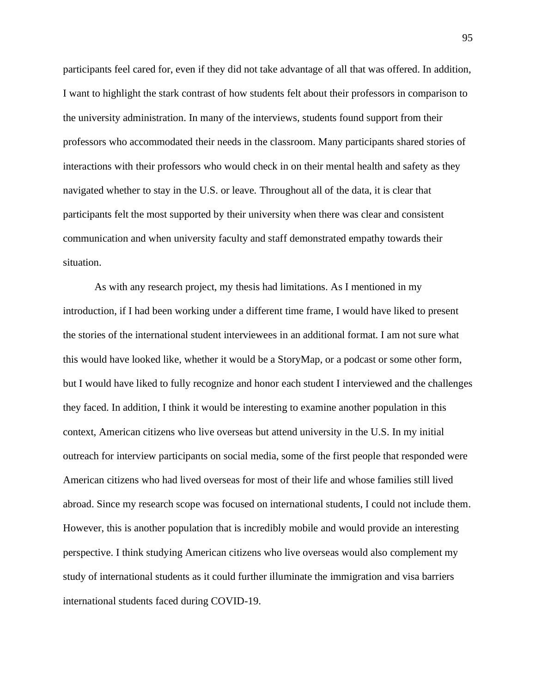participants feel cared for, even if they did not take advantage of all that was offered. In addition, I want to highlight the stark contrast of how students felt about their professors in comparison to the university administration. In many of the interviews, students found support from their professors who accommodated their needs in the classroom. Many participants shared stories of interactions with their professors who would check in on their mental health and safety as they navigated whether to stay in the U.S. or leave. Throughout all of the data, it is clear that participants felt the most supported by their university when there was clear and consistent communication and when university faculty and staff demonstrated empathy towards their situation.

As with any research project, my thesis had limitations. As I mentioned in my introduction, if I had been working under a different time frame, I would have liked to present the stories of the international student interviewees in an additional format. I am not sure what this would have looked like, whether it would be a StoryMap, or a podcast or some other form, but I would have liked to fully recognize and honor each student I interviewed and the challenges they faced. In addition, I think it would be interesting to examine another population in this context, American citizens who live overseas but attend university in the U.S. In my initial outreach for interview participants on social media, some of the first people that responded were American citizens who had lived overseas for most of their life and whose families still lived abroad. Since my research scope was focused on international students, I could not include them. However, this is another population that is incredibly mobile and would provide an interesting perspective. I think studying American citizens who live overseas would also complement my study of international students as it could further illuminate the immigration and visa barriers international students faced during COVID-19.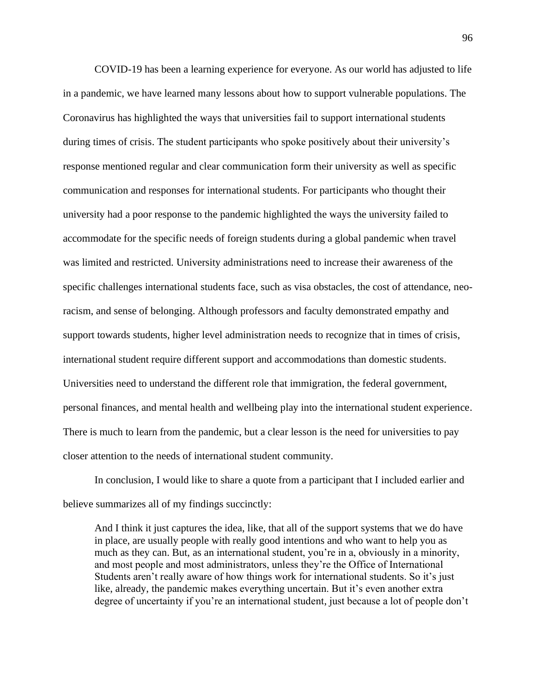COVID-19 has been a learning experience for everyone. As our world has adjusted to life in a pandemic, we have learned many lessons about how to support vulnerable populations. The Coronavirus has highlighted the ways that universities fail to support international students during times of crisis. The student participants who spoke positively about their university's response mentioned regular and clear communication form their university as well as specific communication and responses for international students. For participants who thought their university had a poor response to the pandemic highlighted the ways the university failed to accommodate for the specific needs of foreign students during a global pandemic when travel was limited and restricted. University administrations need to increase their awareness of the specific challenges international students face, such as visa obstacles, the cost of attendance, neoracism, and sense of belonging. Although professors and faculty demonstrated empathy and support towards students, higher level administration needs to recognize that in times of crisis, international student require different support and accommodations than domestic students. Universities need to understand the different role that immigration, the federal government, personal finances, and mental health and wellbeing play into the international student experience. There is much to learn from the pandemic, but a clear lesson is the need for universities to pay closer attention to the needs of international student community.

In conclusion, I would like to share a quote from a participant that I included earlier and believe summarizes all of my findings succinctly:

And I think it just captures the idea, like, that all of the support systems that we do have in place, are usually people with really good intentions and who want to help you as much as they can. But, as an international student, you're in a, obviously in a minority, and most people and most administrators, unless they're the Office of International Students aren't really aware of how things work for international students. So it's just like, already, the pandemic makes everything uncertain. But it's even another extra degree of uncertainty if you're an international student, just because a lot of people don't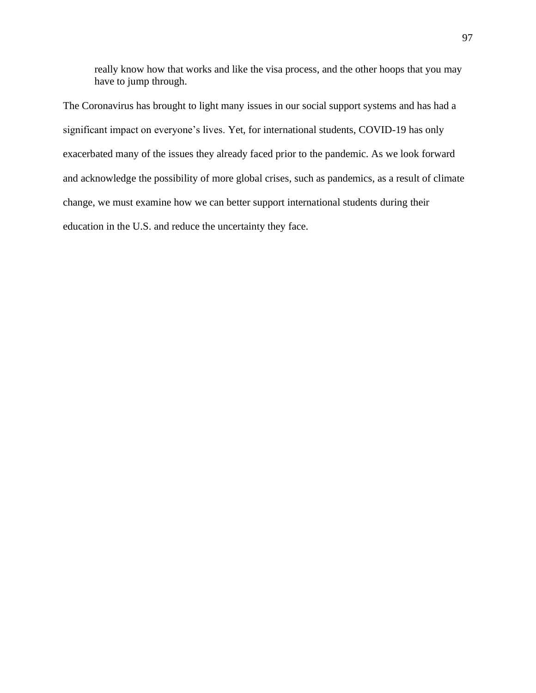really know how that works and like the visa process, and the other hoops that you may have to jump through.

The Coronavirus has brought to light many issues in our social support systems and has had a significant impact on everyone's lives. Yet, for international students, COVID-19 has only exacerbated many of the issues they already faced prior to the pandemic. As we look forward and acknowledge the possibility of more global crises, such as pandemics, as a result of climate change, we must examine how we can better support international students during their education in the U.S. and reduce the uncertainty they face.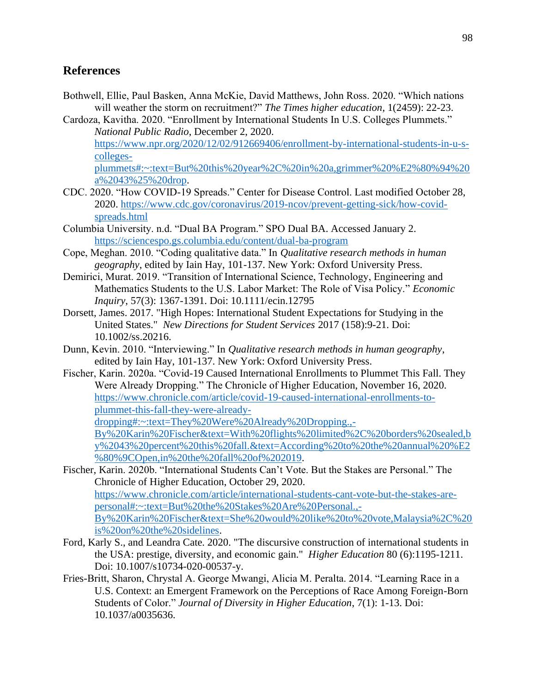## **References**

- Bothwell, Ellie, Paul Basken, Anna McKie, David Matthews, John Ross. 2020. "Which nations will weather the storm on recruitment?" *The Times higher education*, 1(2459): 22-23.
- Cardoza, Kavitha. 2020. "Enrollment by International Students In U.S. Colleges Plummets." *National Public Radio*, December 2, 2020. [https://www.npr.org/2020/12/02/912669406/enrollment-by-international-students-in-u-s](https://www.npr.org/2020/12/02/912669406/enrollment-by-international-students-in-u-s-colleges-plummets#:~:text=But%20this%20year%2C%20in%20a,grimmer%20%E2%80%94%20a%2043%25%20drop)[colleges-](https://www.npr.org/2020/12/02/912669406/enrollment-by-international-students-in-u-s-colleges-plummets#:~:text=But%20this%20year%2C%20in%20a,grimmer%20%E2%80%94%20a%2043%25%20drop)

[plummets#:~:text=But%20this%20year%2C%20in%20a,grimmer%20%E2%80%94%20](https://www.npr.org/2020/12/02/912669406/enrollment-by-international-students-in-u-s-colleges-plummets#:~:text=But%20this%20year%2C%20in%20a,grimmer%20%E2%80%94%20a%2043%25%20drop) [a%2043%25%20drop.](https://www.npr.org/2020/12/02/912669406/enrollment-by-international-students-in-u-s-colleges-plummets#:~:text=But%20this%20year%2C%20in%20a,grimmer%20%E2%80%94%20a%2043%25%20drop)

- CDC. 2020. "How COVID-19 Spreads." Center for Disease Control. Last modified October 28, 2020. [https://www.cdc.gov/coronavirus/2019-ncov/prevent-getting-sick/how-covid](https://www.cdc.gov/coronavirus/2019-ncov/prevent-getting-sick/how-covid-spreads.html)[spreads.html](https://www.cdc.gov/coronavirus/2019-ncov/prevent-getting-sick/how-covid-spreads.html)
- Columbia University. n.d. "Dual BA Program." SPO Dual BA. Accessed January 2. <https://sciencespo.gs.columbia.edu/content/dual-ba-program>
- Cope, Meghan. 2010. "Coding qualitative data." In *Qualitative research methods in human geography*, edited by Iain Hay, 101-137. New York: Oxford University Press.
- Demirici, Murat. 2019. "Transition of International Science, Technology, Engineering and Mathematics Students to the U.S. Labor Market: The Role of Visa Policy." *Economic Inquiry*, 57(3): 1367-1391. Doi: 10.1111/ecin.12795
- Dorsett, James. 2017. "High Hopes: International Student Expectations for Studying in the United States." *New Directions for Student Services* 2017 (158):9-21. Doi: 10.1002/ss.20216.
- Dunn, Kevin. 2010. "Interviewing." In *Qualitative research methods in human geography*, edited by Iain Hay, 101-137. New York: Oxford University Press.
- Fischer, Karin. 2020a. "Covid-19 Caused International Enrollments to Plummet This Fall. They Were Already Dropping." The Chronicle of Higher Education, November 16, 2020. [https://www.chronicle.com/article/covid-19-caused-international-enrollments-to](https://www.chronicle.com/article/covid-19-caused-international-enrollments-to-plummet-this-fall-they-were-already-dropping#:~:text=They%20Were%20Already%20Dropping.,-By%20Karin%20Fischer&text=With%20flights%20limited%2C%20borders%20sealed,by%2043%20percent%20this%20fall.&text=According%20to%20the%20annual%20%E2%80%9COpen,in%20the%20fall%20of%202019)[plummet-this-fall-they-were-already-](https://www.chronicle.com/article/covid-19-caused-international-enrollments-to-plummet-this-fall-they-were-already-dropping#:~:text=They%20Were%20Already%20Dropping.,-By%20Karin%20Fischer&text=With%20flights%20limited%2C%20borders%20sealed,by%2043%20percent%20this%20fall.&text=According%20to%20the%20annual%20%E2%80%9COpen,in%20the%20fall%20of%202019)

[dropping#:~:text=They%20Were%20Already%20Dropping.,-](https://www.chronicle.com/article/covid-19-caused-international-enrollments-to-plummet-this-fall-they-were-already-dropping#:~:text=They%20Were%20Already%20Dropping.,-By%20Karin%20Fischer&text=With%20flights%20limited%2C%20borders%20sealed,by%2043%20percent%20this%20fall.&text=According%20to%20the%20annual%20%E2%80%9COpen,in%20the%20fall%20of%202019)

[By%20Karin%20Fischer&text=With%20flights%20limited%2C%20borders%20sealed,b](https://www.chronicle.com/article/covid-19-caused-international-enrollments-to-plummet-this-fall-they-were-already-dropping#:~:text=They%20Were%20Already%20Dropping.,-By%20Karin%20Fischer&text=With%20flights%20limited%2C%20borders%20sealed,by%2043%20percent%20this%20fall.&text=According%20to%20the%20annual%20%E2%80%9COpen,in%20the%20fall%20of%202019) [y%2043%20percent%20this%20fall.&text=According%20to%20the%20annual%20%E2](https://www.chronicle.com/article/covid-19-caused-international-enrollments-to-plummet-this-fall-they-were-already-dropping#:~:text=They%20Were%20Already%20Dropping.,-By%20Karin%20Fischer&text=With%20flights%20limited%2C%20borders%20sealed,by%2043%20percent%20this%20fall.&text=According%20to%20the%20annual%20%E2%80%9COpen,in%20the%20fall%20of%202019) [%80%9COpen,in%20the%20fall%20of%202019.](https://www.chronicle.com/article/covid-19-caused-international-enrollments-to-plummet-this-fall-they-were-already-dropping#:~:text=They%20Were%20Already%20Dropping.,-By%20Karin%20Fischer&text=With%20flights%20limited%2C%20borders%20sealed,by%2043%20percent%20this%20fall.&text=According%20to%20the%20annual%20%E2%80%9COpen,in%20the%20fall%20of%202019)

Fischer, Karin. 2020b. "International Students Can't Vote. But the Stakes are Personal." The Chronicle of Higher Education, October 29, 2020. [https://www.chronicle.com/article/international-students-cant-vote-but-the-stakes-are](https://www.chronicle.com/article/international-students-cant-vote-but-the-stakes-are-personal#:~:text=But%20the%20Stakes%20Are%20Personal.,-By%20Karin%20Fischer&text=She%20would%20like%20to%20vote,Malaysia%2C%20is%20on%20the%20sidelines)[personal#:~:text=But%20the%20Stakes%20Are%20Personal.,-](https://www.chronicle.com/article/international-students-cant-vote-but-the-stakes-are-personal#:~:text=But%20the%20Stakes%20Are%20Personal.,-By%20Karin%20Fischer&text=She%20would%20like%20to%20vote,Malaysia%2C%20is%20on%20the%20sidelines) [By%20Karin%20Fischer&text=She%20would%20like%20to%20vote,Malaysia%2C%20](https://www.chronicle.com/article/international-students-cant-vote-but-the-stakes-are-personal#:~:text=But%20the%20Stakes%20Are%20Personal.,-By%20Karin%20Fischer&text=She%20would%20like%20to%20vote,Malaysia%2C%20is%20on%20the%20sidelines) [is%20on%20the%20sidelines.](https://www.chronicle.com/article/international-students-cant-vote-but-the-stakes-are-personal#:~:text=But%20the%20Stakes%20Are%20Personal.,-By%20Karin%20Fischer&text=She%20would%20like%20to%20vote,Malaysia%2C%20is%20on%20the%20sidelines)

- Ford, Karly S., and Leandra Cate. 2020. "The discursive construction of international students in the USA: prestige, diversity, and economic gain." *Higher Education* 80 (6):1195-1211. Doi: 10.1007/s10734-020-00537-y.
- Fries-Britt, Sharon, Chrystal A. George Mwangi, Alicia M. Peralta. 2014. "Learning Race in a U.S. Context: an Emergent Framework on the Perceptions of Race Among Foreign-Born Students of Color." *Journal of Diversity in Higher Education*, 7(1): 1-13. Doi: 10.1037/a0035636.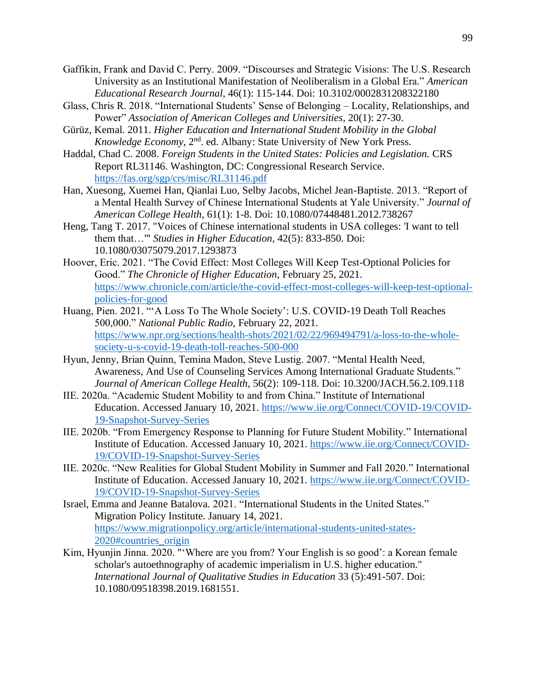- Gaffikin, Frank and David C. Perry. 2009. "Discourses and Strategic Visions: The U.S. Research University as an Institutional Manifestation of Neoliberalism in a Global Era." *American Educational Research Journal*, 46(1): 115-144. Doi: 10.3102/0002831208322180
- Glass, Chris R. 2018. "International Students' Sense of Belonging Locality, Relationships, and Power" *Association of American Colleges and Universities*, 20(1): 27-30.
- Gürüz, Kemal. 2011. *Higher Education and International Student Mobility in the Global Knowledge Economy*, 2<sup>nd</sup>. ed. Albany: State University of New York Press.
- Haddal, Chad C. 2008. *Foreign Students in the United States: Policies and Legislation.* CRS Report RL31146. Washington, DC: Congressional Research Service. <https://fas.org/sgp/crs/misc/RL31146.pdf>
- Han, Xuesong, Xuemei Han, Qianlai Luo, Selby Jacobs, Michel Jean-Baptiste. 2013. "Report of a Mental Health Survey of Chinese International Students at Yale University." *Journal of American College Health*, 61(1): 1-8. Doi: 10.1080/07448481.2012.738267
- Heng, Tang T. 2017. "Voices of Chinese international students in USA colleges: 'I want to tell them that…'" *Studies in Higher Education*, 42(5): 833-850. Doi: 10.1080/03075079.2017.1293873
- Hoover, Eric. 2021. "The Covid Effect: Most Colleges Will Keep Test-Optional Policies for Good." *The Chronicle of Higher Education*, February 25, 2021. [https://www.chronicle.com/article/the-covid-effect-most-colleges-will-keep-test-optional](https://www.chronicle.com/article/the-covid-effect-most-colleges-will-keep-test-optional-policies-for-good)[policies-for-good](https://www.chronicle.com/article/the-covid-effect-most-colleges-will-keep-test-optional-policies-for-good)
- Huang, Pien. 2021. "'A Loss To The Whole Society': U.S. COVID-19 Death Toll Reaches 500,000." *National Public Radio*, February 22, 2021. [https://www.npr.org/sections/health-shots/2021/02/22/969494791/a-loss-to-the-whole](https://www.npr.org/sections/health-shots/2021/02/22/969494791/a-loss-to-the-whole-society-u-s-covid-19-death-toll-reaches-500-000)[society-u-s-covid-19-death-toll-reaches-500-000](https://www.npr.org/sections/health-shots/2021/02/22/969494791/a-loss-to-the-whole-society-u-s-covid-19-death-toll-reaches-500-000)
- Hyun, Jenny, Brian Quinn, Temina Madon, Steve Lustig. 2007. "Mental Health Need, Awareness, And Use of Counseling Services Among International Graduate Students." *Journal of American College Health*, 56(2): 109-118. Doi: 10.3200/JACH.56.2.109.118
- IIE. 2020a. "Academic Student Mobility to and from China." Institute of International Education. Accessed January 10, 2021. [https://www.iie.org/Connect/COVID-19/COVID-](https://www.iie.org/Connect/COVID-19/COVID-19-Snapshot-Survey-Series)[19-Snapshot-Survey-Series](https://www.iie.org/Connect/COVID-19/COVID-19-Snapshot-Survey-Series)
- IIE. 2020b. "From Emergency Response to Planning for Future Student Mobility*.*" International Institute of Education. Accessed January 10, 2021. [https://www.iie.org/Connect/COVID-](https://www.iie.org/Connect/COVID-19/COVID-19-Snapshot-Survey-Series)[19/COVID-19-Snapshot-Survey-Series](https://www.iie.org/Connect/COVID-19/COVID-19-Snapshot-Survey-Series)
- IIE. 2020c. "New Realities for Global Student Mobility in Summer and Fall 2020." International Institute of Education. Accessed January 10, 2021. [https://www.iie.org/Connect/COVID-](https://www.iie.org/Connect/COVID-19/COVID-19-Snapshot-Survey-Series)[19/COVID-19-Snapshot-Survey-Series](https://www.iie.org/Connect/COVID-19/COVID-19-Snapshot-Survey-Series)
- Israel, Emma and Jeanne Batalova. 2021. "International Students in the United States." Migration Policy Institute. January 14, 2021. [https://www.migrationpolicy.org/article/international-students-united-states-](https://www.migrationpolicy.org/article/international-students-united-states-2020#countries_origin)[2020#countries\\_origin](https://www.migrationpolicy.org/article/international-students-united-states-2020#countries_origin)
- Kim, Hyunjin Jinna. 2020. "'Where are you from? Your English is so good': a Korean female scholar's autoethnography of academic imperialism in U.S. higher education." *International Journal of Qualitative Studies in Education* 33 (5):491-507. Doi: 10.1080/09518398.2019.1681551.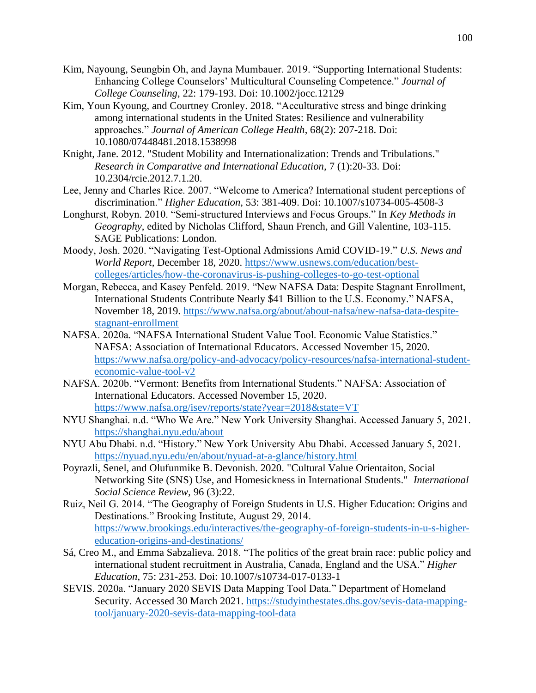- Kim, Nayoung, Seungbin Oh, and Jayna Mumbauer. 2019. "Supporting International Students: Enhancing College Counselors' Multicultural Counseling Competence." *Journal of College Counseling*, 22: 179-193. Doi: 10.1002/jocc.12129
- Kim, Youn Kyoung, and Courtney Cronley. 2018. "Acculturative stress and binge drinking among international students in the United States: Resilience and vulnerability approaches." *Journal of American College Health*, 68(2): 207-218. Doi: 10.1080/07448481.2018.1538998
- Knight, Jane. 2012. "Student Mobility and Internationalization: Trends and Tribulations." *Research in Comparative and International Education,* 7 (1):20-33. Doi: 10.2304/rcie.2012.7.1.20.
- Lee, Jenny and Charles Rice. 2007. "Welcome to America? International student perceptions of discrimination." *Higher Education,* 53: 381-409. Doi: 10.1007/s10734-005-4508-3
- Longhurst, Robyn. 2010. "Semi-structured Interviews and Focus Groups." In *Key Methods in Geography*, edited by Nicholas Clifford, Shaun French, and Gill Valentine, 103-115. SAGE Publications: London.
- Moody, Josh. 2020. "Navigating Test-Optional Admissions Amid COVID-19." *U.S. News and World Report*, December 18, 2020. [https://www.usnews.com/education/best](https://www.usnews.com/education/best-colleges/articles/how-the-coronavirus-is-pushing-colleges-to-go-test-optional)[colleges/articles/how-the-coronavirus-is-pushing-colleges-to-go-test-optional](https://www.usnews.com/education/best-colleges/articles/how-the-coronavirus-is-pushing-colleges-to-go-test-optional)
- Morgan, Rebecca, and Kasey Penfeld. 2019. "New NAFSA Data: Despite Stagnant Enrollment, International Students Contribute Nearly \$41 Billion to the U.S. Economy." NAFSA, November 18, 2019. [https://www.nafsa.org/about/about-nafsa/new-nafsa-data-despite](https://www.nafsa.org/about/about-nafsa/new-nafsa-data-despite-stagnant-enrollment)[stagnant-enrollment](https://www.nafsa.org/about/about-nafsa/new-nafsa-data-despite-stagnant-enrollment)
- NAFSA. 2020a. "NAFSA International Student Value Tool. Economic Value Statistics." NAFSA: Association of International Educators. Accessed November 15, 2020. [https://www.nafsa.org/policy-and-advocacy/policy-resources/nafsa-international-student](https://www.nafsa.org/policy-and-advocacy/policy-resources/nafsa-international-student-economic-value-tool-v2)[economic-value-tool-v2](https://www.nafsa.org/policy-and-advocacy/policy-resources/nafsa-international-student-economic-value-tool-v2)
- NAFSA. 2020b. "Vermont: Benefits from International Students." NAFSA: Association of International Educators. Accessed November 15, 2020. <https://www.nafsa.org/isev/reports/state?year=2018&state=VT>
- NYU Shanghai. n.d. "Who We Are." New York University Shanghai. Accessed January 5, 2021. <https://shanghai.nyu.edu/about>
- NYU Abu Dhabi. n.d. "History." New York University Abu Dhabi. Accessed January 5, 2021. <https://nyuad.nyu.edu/en/about/nyuad-at-a-glance/history.html>
- Poyrazli, Senel, and Olufunmike B. Devonish. 2020. "Cultural Value Orientaiton, Social Networking Site (SNS) Use, and Homesickness in International Students." *International Social Science Review,* 96 (3):22.
- Ruiz, Neil G. 2014. "The Geography of Foreign Students in U.S. Higher Education: Origins and Destinations." Brooking Institute, August 29, 2014. [https://www.brookings.edu/interactives/the-geography-of-foreign-students-in-u-s-higher](https://www.brookings.edu/interactives/the-geography-of-foreign-students-in-u-s-higher-education-origins-and-destinations/)[education-origins-and-destinations/](https://www.brookings.edu/interactives/the-geography-of-foreign-students-in-u-s-higher-education-origins-and-destinations/)
- Sá, Creo M., and Emma Sabzalieva. 2018. "The politics of the great brain race: public policy and international student recruitment in Australia, Canada, England and the USA." *Higher Education*, 75: 231-253. Doi: 10.1007/s10734-017-0133-1
- SEVIS. 2020a. "January 2020 SEVIS Data Mapping Tool Data." Department of Homeland Security. Accessed 30 March 2021. [https://studyinthestates.dhs.gov/sevis-data-mapping](https://studyinthestates.dhs.gov/sevis-data-mapping-tool/january-2020-sevis-data-mapping-tool-data)[tool/january-2020-sevis-data-mapping-tool-data](https://studyinthestates.dhs.gov/sevis-data-mapping-tool/january-2020-sevis-data-mapping-tool-data)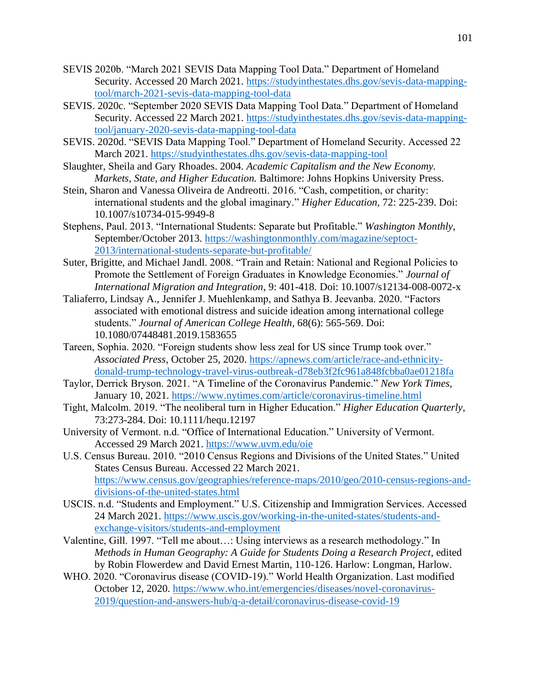- SEVIS 2020b. "March 2021 SEVIS Data Mapping Tool Data." Department of Homeland Security. Accessed 20 March 2021. [https://studyinthestates.dhs.gov/sevis-data-mapping](https://studyinthestates.dhs.gov/sevis-data-mapping-tool/march-2021-sevis-data-mapping-tool-data)[tool/march-2021-sevis-data-mapping-tool-data](https://studyinthestates.dhs.gov/sevis-data-mapping-tool/march-2021-sevis-data-mapping-tool-data)
- SEVIS. 2020c. "September 2020 SEVIS Data Mapping Tool Data." Department of Homeland Security. Accessed 22 March 2021. [https://studyinthestates.dhs.gov/sevis-data-mapping](https://studyinthestates.dhs.gov/sevis-data-mapping-tool/january-2020-sevis-data-mapping-tool-data)[tool/january-2020-sevis-data-mapping-tool-data](https://studyinthestates.dhs.gov/sevis-data-mapping-tool/january-2020-sevis-data-mapping-tool-data)
- SEVIS. 2020d. "SEVIS Data Mapping Tool." Department of Homeland Security. Accessed 22 March 2021.<https://studyinthestates.dhs.gov/sevis-data-mapping-tool>
- Slaughter, Sheila and Gary Rhoades. 2004. *Academic Capitalism and the New Economy. Markets, State, and Higher Education.* Baltimore: Johns Hopkins University Press.
- Stein, Sharon and Vanessa Oliveira de Andreotti. 2016. "Cash, competition, or charity: international students and the global imaginary." *Higher Education,* 72: 225-239. Doi: 10.1007/s10734-015-9949-8
- Stephens, Paul. 2013. "International Students: Separate but Profitable." *Washington Monthly*, September/October 2013. [https://washingtonmonthly.com/magazine/septoct-](https://washingtonmonthly.com/magazine/septoct-2013/international-students-separate-but-profitable/)[2013/international-students-separate-but-profitable/](https://washingtonmonthly.com/magazine/septoct-2013/international-students-separate-but-profitable/)
- Suter, Brigitte, and Michael Jandl. 2008. "Train and Retain: National and Regional Policies to Promote the Settlement of Foreign Graduates in Knowledge Economies." *Journal of International Migration and Integration*, 9: 401-418. Doi: 10.1007/s12134-008-0072-x
- Taliaferro, Lindsay A., Jennifer J. Muehlenkamp, and Sathya B. Jeevanba. 2020. "Factors associated with emotional distress and suicide ideation among international college students." *Journal of American College Health*, 68(6): 565-569. Doi: 10.1080/07448481.2019.1583655
- Tareen, Sophia. 2020. "Foreign students show less zeal for US since Trump took over." *Associated Press*, October 25, 2020. [https://apnews.com/article/race-and-ethnicity](https://apnews.com/article/race-and-ethnicity-donald-trump-technology-travel-virus-outbreak-d78eb3f2fc961a848fcbba0ae01218fa)[donald-trump-technology-travel-virus-outbreak-d78eb3f2fc961a848fcbba0ae01218fa](https://apnews.com/article/race-and-ethnicity-donald-trump-technology-travel-virus-outbreak-d78eb3f2fc961a848fcbba0ae01218fa)
- Taylor, Derrick Bryson. 2021. "A Timeline of the Coronavirus Pandemic." *New York Times,*  January 10, 2021.<https://www.nytimes.com/article/coronavirus-timeline.html>
- Tight, Malcolm. 2019. "The neoliberal turn in Higher Education." *Higher Education Quarterly*, 73:273-284. Doi: 10.1111/hequ.12197
- University of Vermont. n.d. "Office of International Education." University of Vermont. Accessed 29 March 2021.<https://www.uvm.edu/oie>
- U.S. Census Bureau. 2010. "2010 Census Regions and Divisions of the United States." United States Census Bureau. Accessed 22 March 2021. [https://www.census.gov/geographies/reference-maps/2010/geo/2010-census-regions-and](https://www.census.gov/geographies/reference-maps/2010/geo/2010-census-regions-and-divisions-of-the-united-states.html)[divisions-of-the-united-states.html](https://www.census.gov/geographies/reference-maps/2010/geo/2010-census-regions-and-divisions-of-the-united-states.html)
- USCIS. n.d. "Students and Employment." U.S. Citizenship and Immigration Services. Accessed 24 March 2021. [https://www.uscis.gov/working-in-the-united-states/students-and](https://www.uscis.gov/working-in-the-united-states/students-and-exchange-visitors/students-and-employment)[exchange-visitors/students-and-employment](https://www.uscis.gov/working-in-the-united-states/students-and-exchange-visitors/students-and-employment)
- Valentine, Gill. 1997. "Tell me about…: Using interviews as a research methodology." In *Methods in Human Geography: A Guide for Students Doing a Research Project*, edited by Robin Flowerdew and David Ernest Martin, 110-126. Harlow: Longman, Harlow.
- WHO. 2020. "Coronavirus disease (COVID-19)." World Health Organization. Last modified October 12, 2020. [https://www.who.int/emergencies/diseases/novel-coronavirus-](https://www.who.int/emergencies/diseases/novel-coronavirus-2019/question-and-answers-hub/q-a-detail/coronavirus-disease-covid-19)[2019/question-and-answers-hub/q-a-detail/coronavirus-disease-covid-19](https://www.who.int/emergencies/diseases/novel-coronavirus-2019/question-and-answers-hub/q-a-detail/coronavirus-disease-covid-19)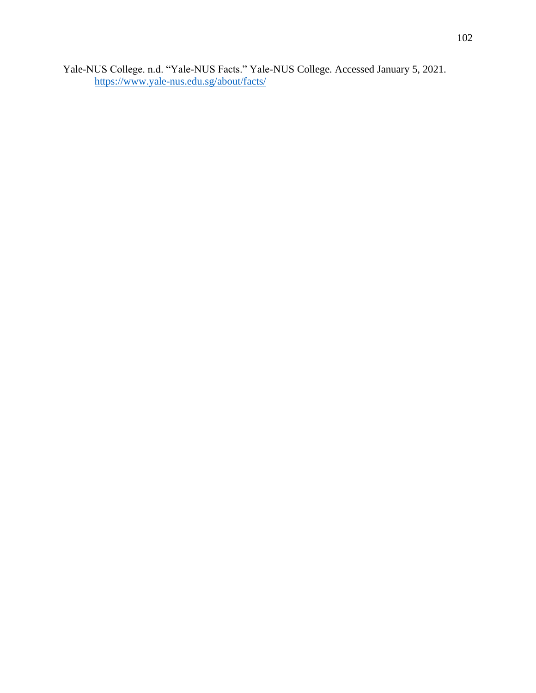Yale-NUS College. n.d. "Yale-NUS Facts." Yale-NUS College. Accessed January 5, 2021. <https://www.yale-nus.edu.sg/about/facts/>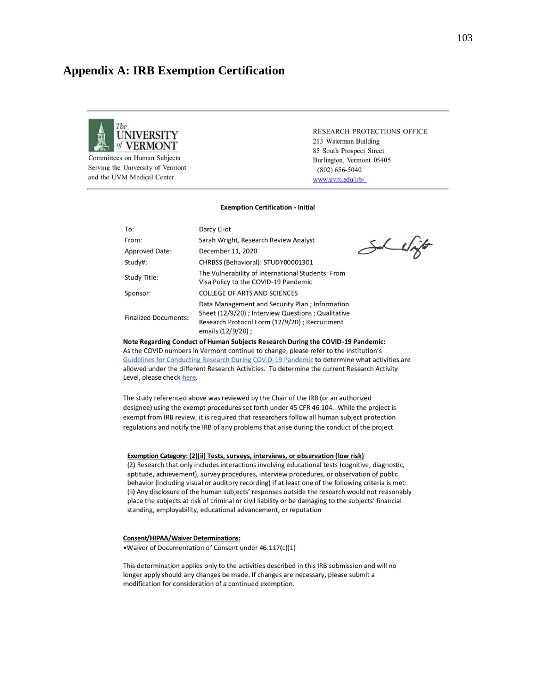## **Appendix A: IRB Exemption Certification**



Committees on Human Subjects Serving the University of Vermont and the UVM Medical Center

RESEARCH PROTECTIONS OFFICE 213 Waterman Building 85 South Prospect Street Burlington, Vermont 05405  $(802) 656 - 5040$ www.uvm.edu/irb/

#### **Exemption Certification - Initial**

| To:                         | Darcy Eliot                                                                                                                                                                 |  |
|-----------------------------|-----------------------------------------------------------------------------------------------------------------------------------------------------------------------------|--|
| From:                       | Sarah Wright, Research Review Analyst                                                                                                                                       |  |
| <b>Approved Date:</b>       | December 11, 2020                                                                                                                                                           |  |
| Study#:                     | CHRBSS (Behavioral): STUDY00001301                                                                                                                                          |  |
| <b>Study Title:</b>         | The Vulnerability of International Students: From<br>Visa Policy to the COVID-19 Pandemic                                                                                   |  |
| Sponsor:                    | <b>COLLEGE OF ARTS AND SCIENCES</b>                                                                                                                                         |  |
| <b>Finalized Documents:</b> | Data Management and Security Plan; Information<br>Sheet (12/9/20) ; Interview Questions ; Qualitative<br>Research Protocol Form (12/9/20); Recruitment<br>emails (12/9/20); |  |

the while

Note Regarding Conduct of Human Subjects Research During the COVID-19 Pandemic: As the COVID numbers in Vermont continue to change, please refer to the institution's Guidelines for Conducting Research During COVID-19 Pandemic to determine what activities are allowed under the different Research Activities. To determine the current Research Activity Level, please check here.

The study referenced above was reviewed by the Chair of the IRB (or an authorized designee) using the exempt procedures set forth under 45 CFR 46.104. While the project is exempt from IRB review, it is required that researchers follow all human subject protection regulations and notify the IRB of any problems that arise during the conduct of the project.

#### Exemption Category: (2)(ii) Tests, surveys, interviews, or observation (low risk)

(2) Research that only includes interactions involving educational tests (cognitive, diagnostic, aptitude, achievement), survey procedures, interview procedures, or observation of public behavior (including visual or auditory recording) if at least one of the following criteria is met: (ii) Any disclosure of the human subjects' responses outside the research would not reasonably place the subjects at risk of criminal or civil liability or be damaging to the subjects' financial standing, employability, educational advancement, or reputation

#### **Consent/HIPAA/Waiver Determinations:**

.Waiver of Documentation of Consent under 46.117(c)(1)

This determination applies only to the activities described in this IRB submission and will no longer apply should any changes be made. If changes are necessary, please submit a modification for consideration of a continued exemption.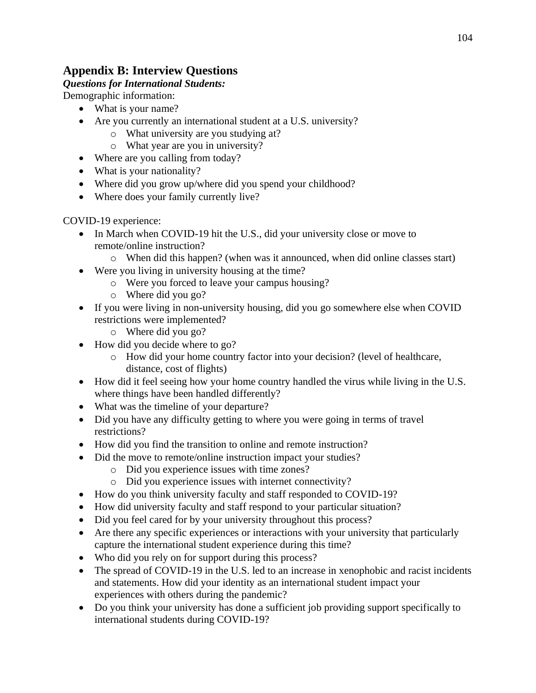# **Appendix B: Interview Questions**

## *Questions for International Students:*

Demographic information:

- What is your name?
- Are you currently an international student at a U.S. university?
	- o What university are you studying at?
	- o What year are you in university?
- Where are you calling from today?
- What is your nationality?
- Where did you grow up/where did you spend your childhood?
- Where does your family currently live?

COVID-19 experience:

- In March when COVID-19 hit the U.S., did your university close or move to remote/online instruction?
	- o When did this happen? (when was it announced, when did online classes start)
- Were you living in university housing at the time?
	- o Were you forced to leave your campus housing?
	- o Where did you go?
- If you were living in non-university housing, did you go somewhere else when COVID restrictions were implemented?
	- o Where did you go?
- How did you decide where to go?
	- o How did your home country factor into your decision? (level of healthcare, distance, cost of flights)
- How did it feel seeing how your home country handled the virus while living in the U.S. where things have been handled differently?
- What was the timeline of your departure?
- Did you have any difficulty getting to where you were going in terms of travel restrictions?
- How did you find the transition to online and remote instruction?
- Did the move to remote/online instruction impact your studies?
	- o Did you experience issues with time zones?
	- o Did you experience issues with internet connectivity?
- How do you think university faculty and staff responded to COVID-19?
- How did university faculty and staff respond to your particular situation?
- Did you feel cared for by your university throughout this process?
- Are there any specific experiences or interactions with your university that particularly capture the international student experience during this time?
- Who did you rely on for support during this process?
- The spread of COVID-19 in the U.S. led to an increase in xenophobic and racist incidents and statements. How did your identity as an international student impact your experiences with others during the pandemic?
- Do you think your university has done a sufficient job providing support specifically to international students during COVID-19?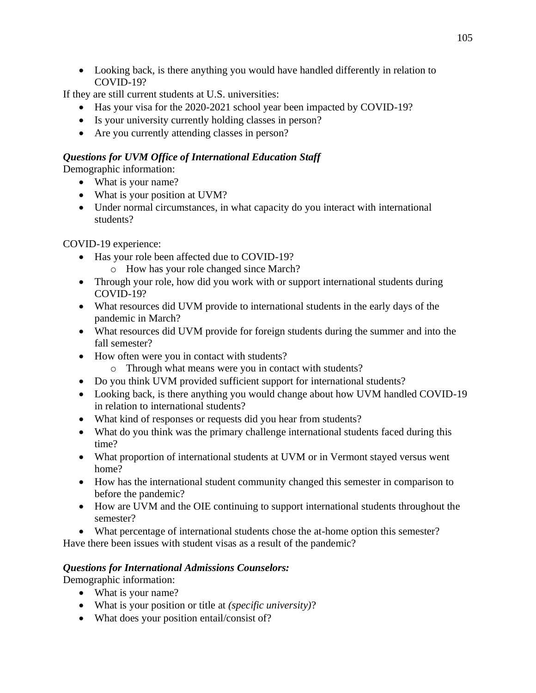• Looking back, is there anything you would have handled differently in relation to COVID-19?

If they are still current students at U.S. universities:

- Has your visa for the 2020-2021 school year been impacted by COVID-19?
- Is your university currently holding classes in person?
- Are you currently attending classes in person?

## *Questions for UVM Office of International Education Staff*

Demographic information:

- What is your name?
- What is your position at UVM?
- Under normal circumstances, in what capacity do you interact with international students?

COVID-19 experience:

- Has your role been affected due to COVID-19?
	- o How has your role changed since March?
- Through your role, how did you work with or support international students during COVID-19?
- What resources did UVM provide to international students in the early days of the pandemic in March?
- What resources did UVM provide for foreign students during the summer and into the fall semester?
- How often were you in contact with students?
	- o Through what means were you in contact with students?
- Do you think UVM provided sufficient support for international students?
- Looking back, is there anything you would change about how UVM handled COVID-19 in relation to international students?
- What kind of responses or requests did you hear from students?
- What do you think was the primary challenge international students faced during this time?
- What proportion of international students at UVM or in Vermont stayed versus went home?
- How has the international student community changed this semester in comparison to before the pandemic?
- How are UVM and the OIE continuing to support international students throughout the semester?
- What percentage of international students chose the at-home option this semester?

Have there been issues with student visas as a result of the pandemic?

## *Questions for International Admissions Counselors:*

Demographic information:

- What is your name?
- What is your position or title at *(specific university)*?
- What does your position entail/consist of?